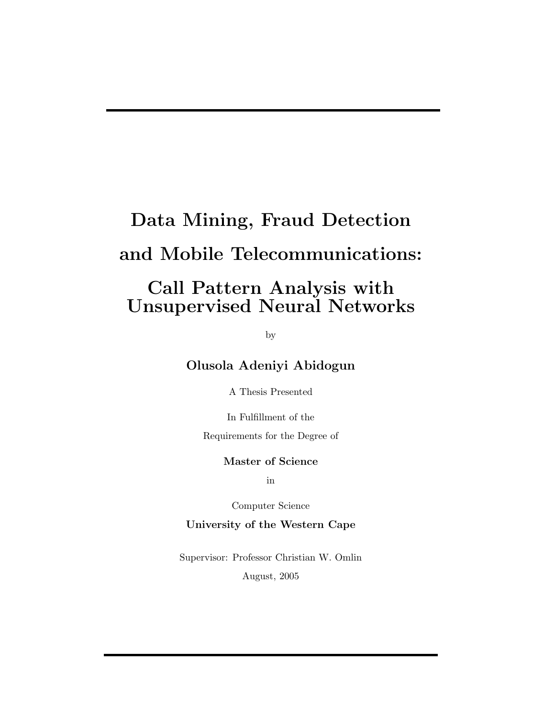# Data Mining, Fraud Detection and Mobile Telecommunications:

### Call Pattern Analysis with Unsupervised Neural Networks

by

Olusola Adeniyi Abidogun

A Thesis Presented

In Fulfillment of the

Requirements for the Degree of

#### Master of Science

in

Computer Science

#### University of the Western Cape

Supervisor: Professor Christian W. Omlin August, 2005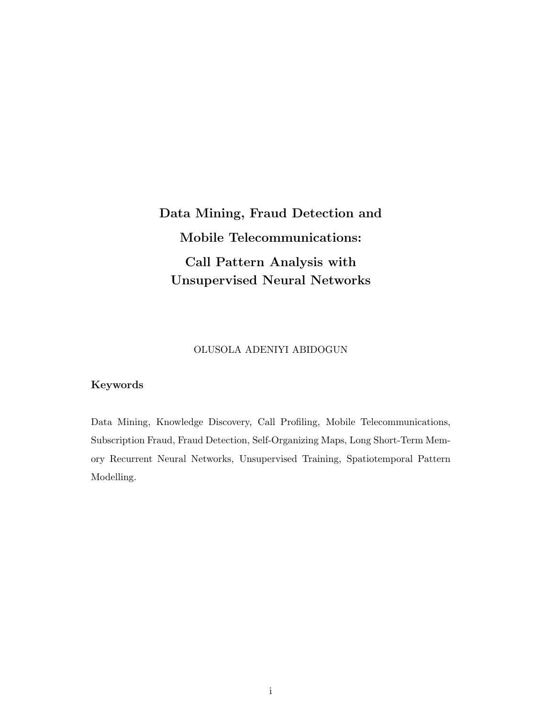Data Mining, Fraud Detection and Mobile Telecommunications: Call Pattern Analysis with Unsupervised Neural Networks

#### OLUSOLA ADENIYI ABIDOGUN

#### Keywords

Data Mining, Knowledge Discovery, Call Profiling, Mobile Telecommunications, Subscription Fraud, Fraud Detection, Self-Organizing Maps, Long Short-Term Memory Recurrent Neural Networks, Unsupervised Training, Spatiotemporal Pattern Modelling.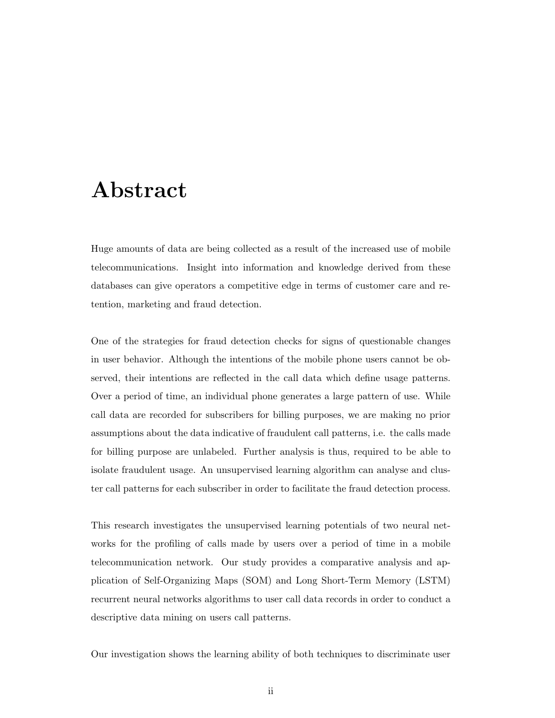### Abstract

Huge amounts of data are being collected as a result of the increased use of mobile telecommunications. Insight into information and knowledge derived from these databases can give operators a competitive edge in terms of customer care and retention, marketing and fraud detection.

One of the strategies for fraud detection checks for signs of questionable changes in user behavior. Although the intentions of the mobile phone users cannot be observed, their intentions are reflected in the call data which define usage patterns. Over a period of time, an individual phone generates a large pattern of use. While call data are recorded for subscribers for billing purposes, we are making no prior assumptions about the data indicative of fraudulent call patterns, i.e. the calls made for billing purpose are unlabeled. Further analysis is thus, required to be able to isolate fraudulent usage. An unsupervised learning algorithm can analyse and cluster call patterns for each subscriber in order to facilitate the fraud detection process.

This research investigates the unsupervised learning potentials of two neural networks for the profiling of calls made by users over a period of time in a mobile telecommunication network. Our study provides a comparative analysis and application of Self-Organizing Maps (SOM) and Long Short-Term Memory (LSTM) recurrent neural networks algorithms to user call data records in order to conduct a descriptive data mining on users call patterns.

Our investigation shows the learning ability of both techniques to discriminate user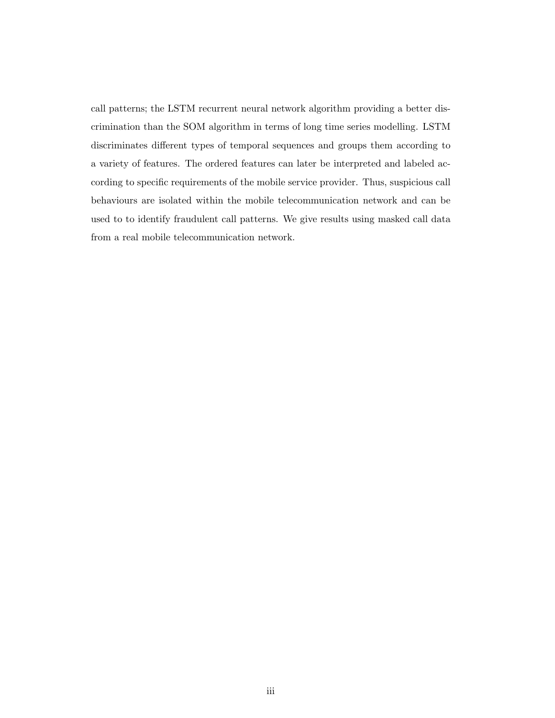call patterns; the LSTM recurrent neural network algorithm providing a better discrimination than the SOM algorithm in terms of long time series modelling. LSTM discriminates different types of temporal sequences and groups them according to a variety of features. The ordered features can later be interpreted and labeled according to specific requirements of the mobile service provider. Thus, suspicious call behaviours are isolated within the mobile telecommunication network and can be used to to identify fraudulent call patterns. We give results using masked call data from a real mobile telecommunication network.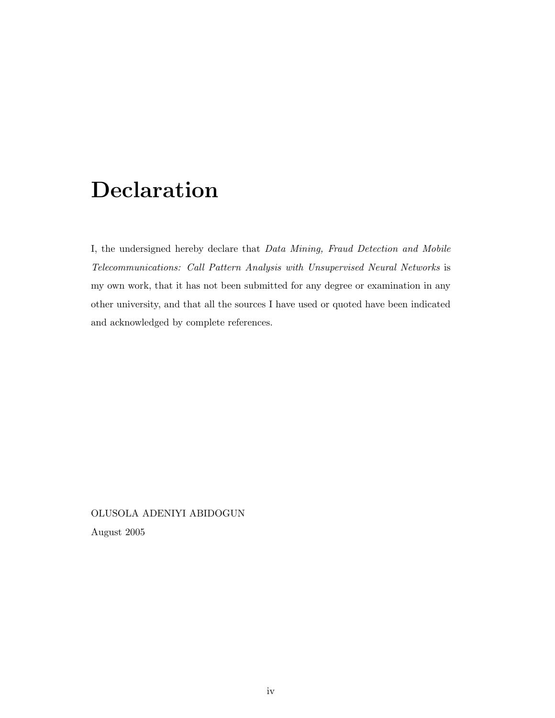### Declaration

I, the undersigned hereby declare that Data Mining, Fraud Detection and Mobile Telecommunications: Call Pattern Analysis with Unsupervised Neural Networks is my own work, that it has not been submitted for any degree or examination in any other university, and that all the sources I have used or quoted have been indicated and acknowledged by complete references.

OLUSOLA ADENIYI ABIDOGUN August 2005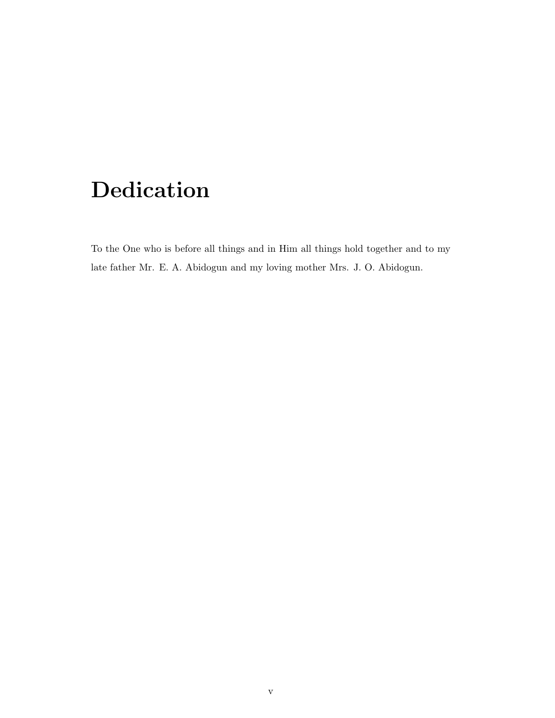# Dedication

To the One who is before all things and in Him all things hold together and to my late father Mr. E. A. Abidogun and my loving mother Mrs. J. O. Abidogun.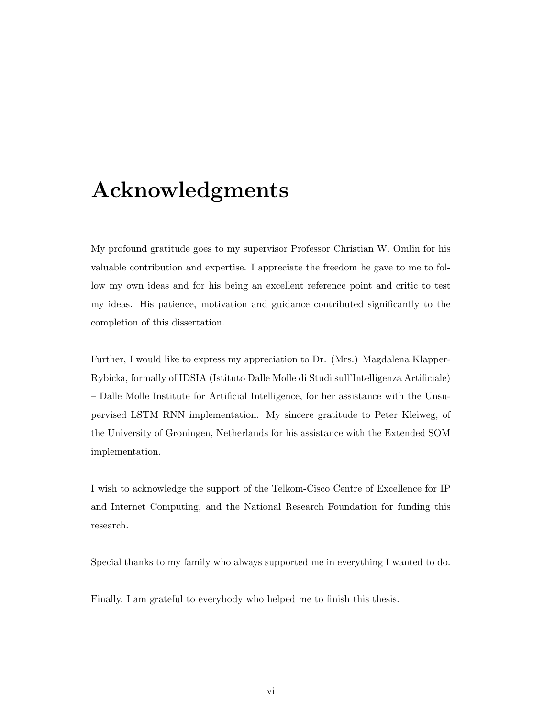### Acknowledgments

My profound gratitude goes to my supervisor Professor Christian W. Omlin for his valuable contribution and expertise. I appreciate the freedom he gave to me to follow my own ideas and for his being an excellent reference point and critic to test my ideas. His patience, motivation and guidance contributed significantly to the completion of this dissertation.

Further, I would like to express my appreciation to Dr. (Mrs.) Magdalena Klapper-Rybicka, formally of IDSIA (Istituto Dalle Molle di Studi sull'Intelligenza Artificiale) – Dalle Molle Institute for Artificial Intelligence, for her assistance with the Unsupervised LSTM RNN implementation. My sincere gratitude to Peter Kleiweg, of the University of Groningen, Netherlands for his assistance with the Extended SOM implementation.

I wish to acknowledge the support of the Telkom-Cisco Centre of Excellence for IP and Internet Computing, and the National Research Foundation for funding this research.

Special thanks to my family who always supported me in everything I wanted to do.

Finally, I am grateful to everybody who helped me to finish this thesis.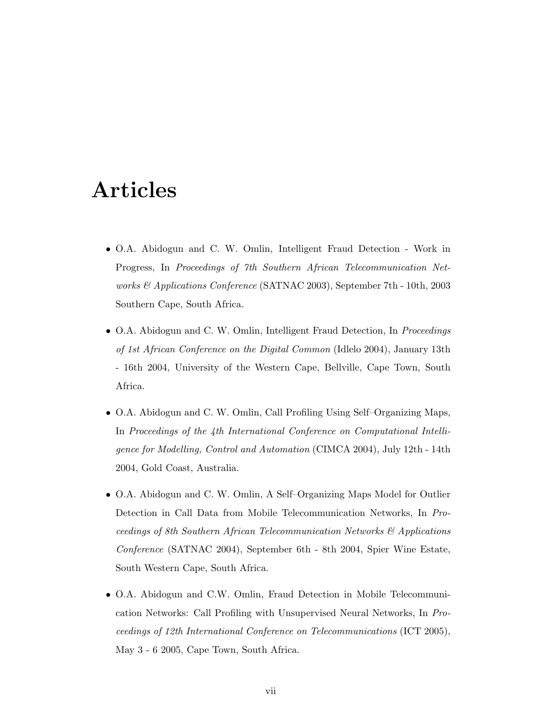### Articles

- O.A. Abidogun and C. W. Omlin, Intelligent Fraud Detection Work in Progress, In Proceedings of 7th Southern African Telecommunication Networks & Applications Conference (SATNAC 2003), September 7th - 10th, 2003 Southern Cape, South Africa.
- O.A. Abidogun and C. W. Omlin, Intelligent Fraud Detection, In *Proceedings* of 1st African Conference on the Digital Common (Idlelo 2004), January 13th - 16th 2004, University of the Western Cape, Bellville, Cape Town, South Africa.
- O.A. Abidogun and C. W. Omlin, Call Profiling Using Self–Organizing Maps, In Proceedings of the 4th International Conference on Computational Intelligence for Modelling, Control and Automation (CIMCA 2004), July 12th - 14th 2004, Gold Coast, Australia.
- O.A. Abidogun and C. W. Omlin, A Self–Organizing Maps Model for Outlier Detection in Call Data from Mobile Telecommunication Networks, In Proceedings of 8th Southern African Telecommunication Networks & Applications Conference (SATNAC 2004), September 6th - 8th 2004, Spier Wine Estate, South Western Cape, South Africa.
- O.A. Abidogun and C.W. Omlin, Fraud Detection in Mobile Telecommunication Networks: Call Profiling with Unsupervised Neural Networks, In Proceedings of 12th International Conference on Telecommunications (ICT 2005), May 3 - 6 2005, Cape Town, South Africa.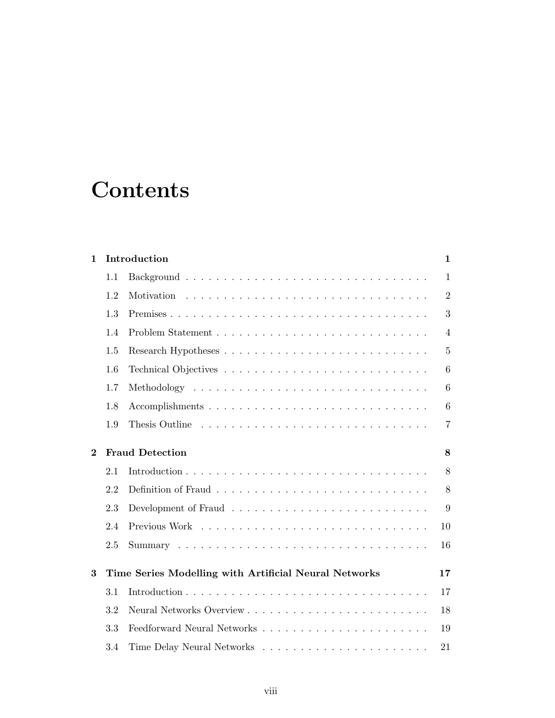## **Contents**

| $\mathbf{1}$ | Introduction |                                                       | $\mathbf{1}$   |
|--------------|--------------|-------------------------------------------------------|----------------|
|              | 1.1          |                                                       | $\mathbf{1}$   |
|              | 1.2          |                                                       | $\overline{2}$ |
|              | 1.3          |                                                       | 3              |
|              | 1.4          |                                                       | $\overline{4}$ |
|              | 1.5          |                                                       | $\overline{5}$ |
|              | 1.6          |                                                       | 6              |
|              | 1.7          |                                                       | 6              |
|              | 1.8          |                                                       | 6              |
|              | 1.9          |                                                       | $\overline{7}$ |
| $\bf{2}$     |              | <b>Fraud Detection</b>                                | 8              |
|              | 2.1          |                                                       | 8              |
|              | 2.2          |                                                       | 8              |
|              | 2.3          |                                                       | 9              |
|              | 2.4          |                                                       | 10             |
|              | 2.5          |                                                       | 16             |
| $\bf{3}$     |              | Time Series Modelling with Artificial Neural Networks | 17             |
|              | 3.1          |                                                       | 17             |
|              | 3.2          |                                                       | 18             |
|              | 3.3          |                                                       | 19             |
|              | 3.4          |                                                       | 21             |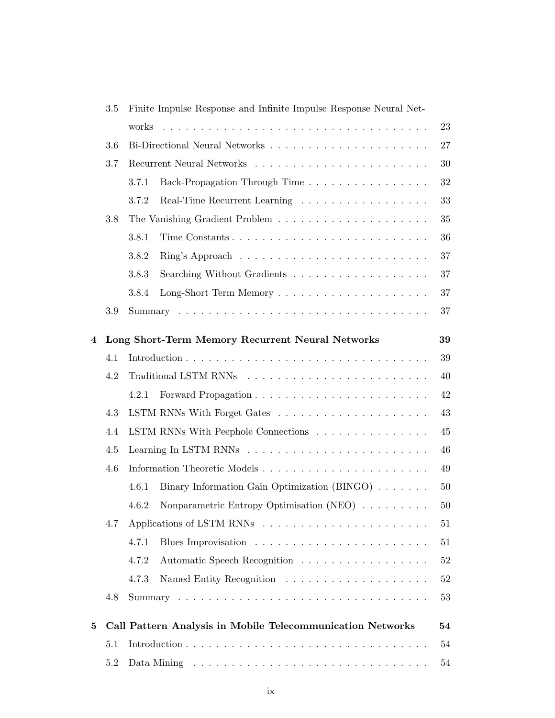|   | $3.5\,$ | Finite Impulse Response and Infinite Impulse Response Neural Net-                  |        |  |
|---|---------|------------------------------------------------------------------------------------|--------|--|
|   |         | works                                                                              | 23     |  |
|   | 3.6     |                                                                                    | 27     |  |
|   | 3.7     |                                                                                    | 30     |  |
|   |         | Back-Propagation Through Time<br>3.7.1                                             | 32     |  |
|   |         | Real-Time Recurrent Learning $\ldots \ldots \ldots \ldots \ldots \ldots$<br>3.7.2  | 33     |  |
|   | $3.8\,$ |                                                                                    | 35     |  |
|   |         | 3.8.1                                                                              | 36     |  |
|   |         | 3.8.2                                                                              | 37     |  |
|   |         | 3.8.3                                                                              | 37     |  |
|   |         | 3.8.4                                                                              | 37     |  |
|   | 3.9     |                                                                                    | 37     |  |
| 4 |         | Long Short-Term Memory Recurrent Neural Networks                                   | 39     |  |
|   | 4.1     |                                                                                    | 39     |  |
|   | 4.2     |                                                                                    | 40     |  |
|   |         | 4.2.1                                                                              | 42     |  |
|   | 4.3     |                                                                                    | 43     |  |
|   | 4.4     | LSTM RNNs With Peephole Connections                                                | 45     |  |
|   | 4.5     |                                                                                    | 46     |  |
|   | 4.6     |                                                                                    | 49     |  |
|   |         | 4.6.1<br>Binary Information Gain Optimization $(BINGO) \ldots \ldots$              | 50     |  |
|   |         | Nonparametric Entropy Optimisation (NEO) $\hfill\ldots\ldots\ldots\ldots$<br>4.6.2 | 50     |  |
|   | 4.7     |                                                                                    | 51     |  |
|   |         | 4.7.1                                                                              | 51     |  |
|   |         | 4.7.2<br>Automatic Speech Recognition                                              | $52\,$ |  |
|   |         | 4.7.3                                                                              | 52     |  |
|   | 4.8     |                                                                                    | 53     |  |
| 5 |         | Call Pattern Analysis in Mobile Telecommunication Networks                         | 54     |  |
|   | 5.1     | 54                                                                                 |        |  |
|   | $5.2\,$ |                                                                                    | 54     |  |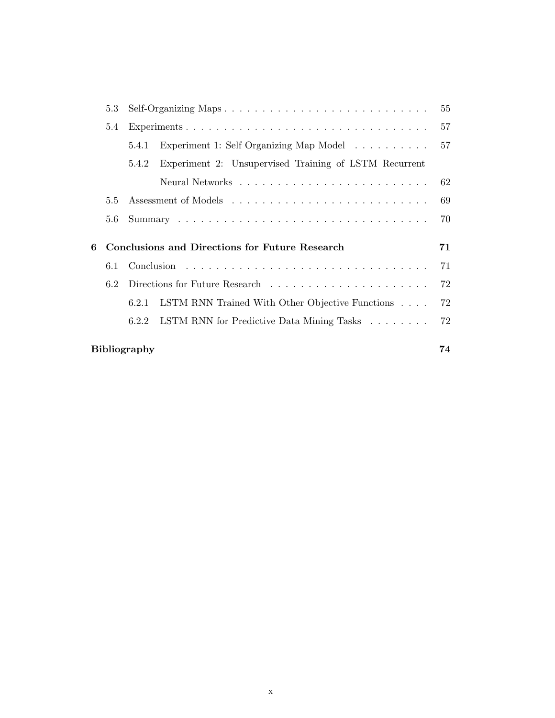|   | 5.3 | Self-Organizing Maps |                                                       | 55 |
|---|-----|----------------------|-------------------------------------------------------|----|
|   | 5.4 |                      |                                                       | 57 |
|   |     | 5.4.1                | Experiment 1: Self Organizing Map Model               | 57 |
|   |     | 5.4.2                | Experiment 2: Unsupervised Training of LSTM Recurrent |    |
|   |     |                      |                                                       | 62 |
|   | 5.5 |                      |                                                       | 69 |
|   | 5.6 |                      |                                                       | 70 |
|   |     |                      |                                                       |    |
| 6 |     |                      | Conclusions and Directions for Future Research        | 71 |
|   | 6.1 |                      |                                                       | 71 |
|   | 62  |                      |                                                       | 72 |
|   |     | 6.2.1                | LSTM RNN Trained With Other Objective Functions       | 72 |
|   |     | 6.2.2                | LSTM RNN for Predictive Data Mining Tasks             | 72 |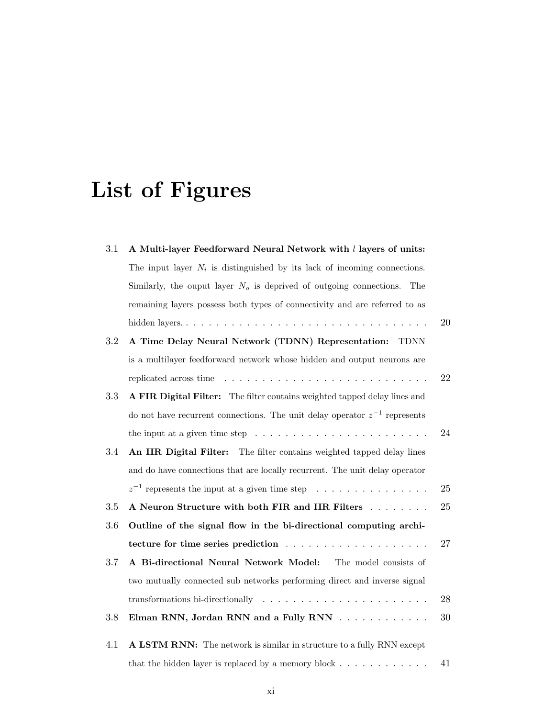# List of Figures

| 3.1 | A Multi-layer Feedforward Neural Network with l layers of units:                         |        |
|-----|------------------------------------------------------------------------------------------|--------|
|     | The input layer $N_i$ is distinguished by its lack of incoming connections.              |        |
|     | Similarly, the ouput layer $No$ is deprived of outgoing connections.<br>The              |        |
|     | remaining layers possess both types of connectivity and are referred to as               |        |
|     |                                                                                          | 20     |
| 3.2 | A Time Delay Neural Network (TDNN) Representation: TDNN                                  |        |
|     | is a multilayer feedforward network whose hidden and output neurons are                  |        |
|     |                                                                                          | 22     |
| 3.3 | A FIR Digital Filter: The filter contains weighted tapped delay lines and                |        |
|     | do not have recurrent connections. The unit delay operator $z^{-1}$ represents           |        |
|     | the input at a given time step $\ldots \ldots \ldots \ldots \ldots \ldots \ldots \ldots$ | 24     |
| 3.4 | An IIR Digital Filter: The filter contains weighted tapped delay lines                   |        |
|     | and do have connections that are locally recurrent. The unit delay operator              |        |
|     | $z^{-1}$ represents the input at a given time step                                       | 25     |
| 3.5 | A Neuron Structure with both FIR and IIR Filters                                         | $25\,$ |
| 3.6 | Outline of the signal flow in the bi-directional computing archi-                        |        |
|     |                                                                                          | 27     |
| 3.7 | A Bi-directional Neural Network Model: The model consists of                             |        |
|     | two mutually connected sub networks performing direct and inverse signal                 |        |
|     | transformations bi-directionally $\dots \dots \dots \dots \dots \dots \dots \dots$       | 28     |
| 3.8 | Elman RNN, Jordan RNN and a Fully RNN                                                    | 30     |
| 4.1 | A LSTM RNN: The network is similar in structure to a fully RNN except                    |        |
|     |                                                                                          |        |
|     | that the hidden layer is replaced by a memory block $\dots \dots \dots \dots$            | 41     |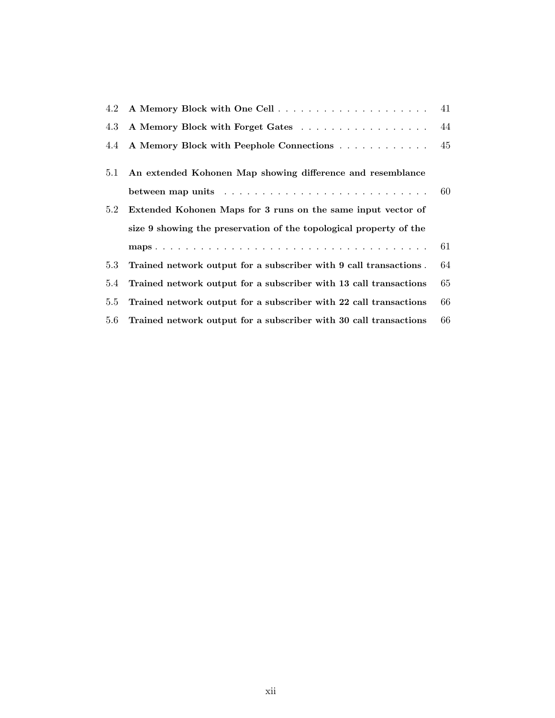| 4.2 |                                                                    | 41   |
|-----|--------------------------------------------------------------------|------|
| 4.3 | A Memory Block with Forget Gates                                   | - 44 |
| 4.4 | A Memory Block with Peephole Connections                           | 45   |
| 5.1 | An extended Kohonen Map showing difference and resemblance         |      |
|     |                                                                    | 60   |
| 5.2 | Extended Kohonen Maps for 3 runs on the same input vector of       |      |
|     | size 9 showing the preservation of the topological property of the |      |
|     |                                                                    | 61   |
| 5.3 | Trained network output for a subscriber with 9 call transactions.  | 64   |
| 5.4 | Trained network output for a subscriber with 13 call transactions  | 65   |
| 5.5 | Trained network output for a subscriber with 22 call transactions  | 66   |
| 5.6 | Trained network output for a subscriber with 30 call transactions  | 66   |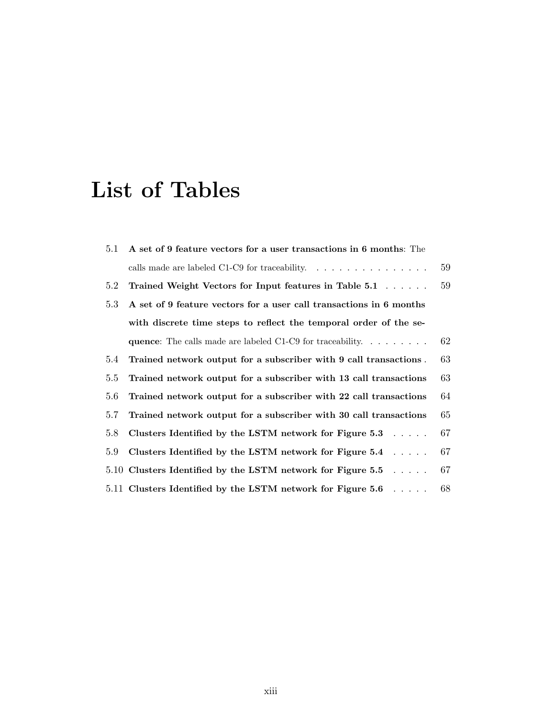### List of Tables

| 5.1 | A set of 9 feature vectors for a user transactions in 6 months: The                   |    |
|-----|---------------------------------------------------------------------------------------|----|
|     | calls made are labeled C1-C9 for traceability. $\ldots \ldots \ldots \ldots \ldots$   | 59 |
| 5.2 | Trained Weight Vectors for Input features in Table 5.1                                | 59 |
| 5.3 | A set of 9 feature vectors for a user call transactions in 6 months                   |    |
|     | with discrete time steps to reflect the temporal order of the se-                     |    |
|     | <b>quence:</b> The calls made are labeled C1-C9 for traceability. $\dots \dots \dots$ | 62 |
| 5.4 | Trained network output for a subscriber with 9 call transactions.                     | 63 |
| 5.5 | Trained network output for a subscriber with 13 call transactions                     | 63 |
| 5.6 | Trained network output for a subscriber with 22 call transactions                     | 64 |
| 5.7 | Trained network output for a subscriber with 30 call transactions                     | 65 |
| 5.8 | Clusters Identified by the LSTM network for Figure $5.3 \ldots$ .                     | 67 |
| 5.9 | Clusters Identified by the LSTM network for Figure $5.4 \ldots$ .                     | 67 |
|     | 5.10 Clusters Identified by the LSTM network for Figure 5.5 $\dots$ .                 | 67 |
|     | 5.11 Clusters Identified by the LSTM network for Figure 5.6 $\dots$ .                 | 68 |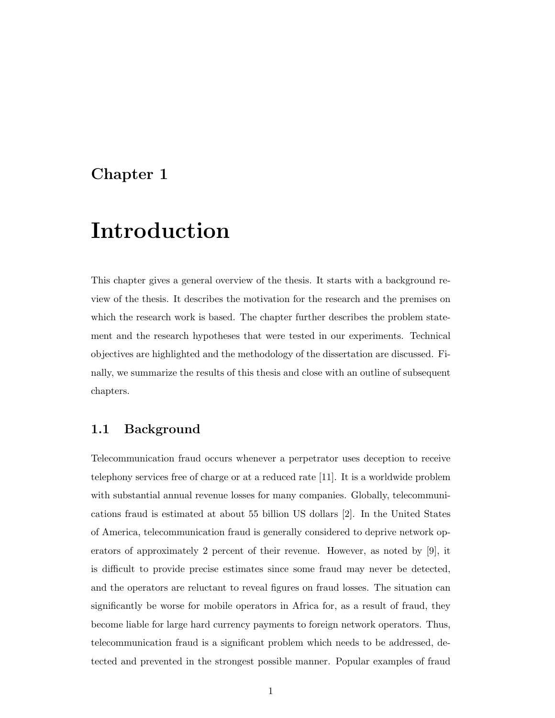#### Chapter 1

### Introduction

This chapter gives a general overview of the thesis. It starts with a background review of the thesis. It describes the motivation for the research and the premises on which the research work is based. The chapter further describes the problem statement and the research hypotheses that were tested in our experiments. Technical objectives are highlighted and the methodology of the dissertation are discussed. Finally, we summarize the results of this thesis and close with an outline of subsequent chapters.

#### 1.1 Background

Telecommunication fraud occurs whenever a perpetrator uses deception to receive telephony services free of charge or at a reduced rate [11]. It is a worldwide problem with substantial annual revenue losses for many companies. Globally, telecommunications fraud is estimated at about 55 billion US dollars [2]. In the United States of America, telecommunication fraud is generally considered to deprive network operators of approximately 2 percent of their revenue. However, as noted by [9], it is difficult to provide precise estimates since some fraud may never be detected, and the operators are reluctant to reveal figures on fraud losses. The situation can significantly be worse for mobile operators in Africa for, as a result of fraud, they become liable for large hard currency payments to foreign network operators. Thus, telecommunication fraud is a significant problem which needs to be addressed, detected and prevented in the strongest possible manner. Popular examples of fraud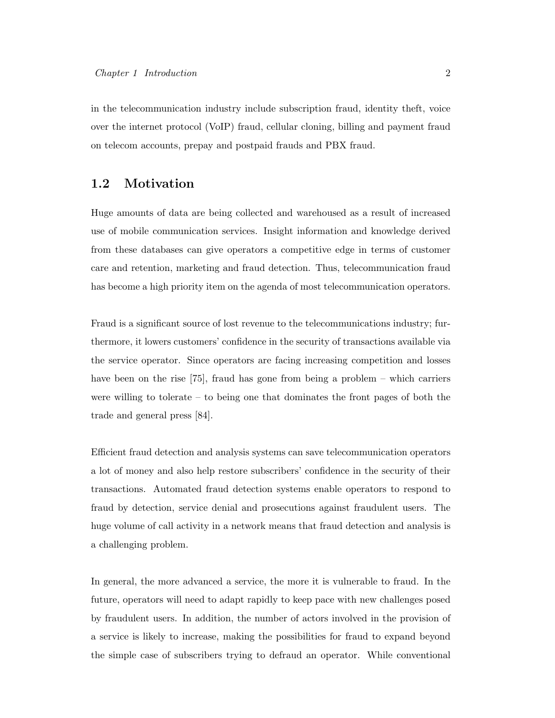in the telecommunication industry include subscription fraud, identity theft, voice over the internet protocol (VoIP) fraud, cellular cloning, billing and payment fraud on telecom accounts, prepay and postpaid frauds and PBX fraud.

#### 1.2 Motivation

Huge amounts of data are being collected and warehoused as a result of increased use of mobile communication services. Insight information and knowledge derived from these databases can give operators a competitive edge in terms of customer care and retention, marketing and fraud detection. Thus, telecommunication fraud has become a high priority item on the agenda of most telecommunication operators.

Fraud is a significant source of lost revenue to the telecommunications industry; furthermore, it lowers customers' confidence in the security of transactions available via the service operator. Since operators are facing increasing competition and losses have been on the rise [75], fraud has gone from being a problem – which carriers were willing to tolerate – to being one that dominates the front pages of both the trade and general press [84].

Efficient fraud detection and analysis systems can save telecommunication operators a lot of money and also help restore subscribers' confidence in the security of their transactions. Automated fraud detection systems enable operators to respond to fraud by detection, service denial and prosecutions against fraudulent users. The huge volume of call activity in a network means that fraud detection and analysis is a challenging problem.

In general, the more advanced a service, the more it is vulnerable to fraud. In the future, operators will need to adapt rapidly to keep pace with new challenges posed by fraudulent users. In addition, the number of actors involved in the provision of a service is likely to increase, making the possibilities for fraud to expand beyond the simple case of subscribers trying to defraud an operator. While conventional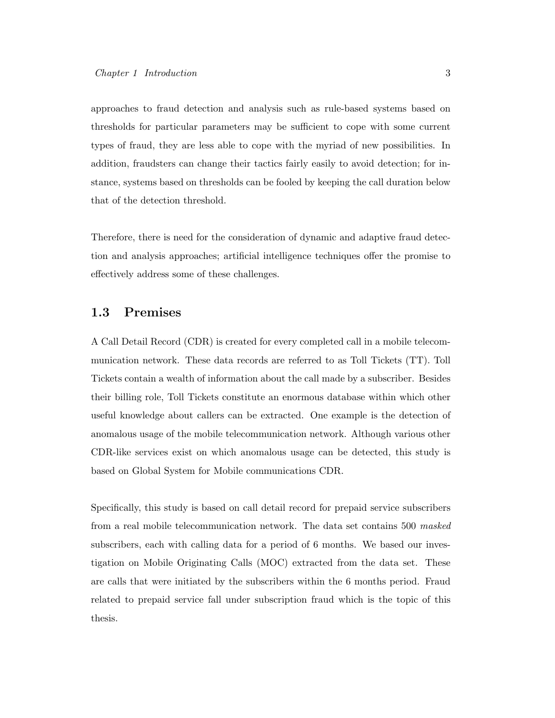approaches to fraud detection and analysis such as rule-based systems based on thresholds for particular parameters may be sufficient to cope with some current types of fraud, they are less able to cope with the myriad of new possibilities. In addition, fraudsters can change their tactics fairly easily to avoid detection; for instance, systems based on thresholds can be fooled by keeping the call duration below that of the detection threshold.

Therefore, there is need for the consideration of dynamic and adaptive fraud detection and analysis approaches; artificial intelligence techniques offer the promise to effectively address some of these challenges.

#### 1.3 Premises

A Call Detail Record (CDR) is created for every completed call in a mobile telecommunication network. These data records are referred to as Toll Tickets (TT). Toll Tickets contain a wealth of information about the call made by a subscriber. Besides their billing role, Toll Tickets constitute an enormous database within which other useful knowledge about callers can be extracted. One example is the detection of anomalous usage of the mobile telecommunication network. Although various other CDR-like services exist on which anomalous usage can be detected, this study is based on Global System for Mobile communications CDR.

Specifically, this study is based on call detail record for prepaid service subscribers from a real mobile telecommunication network. The data set contains 500 masked subscribers, each with calling data for a period of 6 months. We based our investigation on Mobile Originating Calls (MOC) extracted from the data set. These are calls that were initiated by the subscribers within the 6 months period. Fraud related to prepaid service fall under subscription fraud which is the topic of this thesis.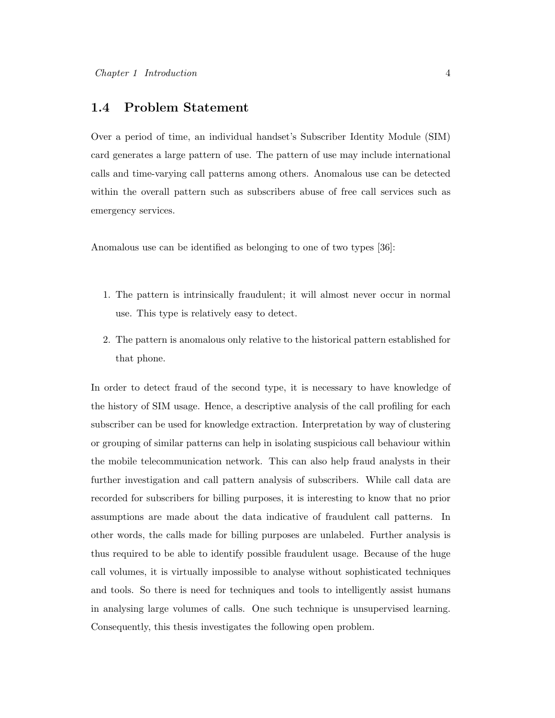#### 1.4 Problem Statement

Over a period of time, an individual handset's Subscriber Identity Module (SIM) card generates a large pattern of use. The pattern of use may include international calls and time-varying call patterns among others. Anomalous use can be detected within the overall pattern such as subscribers abuse of free call services such as emergency services.

Anomalous use can be identified as belonging to one of two types [36]:

- 1. The pattern is intrinsically fraudulent; it will almost never occur in normal use. This type is relatively easy to detect.
- 2. The pattern is anomalous only relative to the historical pattern established for that phone.

In order to detect fraud of the second type, it is necessary to have knowledge of the history of SIM usage. Hence, a descriptive analysis of the call profiling for each subscriber can be used for knowledge extraction. Interpretation by way of clustering or grouping of similar patterns can help in isolating suspicious call behaviour within the mobile telecommunication network. This can also help fraud analysts in their further investigation and call pattern analysis of subscribers. While call data are recorded for subscribers for billing purposes, it is interesting to know that no prior assumptions are made about the data indicative of fraudulent call patterns. In other words, the calls made for billing purposes are unlabeled. Further analysis is thus required to be able to identify possible fraudulent usage. Because of the huge call volumes, it is virtually impossible to analyse without sophisticated techniques and tools. So there is need for techniques and tools to intelligently assist humans in analysing large volumes of calls. One such technique is unsupervised learning. Consequently, this thesis investigates the following open problem.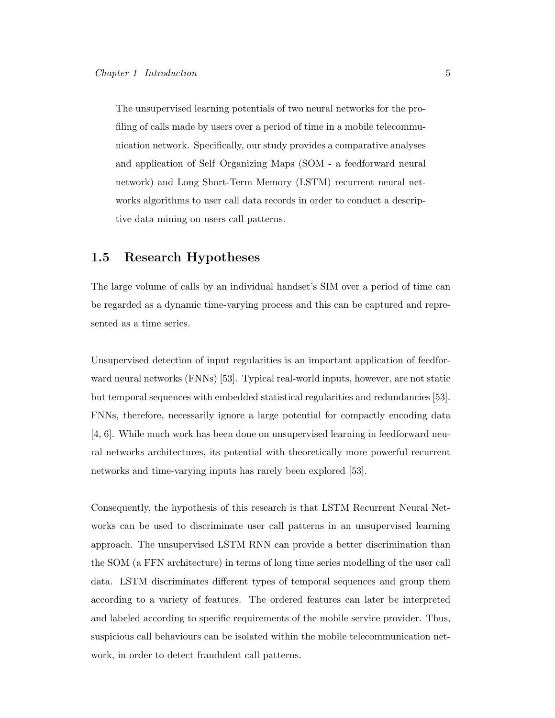The unsupervised learning potentials of two neural networks for the profiling of calls made by users over a period of time in a mobile telecommunication network. Specifically, our study provides a comparative analyses and application of Self–Organizing Maps (SOM - a feedforward neural network) and Long Short-Term Memory (LSTM) recurrent neural networks algorithms to user call data records in order to conduct a descriptive data mining on users call patterns.

#### 1.5 Research Hypotheses

The large volume of calls by an individual handset's SIM over a period of time can be regarded as a dynamic time-varying process and this can be captured and represented as a time series.

Unsupervised detection of input regularities is an important application of feedforward neural networks (FNNs) [53]. Typical real-world inputs, however, are not static but temporal sequences with embedded statistical regularities and redundancies [53]. FNNs, therefore, necessarily ignore a large potential for compactly encoding data [4, 6]. While much work has been done on unsupervised learning in feedforward neural networks architectures, its potential with theoretically more powerful recurrent networks and time-varying inputs has rarely been explored [53].

Consequently, the hypothesis of this research is that LSTM Recurrent Neural Networks can be used to discriminate user call patterns in an unsupervised learning approach. The unsupervised LSTM RNN can provide a better discrimination than the SOM (a FFN architecture) in terms of long time series modelling of the user call data. LSTM discriminates different types of temporal sequences and group them according to a variety of features. The ordered features can later be interpreted and labeled according to specific requirements of the mobile service provider. Thus, suspicious call behaviours can be isolated within the mobile telecommunication network, in order to detect fraudulent call patterns.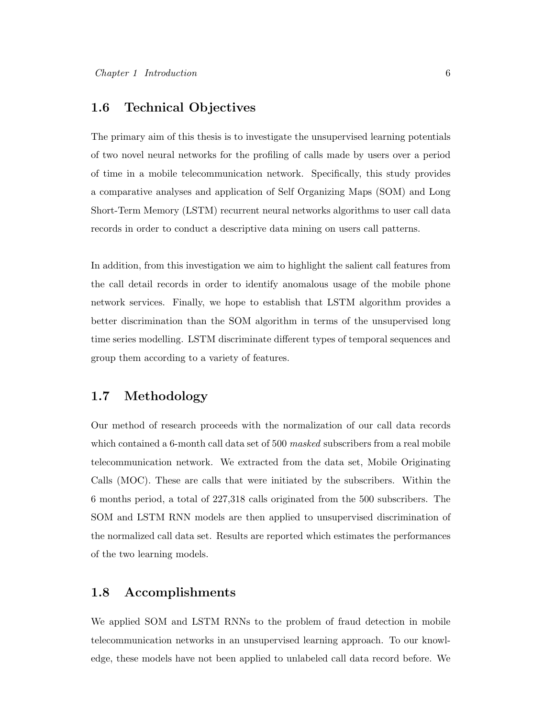#### 1.6 Technical Objectives

The primary aim of this thesis is to investigate the unsupervised learning potentials of two novel neural networks for the profiling of calls made by users over a period of time in a mobile telecommunication network. Specifically, this study provides a comparative analyses and application of Self Organizing Maps (SOM) and Long Short-Term Memory (LSTM) recurrent neural networks algorithms to user call data records in order to conduct a descriptive data mining on users call patterns.

In addition, from this investigation we aim to highlight the salient call features from the call detail records in order to identify anomalous usage of the mobile phone network services. Finally, we hope to establish that LSTM algorithm provides a better discrimination than the SOM algorithm in terms of the unsupervised long time series modelling. LSTM discriminate different types of temporal sequences and group them according to a variety of features.

#### 1.7 Methodology

Our method of research proceeds with the normalization of our call data records which contained a 6-month call data set of 500 masked subscribers from a real mobile telecommunication network. We extracted from the data set, Mobile Originating Calls (MOC). These are calls that were initiated by the subscribers. Within the 6 months period, a total of 227,318 calls originated from the 500 subscribers. The SOM and LSTM RNN models are then applied to unsupervised discrimination of the normalized call data set. Results are reported which estimates the performances of the two learning models.

#### 1.8 Accomplishments

We applied SOM and LSTM RNNs to the problem of fraud detection in mobile telecommunication networks in an unsupervised learning approach. To our knowledge, these models have not been applied to unlabeled call data record before. We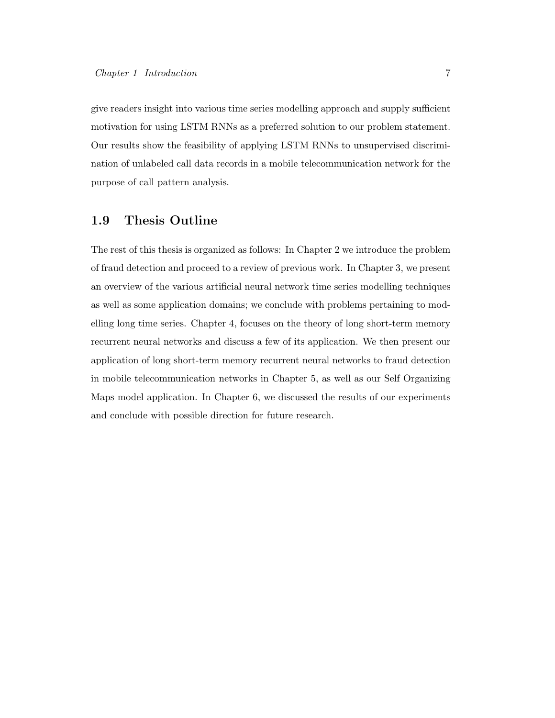give readers insight into various time series modelling approach and supply sufficient motivation for using LSTM RNNs as a preferred solution to our problem statement. Our results show the feasibility of applying LSTM RNNs to unsupervised discrimination of unlabeled call data records in a mobile telecommunication network for the purpose of call pattern analysis.

#### 1.9 Thesis Outline

The rest of this thesis is organized as follows: In Chapter 2 we introduce the problem of fraud detection and proceed to a review of previous work. In Chapter 3, we present an overview of the various artificial neural network time series modelling techniques as well as some application domains; we conclude with problems pertaining to modelling long time series. Chapter 4, focuses on the theory of long short-term memory recurrent neural networks and discuss a few of its application. We then present our application of long short-term memory recurrent neural networks to fraud detection in mobile telecommunication networks in Chapter 5, as well as our Self Organizing Maps model application. In Chapter 6, we discussed the results of our experiments and conclude with possible direction for future research.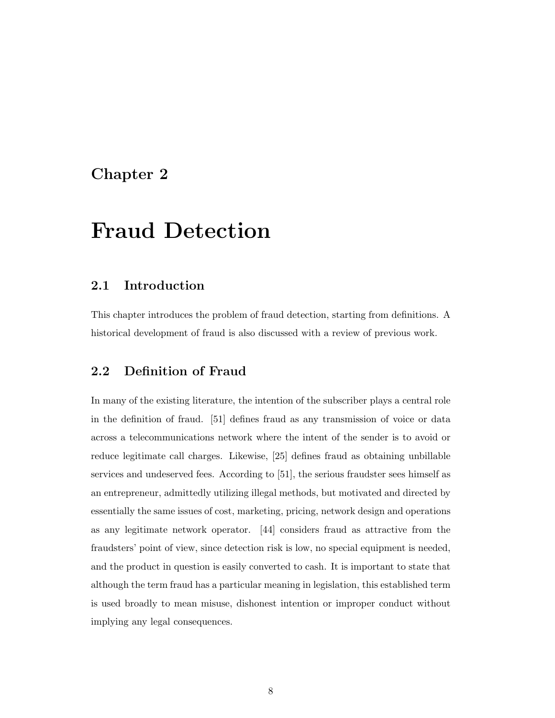#### Chapter 2

### Fraud Detection

#### 2.1 Introduction

This chapter introduces the problem of fraud detection, starting from definitions. A historical development of fraud is also discussed with a review of previous work.

#### 2.2 Definition of Fraud

In many of the existing literature, the intention of the subscriber plays a central role in the definition of fraud. [51] defines fraud as any transmission of voice or data across a telecommunications network where the intent of the sender is to avoid or reduce legitimate call charges. Likewise, [25] defines fraud as obtaining unbillable services and undeserved fees. According to [51], the serious fraudster sees himself as an entrepreneur, admittedly utilizing illegal methods, but motivated and directed by essentially the same issues of cost, marketing, pricing, network design and operations as any legitimate network operator. [44] considers fraud as attractive from the fraudsters' point of view, since detection risk is low, no special equipment is needed, and the product in question is easily converted to cash. It is important to state that although the term fraud has a particular meaning in legislation, this established term is used broadly to mean misuse, dishonest intention or improper conduct without implying any legal consequences.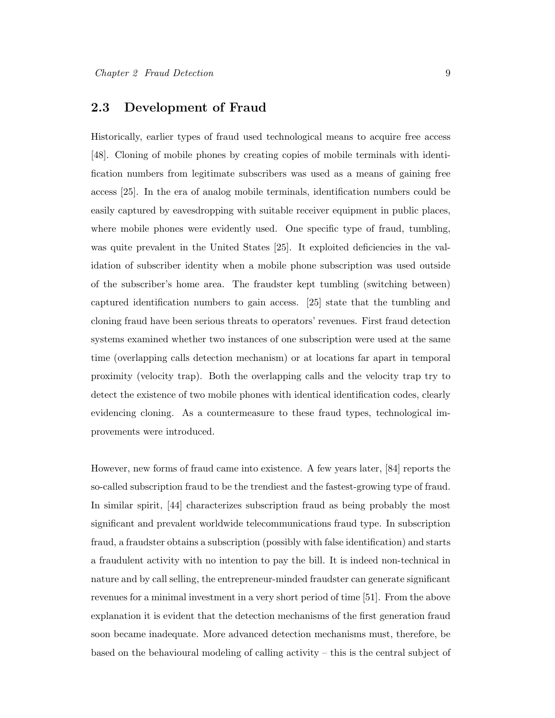#### 2.3 Development of Fraud

Historically, earlier types of fraud used technological means to acquire free access [48]. Cloning of mobile phones by creating copies of mobile terminals with identification numbers from legitimate subscribers was used as a means of gaining free access [25]. In the era of analog mobile terminals, identification numbers could be easily captured by eavesdropping with suitable receiver equipment in public places, where mobile phones were evidently used. One specific type of fraud, tumbling, was quite prevalent in the United States [25]. It exploited deficiencies in the validation of subscriber identity when a mobile phone subscription was used outside of the subscriber's home area. The fraudster kept tumbling (switching between) captured identification numbers to gain access. [25] state that the tumbling and cloning fraud have been serious threats to operators' revenues. First fraud detection systems examined whether two instances of one subscription were used at the same time (overlapping calls detection mechanism) or at locations far apart in temporal proximity (velocity trap). Both the overlapping calls and the velocity trap try to detect the existence of two mobile phones with identical identification codes, clearly evidencing cloning. As a countermeasure to these fraud types, technological improvements were introduced.

However, new forms of fraud came into existence. A few years later, [84] reports the so-called subscription fraud to be the trendiest and the fastest-growing type of fraud. In similar spirit, [44] characterizes subscription fraud as being probably the most significant and prevalent worldwide telecommunications fraud type. In subscription fraud, a fraudster obtains a subscription (possibly with false identification) and starts a fraudulent activity with no intention to pay the bill. It is indeed non-technical in nature and by call selling, the entrepreneur-minded fraudster can generate significant revenues for a minimal investment in a very short period of time [51]. From the above explanation it is evident that the detection mechanisms of the first generation fraud soon became inadequate. More advanced detection mechanisms must, therefore, be based on the behavioural modeling of calling activity – this is the central subject of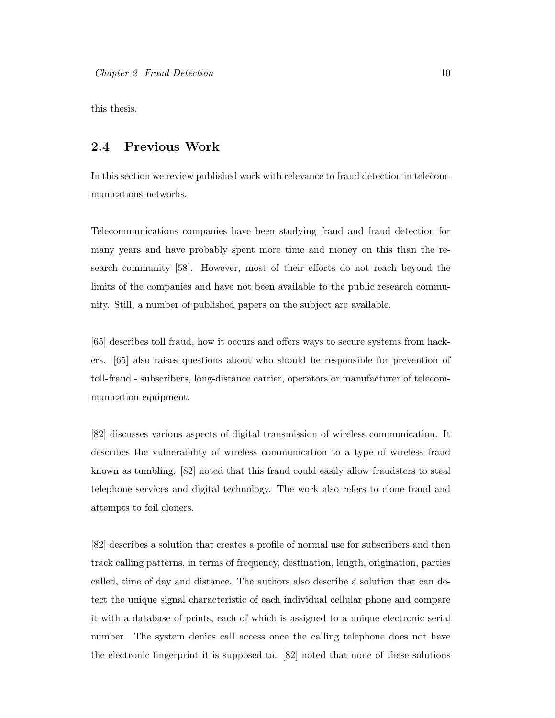this thesis.

#### 2.4 Previous Work

In this section we review published work with relevance to fraud detection in telecommunications networks.

Telecommunications companies have been studying fraud and fraud detection for many years and have probably spent more time and money on this than the research community [58]. However, most of their efforts do not reach beyond the limits of the companies and have not been available to the public research community. Still, a number of published papers on the subject are available.

[65] describes toll fraud, how it occurs and offers ways to secure systems from hackers. [65] also raises questions about who should be responsible for prevention of toll-fraud - subscribers, long-distance carrier, operators or manufacturer of telecommunication equipment.

[82] discusses various aspects of digital transmission of wireless communication. It describes the vulnerability of wireless communication to a type of wireless fraud known as tumbling. [82] noted that this fraud could easily allow fraudsters to steal telephone services and digital technology. The work also refers to clone fraud and attempts to foil cloners.

[82] describes a solution that creates a profile of normal use for subscribers and then track calling patterns, in terms of frequency, destination, length, origination, parties called, time of day and distance. The authors also describe a solution that can detect the unique signal characteristic of each individual cellular phone and compare it with a database of prints, each of which is assigned to a unique electronic serial number. The system denies call access once the calling telephone does not have the electronic fingerprint it is supposed to. [82] noted that none of these solutions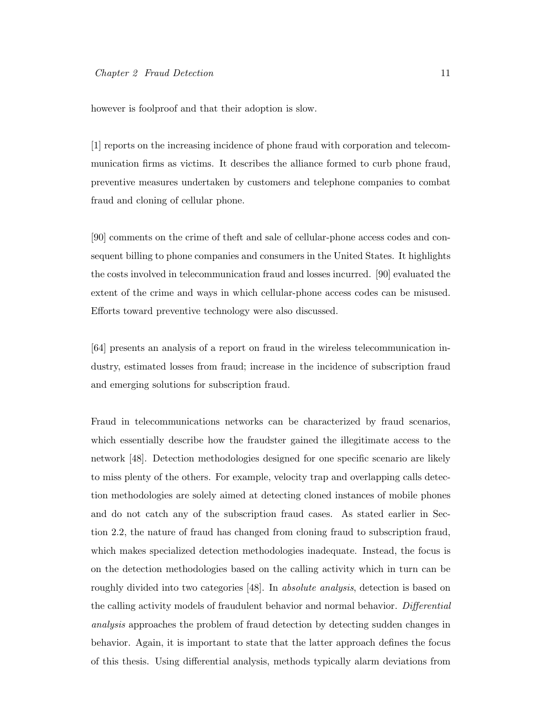however is foolproof and that their adoption is slow.

[1] reports on the increasing incidence of phone fraud with corporation and telecommunication firms as victims. It describes the alliance formed to curb phone fraud, preventive measures undertaken by customers and telephone companies to combat fraud and cloning of cellular phone.

[90] comments on the crime of theft and sale of cellular-phone access codes and consequent billing to phone companies and consumers in the United States. It highlights the costs involved in telecommunication fraud and losses incurred. [90] evaluated the extent of the crime and ways in which cellular-phone access codes can be misused. Efforts toward preventive technology were also discussed.

[64] presents an analysis of a report on fraud in the wireless telecommunication industry, estimated losses from fraud; increase in the incidence of subscription fraud and emerging solutions for subscription fraud.

Fraud in telecommunications networks can be characterized by fraud scenarios, which essentially describe how the fraudster gained the illegitimate access to the network [48]. Detection methodologies designed for one specific scenario are likely to miss plenty of the others. For example, velocity trap and overlapping calls detection methodologies are solely aimed at detecting cloned instances of mobile phones and do not catch any of the subscription fraud cases. As stated earlier in Section 2.2, the nature of fraud has changed from cloning fraud to subscription fraud, which makes specialized detection methodologies inadequate. Instead, the focus is on the detection methodologies based on the calling activity which in turn can be roughly divided into two categories [48]. In absolute analysis, detection is based on the calling activity models of fraudulent behavior and normal behavior. Differential analysis approaches the problem of fraud detection by detecting sudden changes in behavior. Again, it is important to state that the latter approach defines the focus of this thesis. Using differential analysis, methods typically alarm deviations from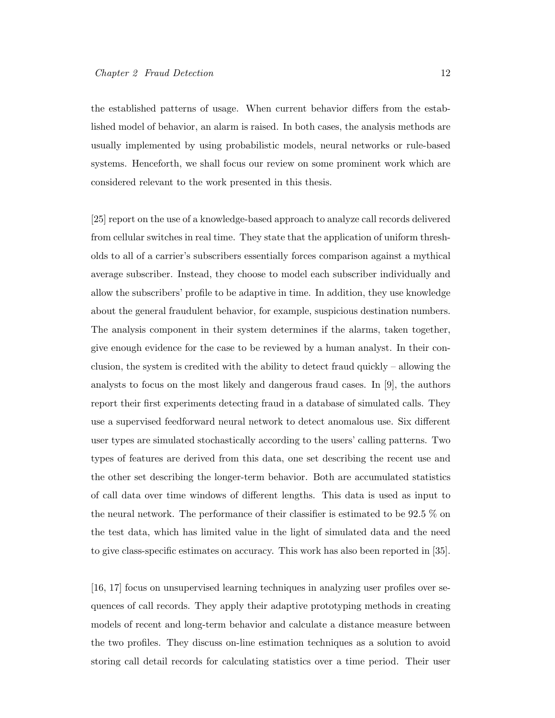the established patterns of usage. When current behavior differs from the established model of behavior, an alarm is raised. In both cases, the analysis methods are usually implemented by using probabilistic models, neural networks or rule-based systems. Henceforth, we shall focus our review on some prominent work which are considered relevant to the work presented in this thesis.

[25] report on the use of a knowledge-based approach to analyze call records delivered from cellular switches in real time. They state that the application of uniform thresholds to all of a carrier's subscribers essentially forces comparison against a mythical average subscriber. Instead, they choose to model each subscriber individually and allow the subscribers' profile to be adaptive in time. In addition, they use knowledge about the general fraudulent behavior, for example, suspicious destination numbers. The analysis component in their system determines if the alarms, taken together, give enough evidence for the case to be reviewed by a human analyst. In their conclusion, the system is credited with the ability to detect fraud quickly – allowing the analysts to focus on the most likely and dangerous fraud cases. In [9], the authors report their first experiments detecting fraud in a database of simulated calls. They use a supervised feedforward neural network to detect anomalous use. Six different user types are simulated stochastically according to the users' calling patterns. Two types of features are derived from this data, one set describing the recent use and the other set describing the longer-term behavior. Both are accumulated statistics of call data over time windows of different lengths. This data is used as input to the neural network. The performance of their classifier is estimated to be 92.5 % on the test data, which has limited value in the light of simulated data and the need to give class-specific estimates on accuracy. This work has also been reported in [35].

[16, 17] focus on unsupervised learning techniques in analyzing user profiles over sequences of call records. They apply their adaptive prototyping methods in creating models of recent and long-term behavior and calculate a distance measure between the two profiles. They discuss on-line estimation techniques as a solution to avoid storing call detail records for calculating statistics over a time period. Their user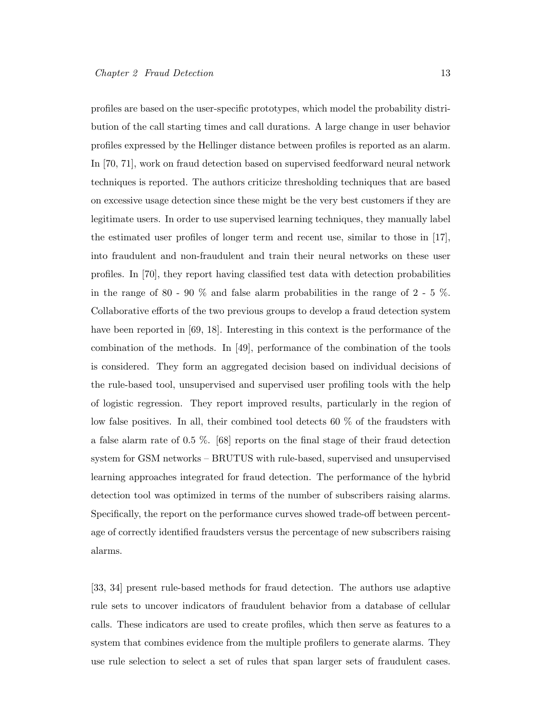profiles are based on the user-specific prototypes, which model the probability distribution of the call starting times and call durations. A large change in user behavior profiles expressed by the Hellinger distance between profiles is reported as an alarm. In [70, 71], work on fraud detection based on supervised feedforward neural network techniques is reported. The authors criticize thresholding techniques that are based on excessive usage detection since these might be the very best customers if they are legitimate users. In order to use supervised learning techniques, they manually label the estimated user profiles of longer term and recent use, similar to those in [17], into fraudulent and non-fraudulent and train their neural networks on these user profiles. In [70], they report having classified test data with detection probabilities in the range of 80 - 90  $\%$  and false alarm probabilities in the range of 2 - 5  $\%$ . Collaborative efforts of the two previous groups to develop a fraud detection system have been reported in [69, 18]. Interesting in this context is the performance of the combination of the methods. In [49], performance of the combination of the tools is considered. They form an aggregated decision based on individual decisions of the rule-based tool, unsupervised and supervised user profiling tools with the help of logistic regression. They report improved results, particularly in the region of low false positives. In all, their combined tool detects 60 % of the fraudsters with a false alarm rate of 0.5 %. [68] reports on the final stage of their fraud detection system for GSM networks – BRUTUS with rule-based, supervised and unsupervised learning approaches integrated for fraud detection. The performance of the hybrid detection tool was optimized in terms of the number of subscribers raising alarms. Specifically, the report on the performance curves showed trade-off between percentage of correctly identified fraudsters versus the percentage of new subscribers raising alarms.

[33, 34] present rule-based methods for fraud detection. The authors use adaptive rule sets to uncover indicators of fraudulent behavior from a database of cellular calls. These indicators are used to create profiles, which then serve as features to a system that combines evidence from the multiple profilers to generate alarms. They use rule selection to select a set of rules that span larger sets of fraudulent cases.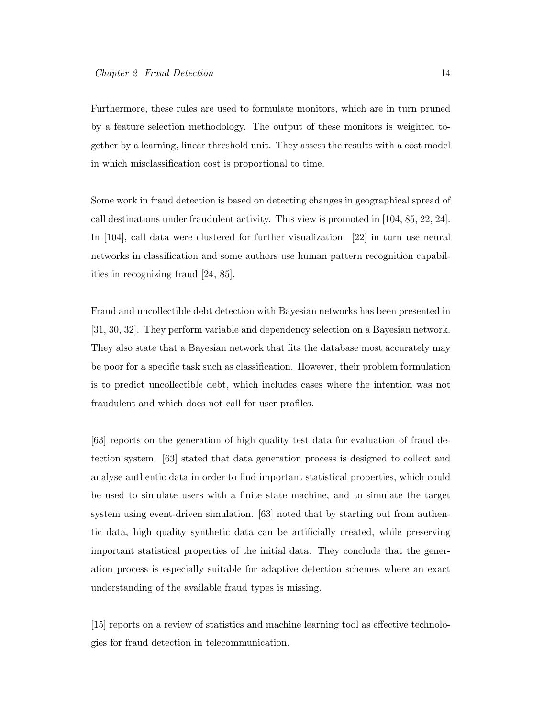Furthermore, these rules are used to formulate monitors, which are in turn pruned by a feature selection methodology. The output of these monitors is weighted together by a learning, linear threshold unit. They assess the results with a cost model in which misclassification cost is proportional to time.

Some work in fraud detection is based on detecting changes in geographical spread of call destinations under fraudulent activity. This view is promoted in [104, 85, 22, 24]. In [104], call data were clustered for further visualization. [22] in turn use neural networks in classification and some authors use human pattern recognition capabilities in recognizing fraud [24, 85].

Fraud and uncollectible debt detection with Bayesian networks has been presented in [31, 30, 32]. They perform variable and dependency selection on a Bayesian network. They also state that a Bayesian network that fits the database most accurately may be poor for a specific task such as classification. However, their problem formulation is to predict uncollectible debt, which includes cases where the intention was not fraudulent and which does not call for user profiles.

[63] reports on the generation of high quality test data for evaluation of fraud detection system. [63] stated that data generation process is designed to collect and analyse authentic data in order to find important statistical properties, which could be used to simulate users with a finite state machine, and to simulate the target system using event-driven simulation. [63] noted that by starting out from authentic data, high quality synthetic data can be artificially created, while preserving important statistical properties of the initial data. They conclude that the generation process is especially suitable for adaptive detection schemes where an exact understanding of the available fraud types is missing.

[15] reports on a review of statistics and machine learning tool as effective technologies for fraud detection in telecommunication.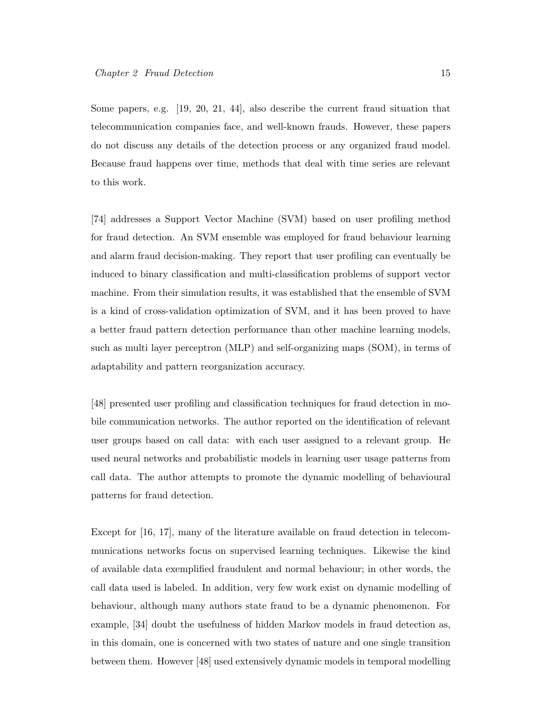Some papers, e.g. [19, 20, 21, 44], also describe the current fraud situation that telecommunication companies face, and well-known frauds. However, these papers do not discuss any details of the detection process or any organized fraud model. Because fraud happens over time, methods that deal with time series are relevant to this work.

[74] addresses a Support Vector Machine (SVM) based on user profiling method for fraud detection. An SVM ensemble was employed for fraud behaviour learning and alarm fraud decision-making. They report that user profiling can eventually be induced to binary classification and multi-classification problems of support vector machine. From their simulation results, it was established that the ensemble of SVM is a kind of cross-validation optimization of SVM, and it has been proved to have a better fraud pattern detection performance than other machine learning models, such as multi layer perceptron (MLP) and self-organizing maps (SOM), in terms of adaptability and pattern reorganization accuracy.

[48] presented user profiling and classification techniques for fraud detection in mobile communication networks. The author reported on the identification of relevant user groups based on call data: with each user assigned to a relevant group. He used neural networks and probabilistic models in learning user usage patterns from call data. The author attempts to promote the dynamic modelling of behavioural patterns for fraud detection.

Except for [16, 17], many of the literature available on fraud detection in telecommunications networks focus on supervised learning techniques. Likewise the kind of available data exemplified fraudulent and normal behaviour; in other words, the call data used is labeled. In addition, very few work exist on dynamic modelling of behaviour, although many authors state fraud to be a dynamic phenomenon. For example, [34] doubt the usefulness of hidden Markov models in fraud detection as, in this domain, one is concerned with two states of nature and one single transition between them. However [48] used extensively dynamic models in temporal modelling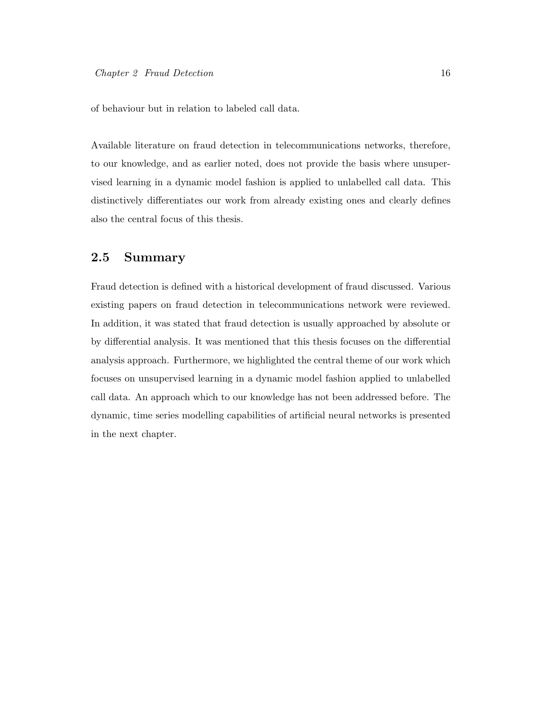of behaviour but in relation to labeled call data.

Available literature on fraud detection in telecommunications networks, therefore, to our knowledge, and as earlier noted, does not provide the basis where unsupervised learning in a dynamic model fashion is applied to unlabelled call data. This distinctively differentiates our work from already existing ones and clearly defines also the central focus of this thesis.

#### 2.5 Summary

Fraud detection is defined with a historical development of fraud discussed. Various existing papers on fraud detection in telecommunications network were reviewed. In addition, it was stated that fraud detection is usually approached by absolute or by differential analysis. It was mentioned that this thesis focuses on the differential analysis approach. Furthermore, we highlighted the central theme of our work which focuses on unsupervised learning in a dynamic model fashion applied to unlabelled call data. An approach which to our knowledge has not been addressed before. The dynamic, time series modelling capabilities of artificial neural networks is presented in the next chapter.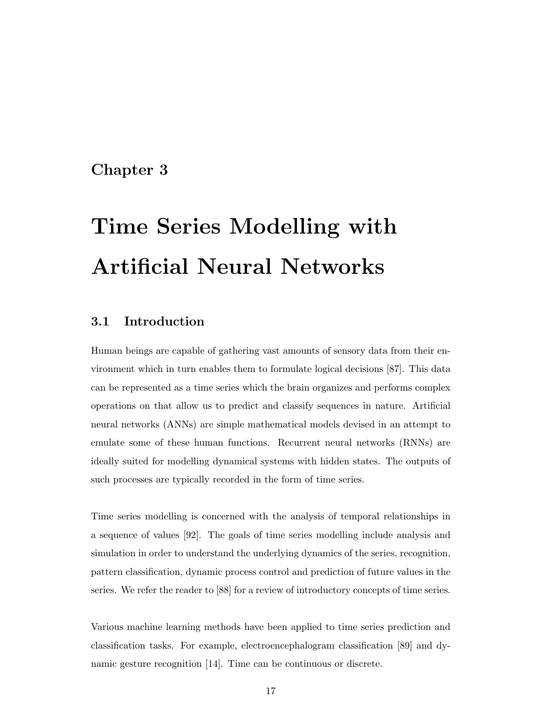#### Chapter 3

# Time Series Modelling with Artificial Neural Networks

#### 3.1 Introduction

Human beings are capable of gathering vast amounts of sensory data from their environment which in turn enables them to formulate logical decisions [87]. This data can be represented as a time series which the brain organizes and performs complex operations on that allow us to predict and classify sequences in nature. Artificial neural networks (ANNs) are simple mathematical models devised in an attempt to emulate some of these human functions. Recurrent neural networks (RNNs) are ideally suited for modelling dynamical systems with hidden states. The outputs of such processes are typically recorded in the form of time series.

Time series modelling is concerned with the analysis of temporal relationships in a sequence of values [92]. The goals of time series modelling include analysis and simulation in order to understand the underlying dynamics of the series, recognition, pattern classification, dynamic process control and prediction of future values in the series. We refer the reader to [88] for a review of introductory concepts of time series.

Various machine learning methods have been applied to time series prediction and classification tasks. For example, electroencephalogram classification [89] and dynamic gesture recognition [14]. Time can be continuous or discrete.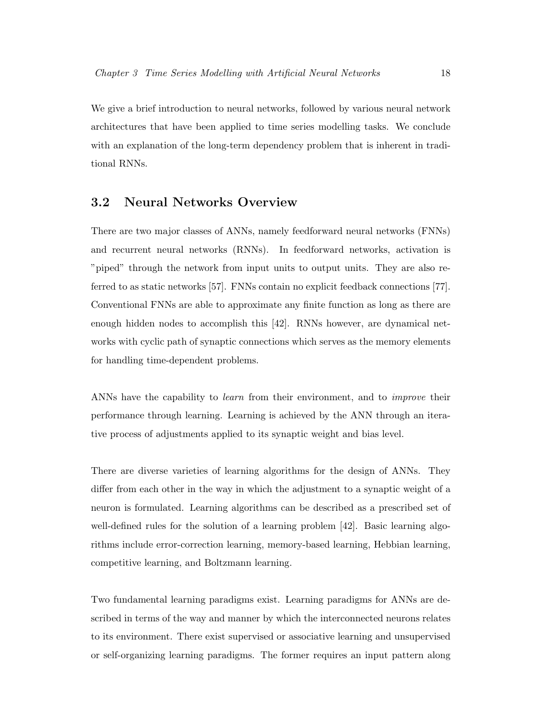We give a brief introduction to neural networks, followed by various neural network architectures that have been applied to time series modelling tasks. We conclude with an explanation of the long-term dependency problem that is inherent in traditional RNNs.

#### 3.2 Neural Networks Overview

There are two major classes of ANNs, namely feedforward neural networks (FNNs) and recurrent neural networks (RNNs). In feedforward networks, activation is "piped" through the network from input units to output units. They are also referred to as static networks [57]. FNNs contain no explicit feedback connections [77]. Conventional FNNs are able to approximate any finite function as long as there are enough hidden nodes to accomplish this [42]. RNNs however, are dynamical networks with cyclic path of synaptic connections which serves as the memory elements for handling time-dependent problems.

ANNs have the capability to *learn* from their environment, and to *improve* their performance through learning. Learning is achieved by the ANN through an iterative process of adjustments applied to its synaptic weight and bias level.

There are diverse varieties of learning algorithms for the design of ANNs. They differ from each other in the way in which the adjustment to a synaptic weight of a neuron is formulated. Learning algorithms can be described as a prescribed set of well-defined rules for the solution of a learning problem [42]. Basic learning algorithms include error-correction learning, memory-based learning, Hebbian learning, competitive learning, and Boltzmann learning.

Two fundamental learning paradigms exist. Learning paradigms for ANNs are described in terms of the way and manner by which the interconnected neurons relates to its environment. There exist supervised or associative learning and unsupervised or self-organizing learning paradigms. The former requires an input pattern along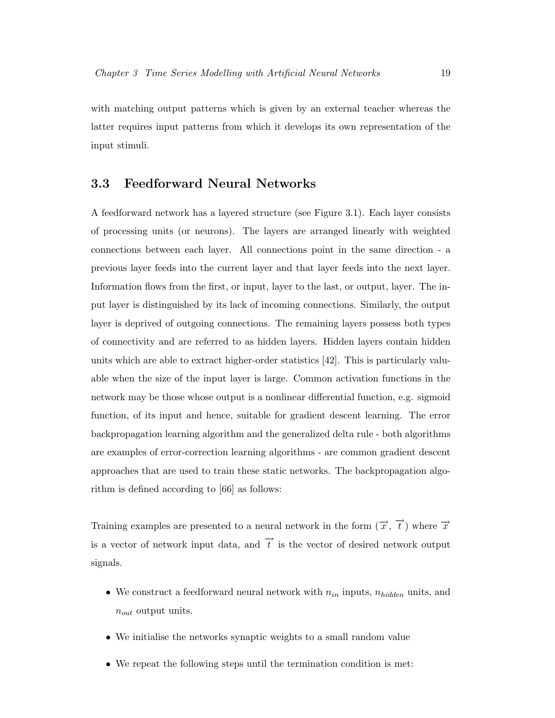with matching output patterns which is given by an external teacher whereas the latter requires input patterns from which it develops its own representation of the input stimuli.

#### 3.3 Feedforward Neural Networks

A feedforward network has a layered structure (see Figure 3.1). Each layer consists of processing units (or neurons). The layers are arranged linearly with weighted connections between each layer. All connections point in the same direction - a previous layer feeds into the current layer and that layer feeds into the next layer. Information flows from the first, or input, layer to the last, or output, layer. The input layer is distinguished by its lack of incoming connections. Similarly, the output layer is deprived of outgoing connections. The remaining layers possess both types of connectivity and are referred to as hidden layers. Hidden layers contain hidden units which are able to extract higher-order statistics [42]. This is particularly valuable when the size of the input layer is large. Common activation functions in the network may be those whose output is a nonlinear differential function, e.g. sigmoid function, of its input and hence, suitable for gradient descent learning. The error backpropagation learning algorithm and the generalized delta rule - both algorithms are examples of error-correction learning algorithms - are common gradient descent approaches that are used to train these static networks. The backpropagation algorithm is defined according to [66] as follows:

Training examples are presented to a neural network in the form  $(\vec{x}, \vec{t})$  where  $\vec{x}$ is a vector of network input data, and  $\overrightarrow{t}$  is the vector of desired network output signals.

- We construct a feedforward neural network with  $n_{in}$  inputs,  $n_{hidden}$  units, and  $n_{out}$  output units.
- We initialise the networks synaptic weights to a small random value
- We repeat the following steps until the termination condition is met: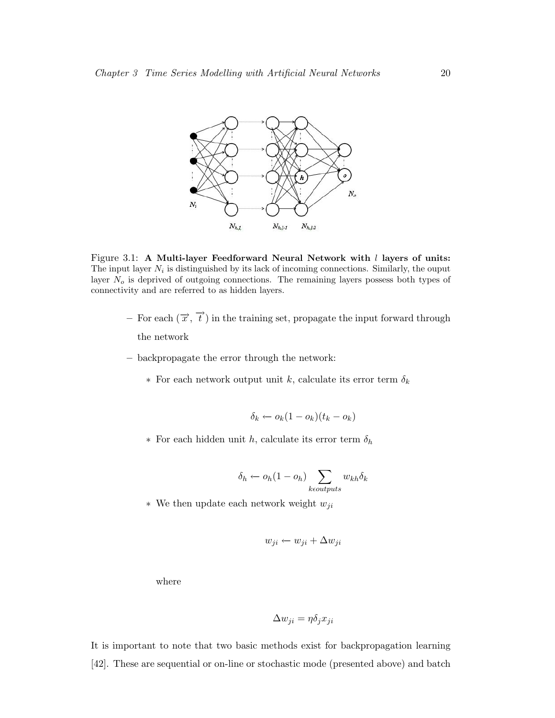

Figure 3.1: A Multi-layer Feedforward Neural Network with  $l$  layers of units: The input layer  $N_i$  is distinguished by its lack of incoming connections. Similarly, the ouput layer  $N<sub>o</sub>$  is deprived of outgoing connections. The remaining layers possess both types of connectivity and are referred to as hidden layers.

- $-$  For each  $(\vec{x}, \vec{t})$  in the training set, propagate the input forward through the network
- backpropagate the error through the network:
	- ∗ For each network output unit k, calculate its error term δ<sup>k</sup>

$$
\delta_k \leftarrow o_k(1 - o_k)(t_k - o_k)
$$

∗ For each hidden unit h, calculate its error term δ<sup>h</sup>

$$
\delta_h \leftarrow o_h(1 - o_h) \sum_{k \in outputs} w_{kh} \delta_k
$$

 $*$  We then update each network weight  $w_{ji}$ 

$$
w_{ji} \leftarrow w_{ji} + \Delta w_{ji}
$$

where

$$
\Delta w_{ji} = \eta \delta_j x_{ji}
$$

It is important to note that two basic methods exist for backpropagation learning [42]. These are sequential or on-line or stochastic mode (presented above) and batch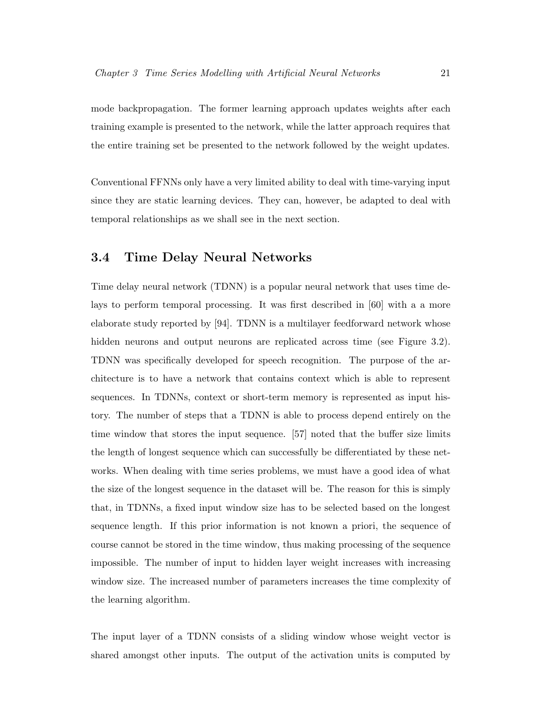mode backpropagation. The former learning approach updates weights after each training example is presented to the network, while the latter approach requires that the entire training set be presented to the network followed by the weight updates.

Conventional FFNNs only have a very limited ability to deal with time-varying input since they are static learning devices. They can, however, be adapted to deal with temporal relationships as we shall see in the next section.

#### 3.4 Time Delay Neural Networks

Time delay neural network (TDNN) is a popular neural network that uses time delays to perform temporal processing. It was first described in [60] with a a more elaborate study reported by [94]. TDNN is a multilayer feedforward network whose hidden neurons and output neurons are replicated across time (see Figure 3.2). TDNN was specifically developed for speech recognition. The purpose of the architecture is to have a network that contains context which is able to represent sequences. In TDNNs, context or short-term memory is represented as input history. The number of steps that a TDNN is able to process depend entirely on the time window that stores the input sequence. [57] noted that the buffer size limits the length of longest sequence which can successfully be differentiated by these networks. When dealing with time series problems, we must have a good idea of what the size of the longest sequence in the dataset will be. The reason for this is simply that, in TDNNs, a fixed input window size has to be selected based on the longest sequence length. If this prior information is not known a priori, the sequence of course cannot be stored in the time window, thus making processing of the sequence impossible. The number of input to hidden layer weight increases with increasing window size. The increased number of parameters increases the time complexity of the learning algorithm.

The input layer of a TDNN consists of a sliding window whose weight vector is shared amongst other inputs. The output of the activation units is computed by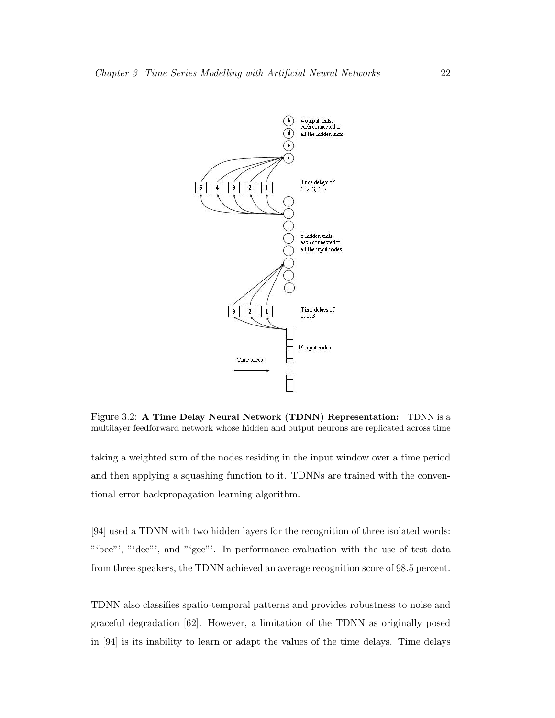

Figure 3.2: A Time Delay Neural Network (TDNN) Representation: TDNN is a multilayer feedforward network whose hidden and output neurons are replicated across time

taking a weighted sum of the nodes residing in the input window over a time period and then applying a squashing function to it. TDNNs are trained with the conventional error backpropagation learning algorithm.

[94] used a TDNN with two hidden layers for the recognition of three isolated words: "'bee"', "'dee"', and "'gee"'. In performance evaluation with the use of test data from three speakers, the TDNN achieved an average recognition score of 98.5 percent.

TDNN also classifies spatio-temporal patterns and provides robustness to noise and graceful degradation [62]. However, a limitation of the TDNN as originally posed in [94] is its inability to learn or adapt the values of the time delays. Time delays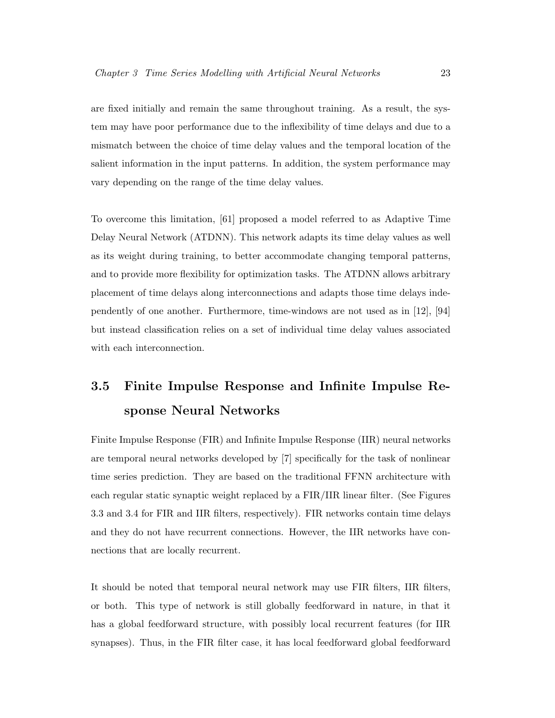are fixed initially and remain the same throughout training. As a result, the system may have poor performance due to the inflexibility of time delays and due to a mismatch between the choice of time delay values and the temporal location of the salient information in the input patterns. In addition, the system performance may vary depending on the range of the time delay values.

To overcome this limitation, [61] proposed a model referred to as Adaptive Time Delay Neural Network (ATDNN). This network adapts its time delay values as well as its weight during training, to better accommodate changing temporal patterns, and to provide more flexibility for optimization tasks. The ATDNN allows arbitrary placement of time delays along interconnections and adapts those time delays independently of one another. Furthermore, time-windows are not used as in [12], [94] but instead classification relies on a set of individual time delay values associated with each interconnection.

# 3.5 Finite Impulse Response and Infinite Impulse Response Neural Networks

Finite Impulse Response (FIR) and Infinite Impulse Response (IIR) neural networks are temporal neural networks developed by [7] specifically for the task of nonlinear time series prediction. They are based on the traditional FFNN architecture with each regular static synaptic weight replaced by a FIR/IIR linear filter. (See Figures 3.3 and 3.4 for FIR and IIR filters, respectively). FIR networks contain time delays and they do not have recurrent connections. However, the IIR networks have connections that are locally recurrent.

It should be noted that temporal neural network may use FIR filters, IIR filters, or both. This type of network is still globally feedforward in nature, in that it has a global feedforward structure, with possibly local recurrent features (for IIR synapses). Thus, in the FIR filter case, it has local feedforward global feedforward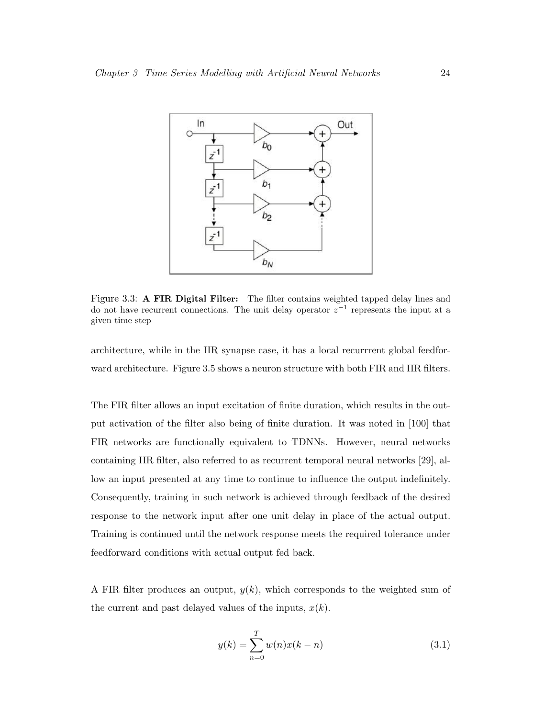

Figure 3.3: A FIR Digital Filter: The filter contains weighted tapped delay lines and do not have recurrent connections. The unit delay operator  $z^{-1}$  represents the input at a given time step

architecture, while in the IIR synapse case, it has a local recurrrent global feedforward architecture. Figure 3.5 shows a neuron structure with both FIR and IIR filters.

The FIR filter allows an input excitation of finite duration, which results in the output activation of the filter also being of finite duration. It was noted in [100] that FIR networks are functionally equivalent to TDNNs. However, neural networks containing IIR filter, also referred to as recurrent temporal neural networks [29], allow an input presented at any time to continue to influence the output indefinitely. Consequently, training in such network is achieved through feedback of the desired response to the network input after one unit delay in place of the actual output. Training is continued until the network response meets the required tolerance under feedforward conditions with actual output fed back.

A FIR filter produces an output,  $y(k)$ , which corresponds to the weighted sum of the current and past delayed values of the inputs,  $x(k)$ .

$$
y(k) = \sum_{n=0}^{T} w(n)x(k-n)
$$
 (3.1)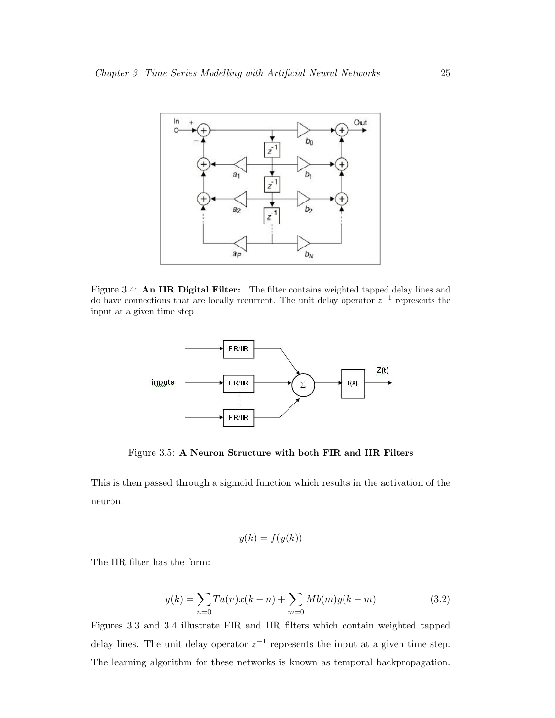

Figure 3.4: An IIR Digital Filter: The filter contains weighted tapped delay lines and do have connections that are locally recurrent. The unit delay operator  $z^{-1}$  represents the input at a given time step



Figure 3.5: A Neuron Structure with both FIR and IIR Filters

This is then passed through a sigmoid function which results in the activation of the neuron.

$$
y(k) = f(y(k))
$$

The IIR filter has the form:

$$
y(k) = \sum_{n=0} T a(n)x(k-n) + \sum_{m=0} M b(m)y(k-m)
$$
 (3.2)

Figures 3.3 and 3.4 illustrate FIR and IIR filters which contain weighted tapped delay lines. The unit delay operator  $z^{-1}$  represents the input at a given time step. The learning algorithm for these networks is known as temporal backpropagation.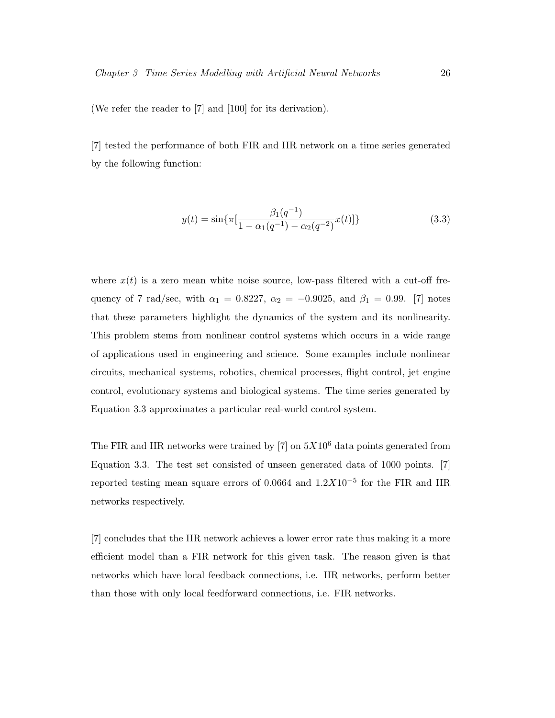(We refer the reader to [7] and [100] for its derivation).

[7] tested the performance of both FIR and IIR network on a time series generated by the following function:

$$
y(t) = \sin\{\pi \left[\frac{\beta_1(q^{-1})}{1 - \alpha_1(q^{-1}) - \alpha_2(q^{-2})} x(t)\right]\}\tag{3.3}
$$

where  $x(t)$  is a zero mean white noise source, low-pass filtered with a cut-off frequency of 7 rad/sec, with  $\alpha_1 = 0.8227$ ,  $\alpha_2 = -0.9025$ , and  $\beta_1 = 0.99$ . [7] notes that these parameters highlight the dynamics of the system and its nonlinearity. This problem stems from nonlinear control systems which occurs in a wide range of applications used in engineering and science. Some examples include nonlinear circuits, mechanical systems, robotics, chemical processes, flight control, jet engine control, evolutionary systems and biological systems. The time series generated by Equation 3.3 approximates a particular real-world control system.

The FIR and IIR networks were trained by  $[7]$  on  $5X10^6$  data points generated from Equation 3.3. The test set consisted of unseen generated data of 1000 points. [7] reported testing mean square errors of 0.0664 and  $1.2X10^{-5}$  for the FIR and IIR networks respectively.

[7] concludes that the IIR network achieves a lower error rate thus making it a more efficient model than a FIR network for this given task. The reason given is that networks which have local feedback connections, i.e. IIR networks, perform better than those with only local feedforward connections, i.e. FIR networks.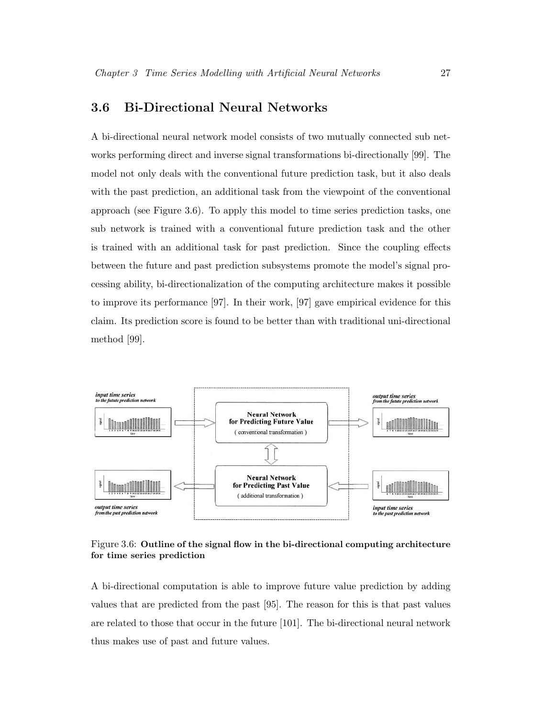## 3.6 Bi-Directional Neural Networks

A bi-directional neural network model consists of two mutually connected sub networks performing direct and inverse signal transformations bi-directionally [99]. The model not only deals with the conventional future prediction task, but it also deals with the past prediction, an additional task from the viewpoint of the conventional approach (see Figure 3.6). To apply this model to time series prediction tasks, one sub network is trained with a conventional future prediction task and the other is trained with an additional task for past prediction. Since the coupling effects between the future and past prediction subsystems promote the model's signal processing ability, bi-directionalization of the computing architecture makes it possible to improve its performance [97]. In their work, [97] gave empirical evidence for this claim. Its prediction score is found to be better than with traditional uni-directional method [99].



Figure 3.6: Outline of the signal flow in the bi-directional computing architecture for time series prediction

A bi-directional computation is able to improve future value prediction by adding values that are predicted from the past [95]. The reason for this is that past values are related to those that occur in the future [101]. The bi-directional neural network thus makes use of past and future values.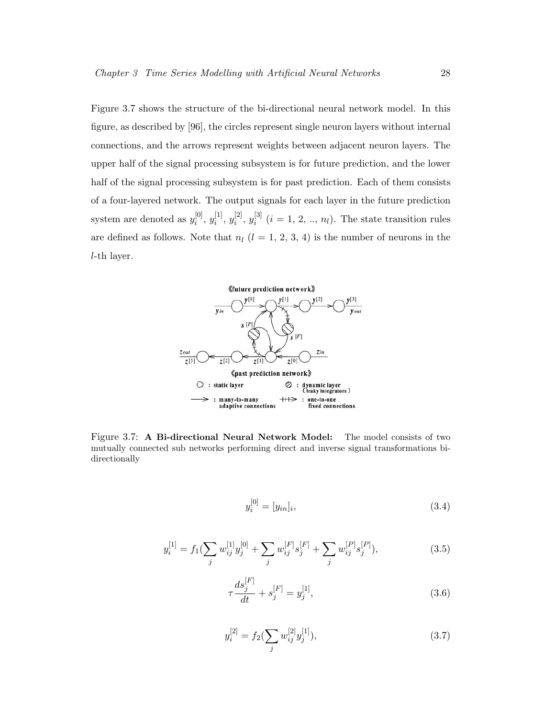Figure 3.7 shows the structure of the bi-directional neural network model. In this figure, as described by [96], the circles represent single neuron layers without internal connections, and the arrows represent weights between adjacent neuron layers. The upper half of the signal processing subsystem is for future prediction, and the lower half of the signal processing subsystem is for past prediction. Each of them consists of a four-layered network. The output signals for each layer in the future prediction system are denoted as  $y_i^{[0]}$  $\binom{[0]}{i}, y_i^{[1]}$  $[i^1, y_i^{[2]}$  $_{i}^{[2]}, y_{i}^{[3]}$  $i_i^{[0]}$   $(i = 1, 2, ..., n_l)$ . The state transition rules are defined as follows. Note that  $n_l$  ( $l = 1, 2, 3, 4$ ) is the number of neurons in the l-th layer.



Figure 3.7: A Bi-directional Neural Network Model: The model consists of two mutually connected sub networks performing direct and inverse signal transformations bidirectionally

$$
y_i^{[0]} = [y_{in}]_i,\tag{3.4}
$$

$$
y_i^{[1]} = f_1(\sum_j w_{ij}^{[1]} y_j^{[0]} + \sum_j w_{ij}^{[F]} s_j^{[F]} + \sum_j w_{ij}^{[P]} s_j^{[P]}),
$$
\n(3.5)

$$
\tau \frac{ds_j^{[F]}}{dt} + s_j^{[F]} = y_j^{[1]},\tag{3.6}
$$

$$
y_i^{[2]} = f_2(\sum_j w_{ij}^{[2]} y_j^{[1]}), \tag{3.7}
$$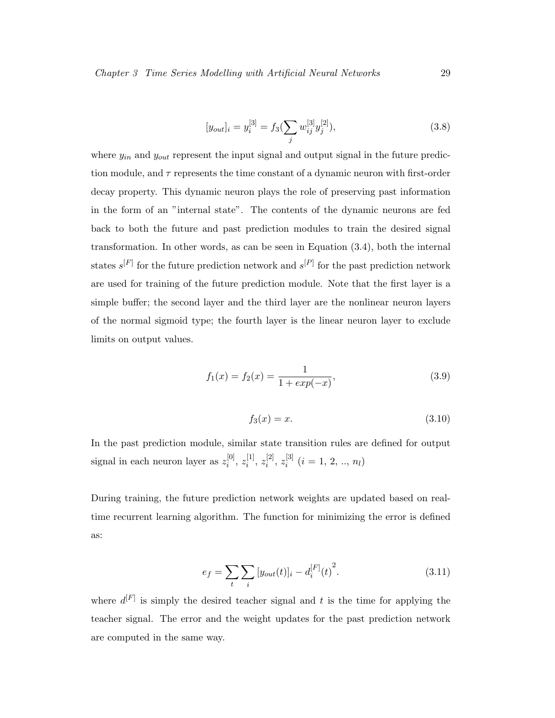$$
[y_{out}]_i = y_i^{[3]} = f_3(\sum_j w_{ij}^{[3]} y_j^{[2]}), \qquad (3.8)
$$

where  $y_{in}$  and  $y_{out}$  represent the input signal and output signal in the future prediction module, and  $\tau$  represents the time constant of a dynamic neuron with first-order decay property. This dynamic neuron plays the role of preserving past information in the form of an "internal state". The contents of the dynamic neurons are fed back to both the future and past prediction modules to train the desired signal transformation. In other words, as can be seen in Equation (3.4), both the internal states  $s^{[F]}$  for the future prediction network and  $s^{[P]}$  for the past prediction network are used for training of the future prediction module. Note that the first layer is a simple buffer; the second layer and the third layer are the nonlinear neuron layers of the normal sigmoid type; the fourth layer is the linear neuron layer to exclude limits on output values.

$$
f_1(x) = f_2(x) = \frac{1}{1 + exp(-x)},
$$
\n(3.9)

$$
f_3(x) = x.\tag{3.10}
$$

In the past prediction module, similar state transition rules are defined for output signal in each neuron layer as  $z_i^{[0]}$  $\begin{smallmatrix} [0] \ i \end{smallmatrix}, \, z^{[1]}_i$  $\genfrac{[}{]}{0pt}{}{1}{i}, z_{i}^{[2]}$  $\left[\begin{smallmatrix} 2 \ i \end{smallmatrix}\right], \, z^{[3]}_i$  $i^{\text{[3]}}$   $(i = 1, 2, ..., n_l)$ 

During training, the future prediction network weights are updated based on realtime recurrent learning algorithm. The function for minimizing the error is defined as:

$$
e_f = \sum_{t} \sum_{i} [y_{out}(t)]_i - d_i^{[F]}(t)^2.
$$
\n(3.11)

where  $d^{[F]}$  is simply the desired teacher signal and t is the time for applying the teacher signal. The error and the weight updates for the past prediction network are computed in the same way.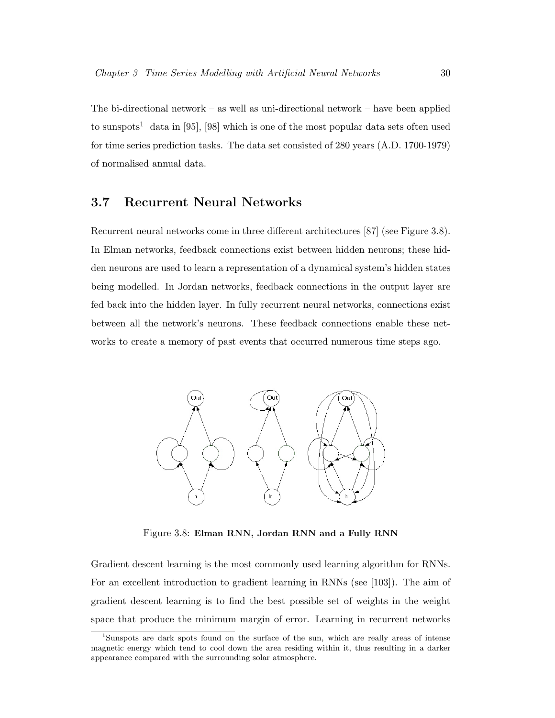The bi-directional network – as well as uni-directional network – have been applied to sunspots<sup>1</sup> data in [95], [98] which is one of the most popular data sets often used for time series prediction tasks. The data set consisted of 280 years (A.D. 1700-1979) of normalised annual data.

### 3.7 Recurrent Neural Networks

Recurrent neural networks come in three different architectures [87] (see Figure 3.8). In Elman networks, feedback connections exist between hidden neurons; these hidden neurons are used to learn a representation of a dynamical system's hidden states being modelled. In Jordan networks, feedback connections in the output layer are fed back into the hidden layer. In fully recurrent neural networks, connections exist between all the network's neurons. These feedback connections enable these networks to create a memory of past events that occurred numerous time steps ago.



Figure 3.8: Elman RNN, Jordan RNN and a Fully RNN

Gradient descent learning is the most commonly used learning algorithm for RNNs. For an excellent introduction to gradient learning in RNNs (see [103]). The aim of gradient descent learning is to find the best possible set of weights in the weight space that produce the minimum margin of error. Learning in recurrent networks

<sup>1</sup>Sunspots are dark spots found on the surface of the sun, which are really areas of intense magnetic energy which tend to cool down the area residing within it, thus resulting in a darker appearance compared with the surrounding solar atmosphere.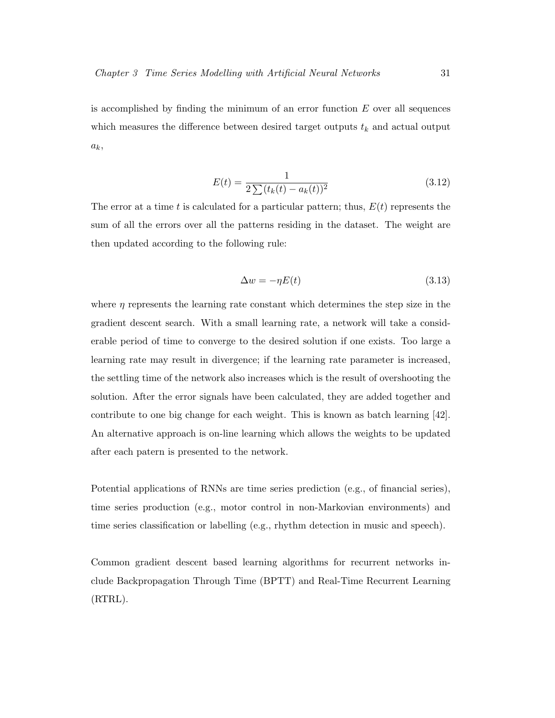is accomplished by finding the minimum of an error function  $E$  over all sequences which measures the difference between desired target outputs  $t_k$  and actual output  $a_k,$ 

$$
E(t) = \frac{1}{2\sum (t_k(t) - a_k(t))^2}
$$
\n(3.12)

The error at a time t is calculated for a particular pattern; thus,  $E(t)$  represents the sum of all the errors over all the patterns residing in the dataset. The weight are then updated according to the following rule:

$$
\Delta w = -\eta E(t) \tag{3.13}
$$

where  $\eta$  represents the learning rate constant which determines the step size in the gradient descent search. With a small learning rate, a network will take a considerable period of time to converge to the desired solution if one exists. Too large a learning rate may result in divergence; if the learning rate parameter is increased, the settling time of the network also increases which is the result of overshooting the solution. After the error signals have been calculated, they are added together and contribute to one big change for each weight. This is known as batch learning [42]. An alternative approach is on-line learning which allows the weights to be updated after each patern is presented to the network.

Potential applications of RNNs are time series prediction (e.g., of financial series), time series production (e.g., motor control in non-Markovian environments) and time series classification or labelling (e.g., rhythm detection in music and speech).

Common gradient descent based learning algorithms for recurrent networks include Backpropagation Through Time (BPTT) and Real-Time Recurrent Learning (RTRL).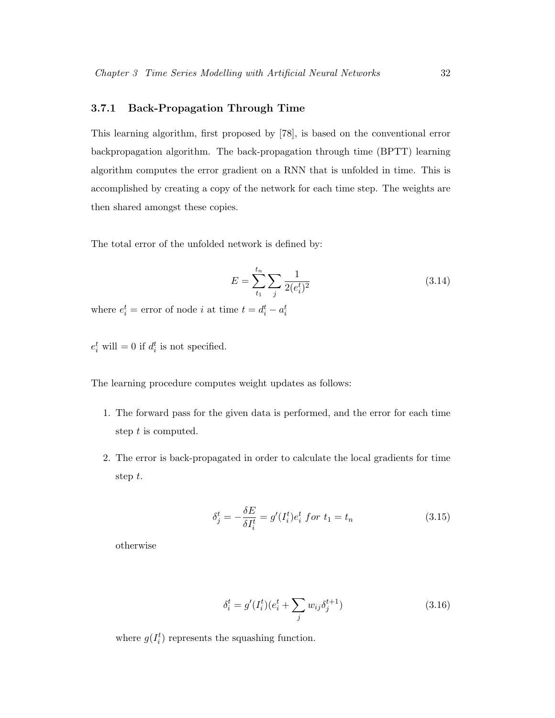#### 3.7.1 Back-Propagation Through Time

This learning algorithm, first proposed by [78], is based on the conventional error backpropagation algorithm. The back-propagation through time (BPTT) learning algorithm computes the error gradient on a RNN that is unfolded in time. This is accomplished by creating a copy of the network for each time step. The weights are then shared amongst these copies.

The total error of the unfolded network is defined by:

$$
E = \sum_{t_1}^{t_n} \sum_{j} \frac{1}{2(e_i^t)^2} \tag{3.14}
$$

where  $e_i^t =$  error of node *i* at time  $t = d_i^t - a_i^t$ 

 $e_i^t$  will = 0 if  $d_i^t$  is not specified.

The learning procedure computes weight updates as follows:

- 1. The forward pass for the given data is performed, and the error for each time step t is computed.
- 2. The error is back-propagated in order to calculate the local gradients for time step t.

$$
\delta_j^t = -\frac{\delta E}{\delta I_i^t} = g'(I_i^t)e_i^t \text{ for } t_1 = t_n \tag{3.15}
$$

otherwise

$$
\delta_i^t = g'(I_i^t)(e_i^t + \sum_j w_{ij} \delta_j^{t+1})
$$
\n(3.16)

where  $g(I_i^t)$  represents the squashing function.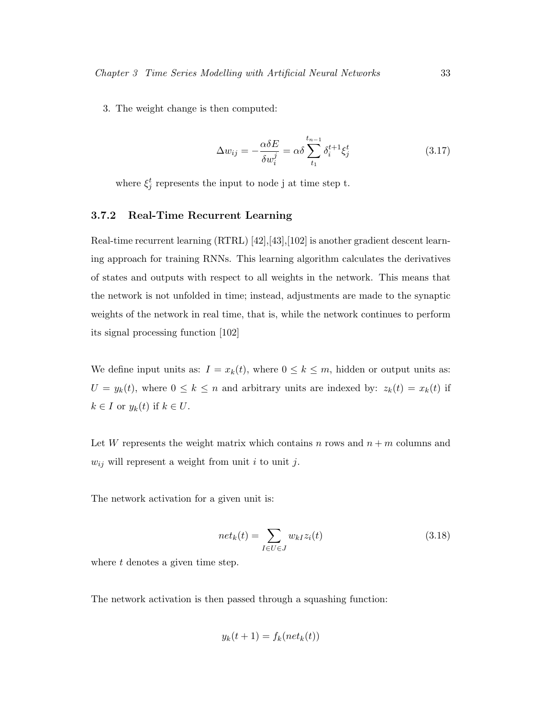3. The weight change is then computed:

$$
\Delta w_{ij} = -\frac{\alpha \delta E}{\delta w_i^j} = \alpha \delta \sum_{t_1}^{t_{n-1}} \delta_i^{t+1} \xi_j^t \tag{3.17}
$$

where  $\xi_j^t$  represents the input to node j at time step t.

#### 3.7.2 Real-Time Recurrent Learning

Real-time recurrent learning (RTRL) [42], [43], [102] is another gradient descent learning approach for training RNNs. This learning algorithm calculates the derivatives of states and outputs with respect to all weights in the network. This means that the network is not unfolded in time; instead, adjustments are made to the synaptic weights of the network in real time, that is, while the network continues to perform its signal processing function [102]

We define input units as:  $I = x_k(t)$ , where  $0 \le k \le m$ , hidden or output units as:  $U = y_k(t)$ , where  $0 \le k \le n$  and arbitrary units are indexed by:  $z_k(t) = x_k(t)$  if  $k \in I$  or  $y_k(t)$  if  $k \in U$ .

Let W represents the weight matrix which contains n rows and  $n + m$  columns and  $w_{ij}$  will represent a weight from unit i to unit j.

The network activation for a given unit is:

$$
net_k(t) = \sum_{I \in U \in J} w_{kI} z_i(t)
$$
\n(3.18)

where  $t$  denotes a given time step.

The network activation is then passed through a squashing function:

$$
y_k(t+1) = f_k(net_k(t))
$$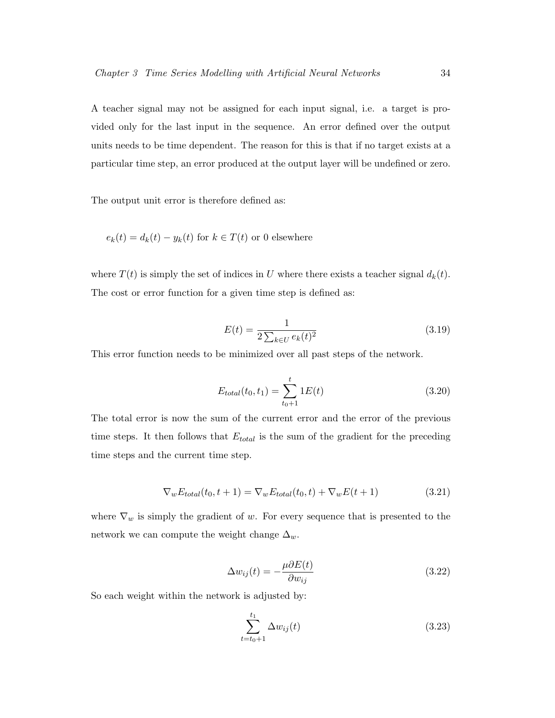A teacher signal may not be assigned for each input signal, i.e. a target is provided only for the last input in the sequence. An error defined over the output units needs to be time dependent. The reason for this is that if no target exists at a particular time step, an error produced at the output layer will be undefined or zero.

The output unit error is therefore defined as:

$$
e_k(t) = d_k(t) - y_k(t)
$$
 for  $k \in T(t)$  or 0 elsewhere

where  $T(t)$  is simply the set of indices in U where there exists a teacher signal  $d_k(t)$ . The cost or error function for a given time step is defined as:

$$
E(t) = \frac{1}{2\sum_{k \in U} e_k(t)^2}
$$
\n(3.19)

This error function needs to be minimized over all past steps of the network.

$$
E_{total}(t_0, t_1) = \sum_{t_0+1}^{t} 1E(t)
$$
\n(3.20)

The total error is now the sum of the current error and the error of the previous time steps. It then follows that  $E_{total}$  is the sum of the gradient for the preceding time steps and the current time step.

$$
\nabla_w E_{total}(t_0, t+1) = \nabla_w E_{total}(t_0, t) + \nabla_w E(t+1)
$$
\n(3.21)

where  $\nabla_w$  is simply the gradient of w. For every sequence that is presented to the network we can compute the weight change  $\Delta_w$ .

$$
\Delta w_{ij}(t) = -\frac{\mu \partial E(t)}{\partial w_{ij}} \tag{3.22}
$$

So each weight within the network is adjusted by:

$$
\sum_{t=t_0+1}^{t_1} \Delta w_{ij}(t) \tag{3.23}
$$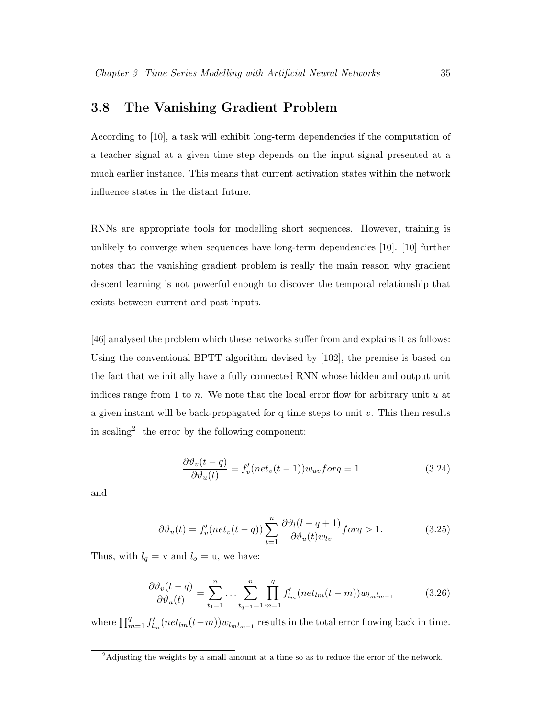## 3.8 The Vanishing Gradient Problem

According to [10], a task will exhibit long-term dependencies if the computation of a teacher signal at a given time step depends on the input signal presented at a much earlier instance. This means that current activation states within the network influence states in the distant future.

RNNs are appropriate tools for modelling short sequences. However, training is unlikely to converge when sequences have long-term dependencies [10]. [10] further notes that the vanishing gradient problem is really the main reason why gradient descent learning is not powerful enough to discover the temporal relationship that exists between current and past inputs.

[46] analysed the problem which these networks suffer from and explains it as follows: Using the conventional BPTT algorithm devised by [102], the premise is based on the fact that we initially have a fully connected RNN whose hidden and output unit indices range from 1 to n. We note that the local error flow for arbitrary unit  $u$  at a given instant will be back-propagated for q time steps to unit  $v$ . This then results in scaling<sup>2</sup> the error by the following component:

$$
\frac{\partial \vartheta_v(t-q)}{\partial \vartheta_u(t)} = f'_v(net_v(t-1))w_{uv}forq = 1
$$
\n(3.24)

and

$$
\partial \vartheta_u(t) = f'_v(net_v(t-q)) \sum_{t=1}^n \frac{\partial \vartheta_l(l-q+1)}{\partial \vartheta_u(t)w_{lv}} \text{for } q > 1. \tag{3.25}
$$

Thus, with  $l_q = v$  and  $l_o = u$ , we have:

$$
\frac{\partial \vartheta_v(t-q)}{\partial \vartheta_u(t)} = \sum_{t_1=1}^n \dots \sum_{t_{q-1}=1}^n \prod_{m=1}^q f'_{l_m}(net_{lm}(t-m))w_{l_m l_{m-1}} \tag{3.26}
$$

where  $\prod_{m=1}^{q} f'_{l_m}(net_{lm}(t-m))w_{l_{m}l_{m-1}}$  results in the total error flowing back in time.

<sup>&</sup>lt;sup>2</sup>Adjusting the weights by a small amount at a time so as to reduce the error of the network.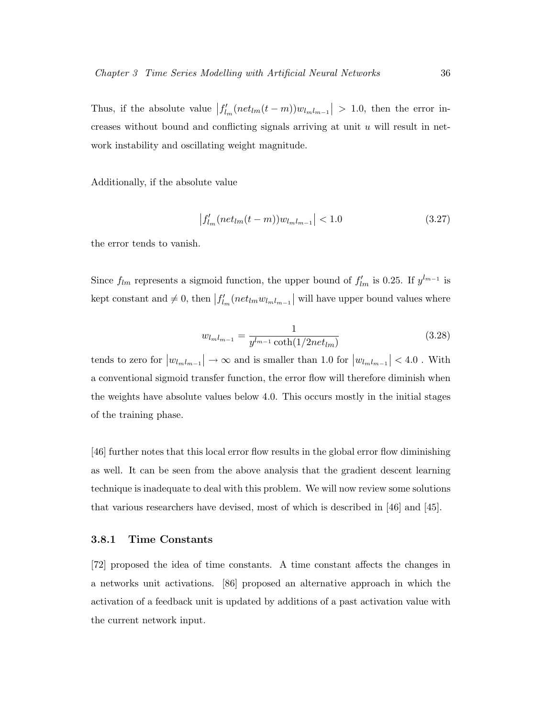Thus, if the absolute value  $|f'_{l_m}(net_{lm}(t-m))w_{l_ml_{m-1}}| > 1.0$ , then the error increases without bound and conflicting signals arriving at unit  $u$  will result in network instability and oscillating weight magnitude.

Additionally, if the absolute value

$$
\left|f'_{l_m}(net_{lm}(t-m))w_{lml_{m-1}}\right| < 1.0\tag{3.27}
$$

the error tends to vanish.

Since  $f_{lm}$  represents a sigmoid function, the upper bound of  $f'_{lm}$  is 0.25. If  $y^{l_{m-1}}$  is kept constant and  $\neq 0$ , then  $|f'_{l_m}(net_{lm}w_{l_ml_{m-1}}|)$  will have upper bound values where

$$
w_{l_m l_{m-1}} = \frac{1}{y^{l_{m-1}} \coth(1/2net_{lm})}
$$
(3.28)

tends to zero for  $|w_{l_m l_{m-1}}| \to \infty$  and is smaller than 1.0 for  $|w_{l_m l_{m-1}}| < 4.0$ . With a conventional sigmoid transfer function, the error flow will therefore diminish when the weights have absolute values below 4.0. This occurs mostly in the initial stages of the training phase.

[46] further notes that this local error flow results in the global error flow diminishing as well. It can be seen from the above analysis that the gradient descent learning technique is inadequate to deal with this problem. We will now review some solutions that various researchers have devised, most of which is described in [46] and [45].

#### 3.8.1 Time Constants

[72] proposed the idea of time constants. A time constant affects the changes in a networks unit activations. [86] proposed an alternative approach in which the activation of a feedback unit is updated by additions of a past activation value with the current network input.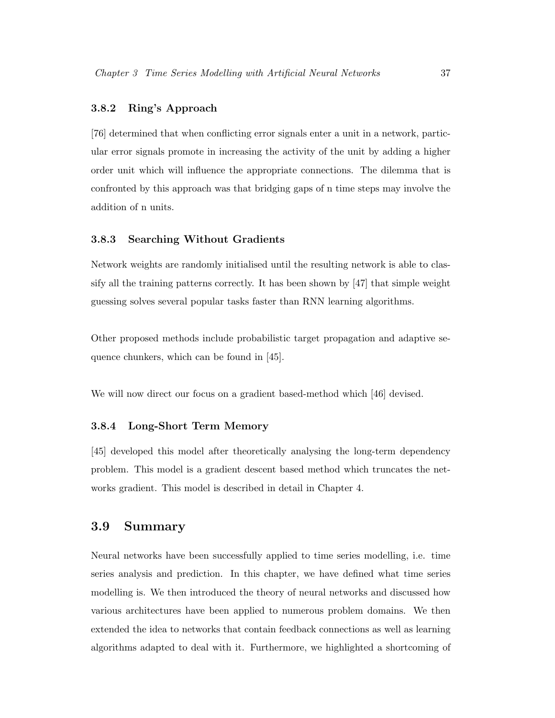#### 3.8.2 Ring's Approach

[76] determined that when conflicting error signals enter a unit in a network, particular error signals promote in increasing the activity of the unit by adding a higher order unit which will influence the appropriate connections. The dilemma that is confronted by this approach was that bridging gaps of n time steps may involve the addition of n units.

#### 3.8.3 Searching Without Gradients

Network weights are randomly initialised until the resulting network is able to classify all the training patterns correctly. It has been shown by [47] that simple weight guessing solves several popular tasks faster than RNN learning algorithms.

Other proposed methods include probabilistic target propagation and adaptive sequence chunkers, which can be found in [45].

We will now direct our focus on a gradient based-method which [46] devised.

#### 3.8.4 Long-Short Term Memory

[45] developed this model after theoretically analysing the long-term dependency problem. This model is a gradient descent based method which truncates the networks gradient. This model is described in detail in Chapter 4.

## 3.9 Summary

Neural networks have been successfully applied to time series modelling, i.e. time series analysis and prediction. In this chapter, we have defined what time series modelling is. We then introduced the theory of neural networks and discussed how various architectures have been applied to numerous problem domains. We then extended the idea to networks that contain feedback connections as well as learning algorithms adapted to deal with it. Furthermore, we highlighted a shortcoming of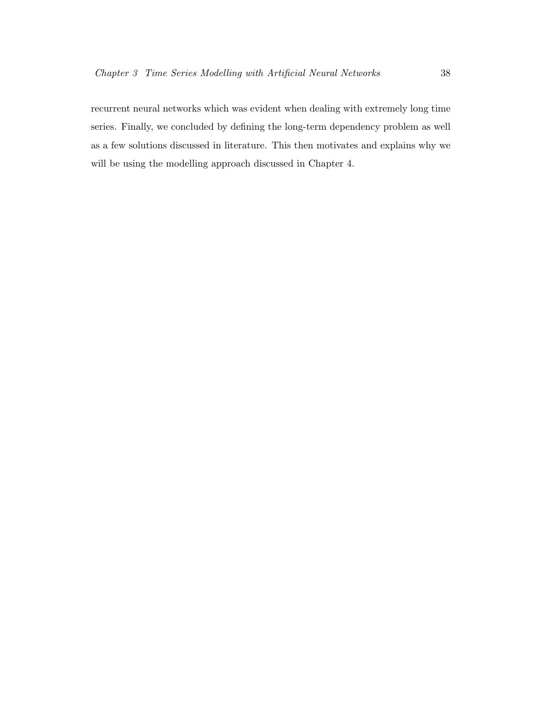recurrent neural networks which was evident when dealing with extremely long time series. Finally, we concluded by defining the long-term dependency problem as well as a few solutions discussed in literature. This then motivates and explains why we will be using the modelling approach discussed in Chapter 4.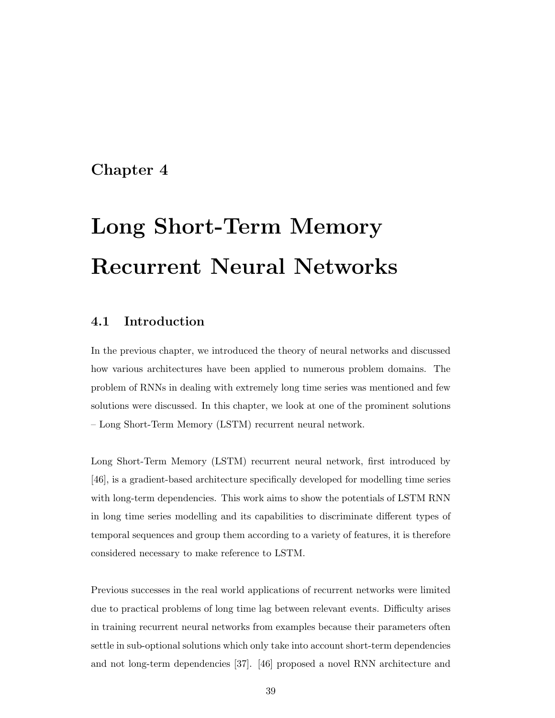## Chapter 4

# Long Short-Term Memory Recurrent Neural Networks

## 4.1 Introduction

In the previous chapter, we introduced the theory of neural networks and discussed how various architectures have been applied to numerous problem domains. The problem of RNNs in dealing with extremely long time series was mentioned and few solutions were discussed. In this chapter, we look at one of the prominent solutions – Long Short-Term Memory (LSTM) recurrent neural network.

Long Short-Term Memory (LSTM) recurrent neural network, first introduced by [46], is a gradient-based architecture specifically developed for modelling time series with long-term dependencies. This work aims to show the potentials of LSTM RNN in long time series modelling and its capabilities to discriminate different types of temporal sequences and group them according to a variety of features, it is therefore considered necessary to make reference to LSTM.

Previous successes in the real world applications of recurrent networks were limited due to practical problems of long time lag between relevant events. Difficulty arises in training recurrent neural networks from examples because their parameters often settle in sub-optional solutions which only take into account short-term dependencies and not long-term dependencies [37]. [46] proposed a novel RNN architecture and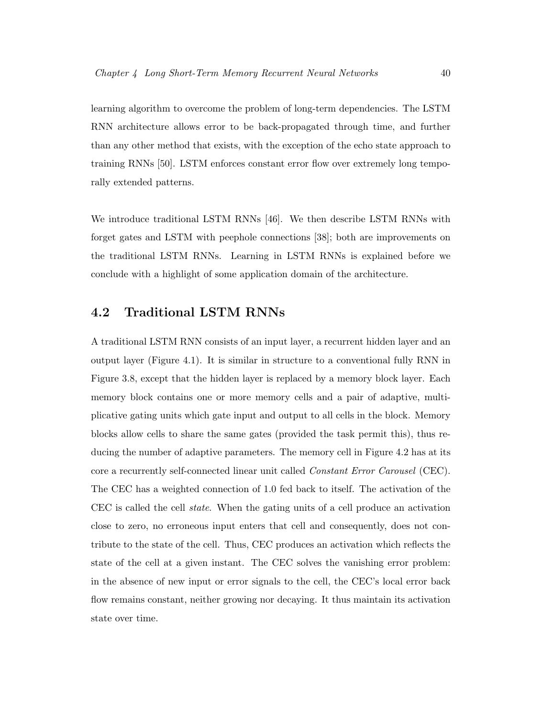learning algorithm to overcome the problem of long-term dependencies. The LSTM RNN architecture allows error to be back-propagated through time, and further than any other method that exists, with the exception of the echo state approach to training RNNs [50]. LSTM enforces constant error flow over extremely long temporally extended patterns.

We introduce traditional LSTM RNNs [46]. We then describe LSTM RNNs with forget gates and LSTM with peephole connections [38]; both are improvements on the traditional LSTM RNNs. Learning in LSTM RNNs is explained before we conclude with a highlight of some application domain of the architecture.

## 4.2 Traditional LSTM RNNs

A traditional LSTM RNN consists of an input layer, a recurrent hidden layer and an output layer (Figure 4.1). It is similar in structure to a conventional fully RNN in Figure 3.8, except that the hidden layer is replaced by a memory block layer. Each memory block contains one or more memory cells and a pair of adaptive, multiplicative gating units which gate input and output to all cells in the block. Memory blocks allow cells to share the same gates (provided the task permit this), thus reducing the number of adaptive parameters. The memory cell in Figure 4.2 has at its core a recurrently self-connected linear unit called Constant Error Carousel (CEC). The CEC has a weighted connection of 1.0 fed back to itself. The activation of the CEC is called the cell state. When the gating units of a cell produce an activation close to zero, no erroneous input enters that cell and consequently, does not contribute to the state of the cell. Thus, CEC produces an activation which reflects the state of the cell at a given instant. The CEC solves the vanishing error problem: in the absence of new input or error signals to the cell, the CEC's local error back flow remains constant, neither growing nor decaying. It thus maintain its activation state over time.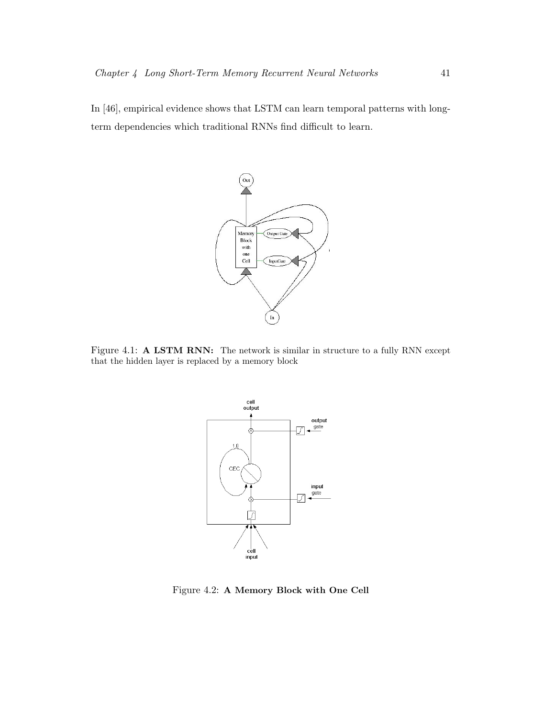In [46], empirical evidence shows that LSTM can learn temporal patterns with longterm dependencies which traditional RNNs find difficult to learn.



Figure 4.1: A LSTM RNN: The network is similar in structure to a fully RNN except that the hidden layer is replaced by a memory block



Figure 4.2: A Memory Block with One Cell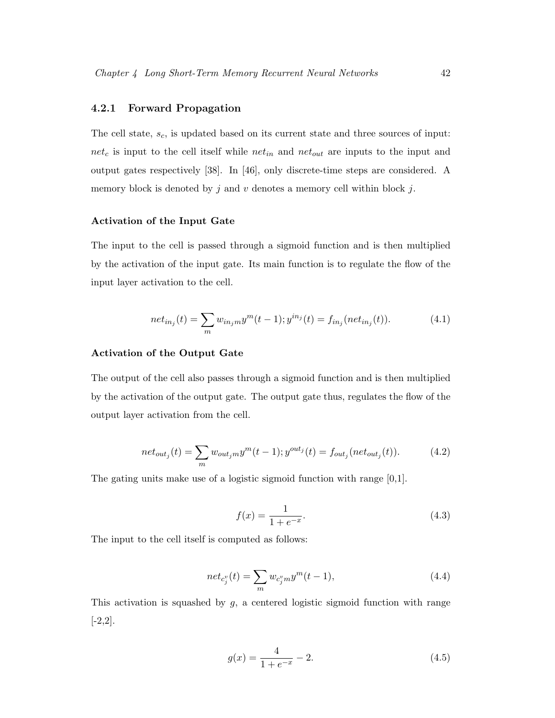#### 4.2.1 Forward Propagation

The cell state,  $s_c$ , is updated based on its current state and three sources of input:  $net_c$  is input to the cell itself while  $net_{in}$  and  $net_{out}$  are inputs to the input and output gates respectively [38]. In [46], only discrete-time steps are considered. A memory block is denoted by  $j$  and  $v$  denotes a memory cell within block  $j$ .

#### Activation of the Input Gate

The input to the cell is passed through a sigmoid function and is then multiplied by the activation of the input gate. Its main function is to regulate the flow of the input layer activation to the cell.

$$
net_{in_j}(t) = \sum_{m} w_{in_jm} y^m(t-1); y^{in_j}(t) = f_{in_j}(net_{in_j}(t)).
$$
\n(4.1)

#### Activation of the Output Gate

The output of the cell also passes through a sigmoid function and is then multiplied by the activation of the output gate. The output gate thus, regulates the flow of the output layer activation from the cell.

$$
net_{out_j}(t) = \sum_{m} w_{out_jm} y^m(t-1); y^{out_j}(t) = f_{out_j}(net_{out_j}(t)).
$$
 (4.2)

The gating units make use of a logistic sigmoid function with range [0,1].

$$
f(x) = \frac{1}{1 + e^{-x}}.\tag{4.3}
$$

The input to the cell itself is computed as follows:

$$
net_{c_j^v}(t) = \sum_m w_{c_j^v m} y^m(t-1),
$$
\n(4.4)

This activation is squashed by  $g$ , a centered logistic sigmoid function with range  $[-2,2]$ .

$$
g(x) = \frac{4}{1 + e^{-x}} - 2.
$$
\n(4.5)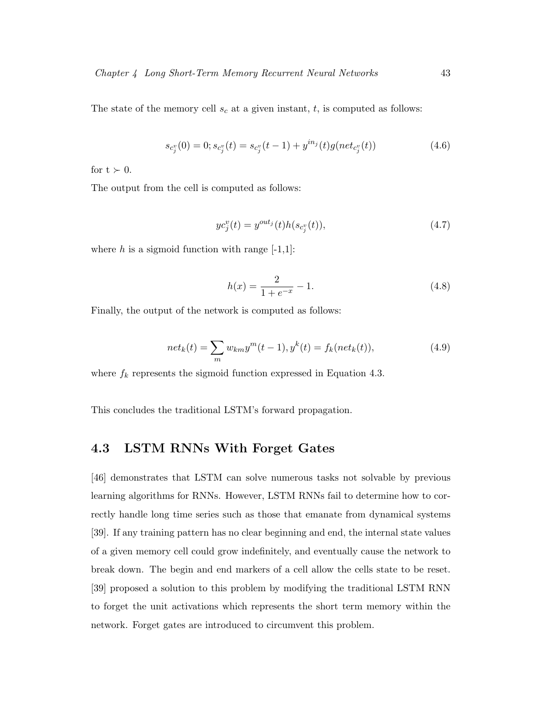The state of the memory cell  $s_c$  at a given instant, t, is computed as follows:

$$
s_{c_j^v}(0) = 0; s_{c_j^v}(t) = s_{c_j^v}(t-1) + y^{in_j}(t)g(net_{c_j^v}(t))
$$
\n(4.6)

for  $t > 0$ .

The output from the cell is computed as follows:

$$
yc_j^v(t) = y^{out_j}(t)h(s_{c_j^v}(t)),
$$
\n(4.7)

where  $h$  is a sigmoid function with range  $[-1,1]$ :

$$
h(x) = \frac{2}{1 + e^{-x}} - 1.
$$
\n(4.8)

Finally, the output of the network is computed as follows:

$$
net_k(t) = \sum_{m} w_{km} y^{m}(t-1), y^{k}(t) = f_k(net_k(t)),
$$
\n(4.9)

where  $f_k$  represents the sigmoid function expressed in Equation 4.3.

This concludes the traditional LSTM's forward propagation.

## 4.3 LSTM RNNs With Forget Gates

[46] demonstrates that LSTM can solve numerous tasks not solvable by previous learning algorithms for RNNs. However, LSTM RNNs fail to determine how to correctly handle long time series such as those that emanate from dynamical systems [39]. If any training pattern has no clear beginning and end, the internal state values of a given memory cell could grow indefinitely, and eventually cause the network to break down. The begin and end markers of a cell allow the cells state to be reset. [39] proposed a solution to this problem by modifying the traditional LSTM RNN to forget the unit activations which represents the short term memory within the network. Forget gates are introduced to circumvent this problem.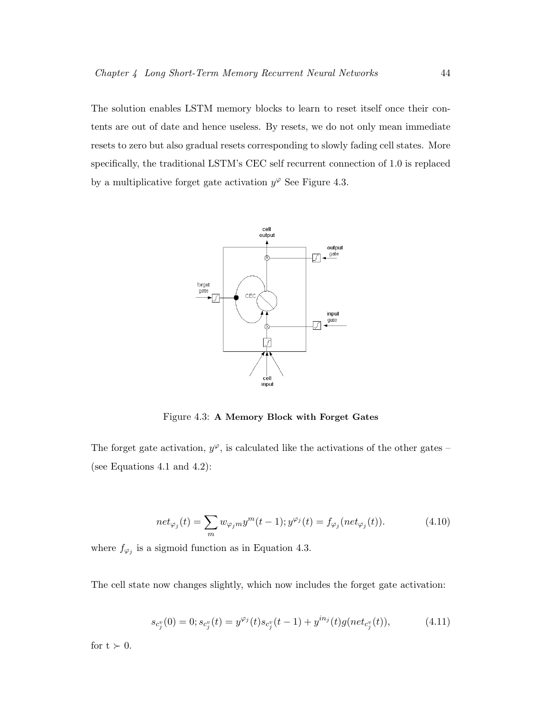The solution enables LSTM memory blocks to learn to reset itself once their contents are out of date and hence useless. By resets, we do not only mean immediate resets to zero but also gradual resets corresponding to slowly fading cell states. More specifically, the traditional LSTM's CEC self recurrent connection of 1.0 is replaced by a multiplicative forget gate activation  $y^{\varphi}$  See Figure 4.3.



Figure 4.3: A Memory Block with Forget Gates

The forget gate activation,  $y^{\varphi}$ , is calculated like the activations of the other gates – (see Equations 4.1 and 4.2):

$$
net_{\varphi_j}(t) = \sum_m w_{\varphi_j m} y^m(t-1); y^{\varphi_j}(t) = f_{\varphi_j}(net_{\varphi_j}(t)).
$$
\n(4.10)

where  $f_{\varphi_j}$  is a sigmoid function as in Equation 4.3.

The cell state now changes slightly, which now includes the forget gate activation:

$$
s_{c_j^v}(0) = 0; s_{c_j^v}(t) = y^{\varphi_j}(t)s_{c_j^v}(t-1) + y^{in_j}(t)g(net_{c_j^v}(t)),
$$
\n(4.11)

for  $t \succ 0$ .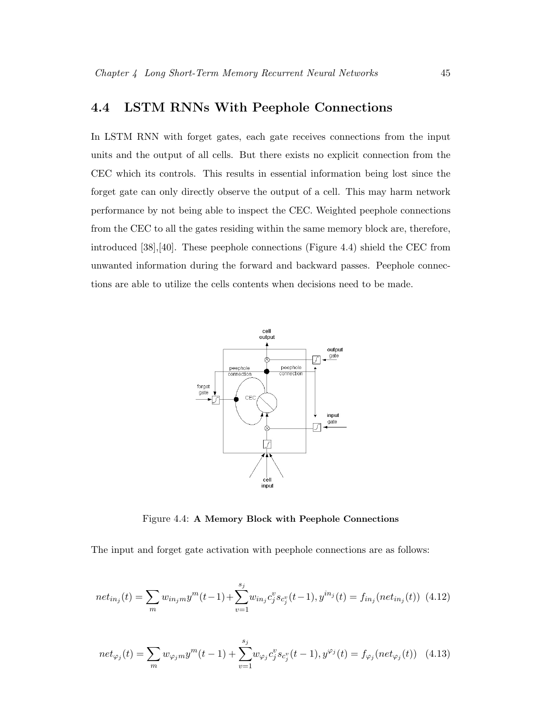## 4.4 LSTM RNNs With Peephole Connections

In LSTM RNN with forget gates, each gate receives connections from the input units and the output of all cells. But there exists no explicit connection from the CEC which its controls. This results in essential information being lost since the forget gate can only directly observe the output of a cell. This may harm network performance by not being able to inspect the CEC. Weighted peephole connections from the CEC to all the gates residing within the same memory block are, therefore, introduced [38],[40]. These peephole connections (Figure 4.4) shield the CEC from unwanted information during the forward and backward passes. Peephole connections are able to utilize the cells contents when decisions need to be made.



Figure 4.4: A Memory Block with Peephole Connections

The input and forget gate activation with peephole connections are as follows:

$$
net_{in_j}(t) = \sum_{m} w_{in_jm} y^m(t-1) + \sum_{v=1}^{s_j} w_{in_j} c_j^v s_{c_j^v}(t-1), y^{in_j}(t) = f_{in_j}(net_{in_j}(t)) \tag{4.12}
$$

$$
net_{\varphi_j}(t) = \sum_m w_{\varphi_j m} y^m(t-1) + \sum_{v=1}^{s_j} w_{\varphi_j} c_j^v s_{c_j^v}(t-1), y^{\varphi_j}(t) = f_{\varphi_j}(net_{\varphi_j}(t)) \quad (4.13)
$$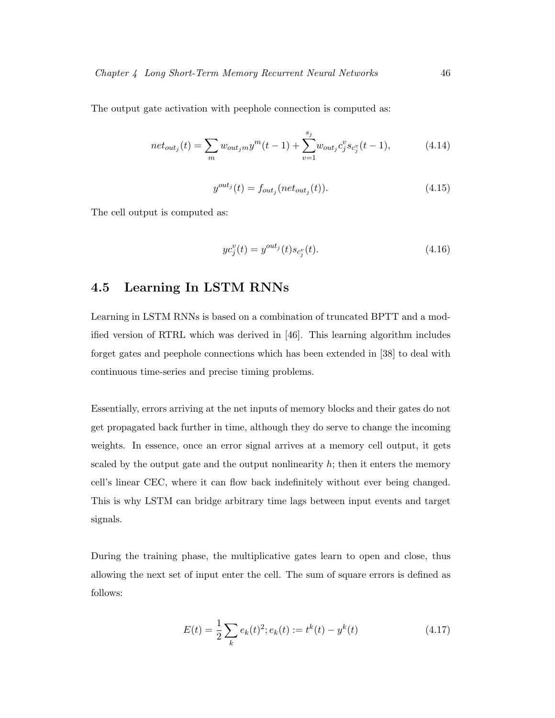The output gate activation with peephole connection is computed as:

$$
net_{out_j}(t) = \sum_{m} w_{out_jm} y^m(t-1) + \sum_{v=1}^{s_j} w_{out_j} c_j^v s_{c_j^v}(t-1),
$$
\n(4.14)

$$
y^{out_j}(t) = f_{out_j}(net_{out_j}(t)).
$$
\n(4.15)

The cell output is computed as:

$$
yc_j^v(t) = y^{out_j}(t)s_{c_j^v}(t).
$$
\n(4.16)

## 4.5 Learning In LSTM RNNs

Learning in LSTM RNNs is based on a combination of truncated BPTT and a modified version of RTRL which was derived in [46]. This learning algorithm includes forget gates and peephole connections which has been extended in [38] to deal with continuous time-series and precise timing problems.

Essentially, errors arriving at the net inputs of memory blocks and their gates do not get propagated back further in time, although they do serve to change the incoming weights. In essence, once an error signal arrives at a memory cell output, it gets scaled by the output gate and the output nonlinearity  $h$ ; then it enters the memory cell's linear CEC, where it can flow back indefinitely without ever being changed. This is why LSTM can bridge arbitrary time lags between input events and target signals.

During the training phase, the multiplicative gates learn to open and close, thus allowing the next set of input enter the cell. The sum of square errors is defined as follows:

$$
E(t) = \frac{1}{2} \sum_{k} e_k(t)^2; e_k(t) := t^k(t) - y^k(t)
$$
\n(4.17)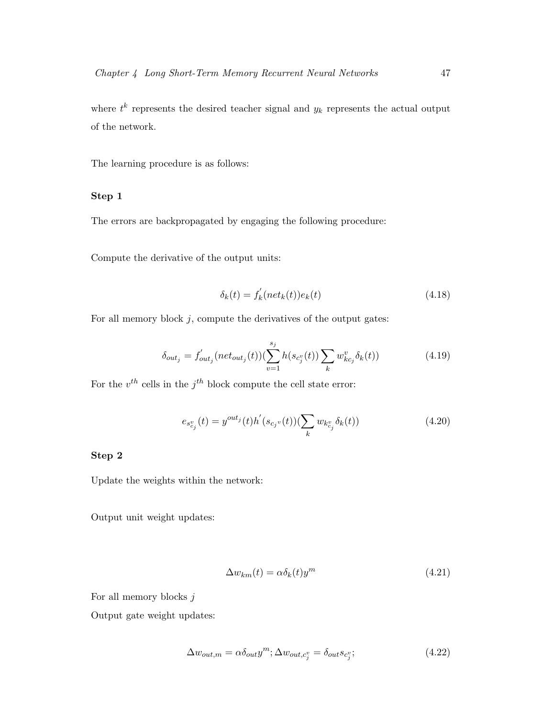where  $t^k$  represents the desired teacher signal and  $y_k$  represents the actual output of the network.

The learning procedure is as follows:

#### Step 1

The errors are backpropagated by engaging the following procedure:

Compute the derivative of the output units:

$$
\delta_k(t) = f'_k(net_k(t))e_k(t)
$$
\n(4.18)

For all memory block  $j$ , compute the derivatives of the output gates:

$$
\delta_{out_j} = f'_{out_j}(net_{out_j}(t))(\sum_{v=1}^{s_j} h(s_{c_j^v}(t)) \sum_k w_{kc_j}^v \delta_k(t))
$$
\n(4.19)

For the  $v^{th}$  cells in the  $j^{th}$  block compute the cell state error:

$$
e_{s_{c_j}^v}(t) = y^{out_j}(t)h'(s_{c_j}v(t))(\sum_k w_{k_{c_j}^v} \delta_k(t))
$$
\n(4.20)

#### Step 2

Update the weights within the network:

Output unit weight updates:

$$
\Delta w_{km}(t) = \alpha \delta_k(t) y^m \tag{4.21}
$$

For all memory blocks  $j$ 

Output gate weight updates:

$$
\Delta w_{out,m} = \alpha \delta_{out} y^m; \Delta w_{out,c_j^v} = \delta_{out} s_{c_j^v};
$$
\n(4.22)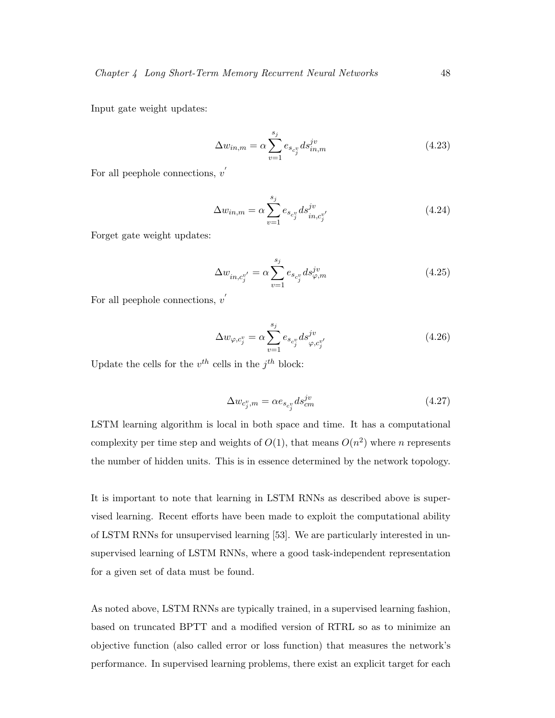Input gate weight updates:

$$
\Delta w_{in,m} = \alpha \sum_{v=1}^{s_j} e_{s_{c_j}v} ds_{in,m}^{jv}
$$
\n(4.23)

For all peephole connections,  $v'$ 

$$
\Delta w_{in,m} = \alpha \sum_{v=1}^{s_j} e_{s_{c_j}v} ds_{in,c_j^{v'}}^{jv}
$$
\n(4.24)

Forget gate weight updates:

$$
\Delta w_{in,c_j^{v'}} = \alpha \sum_{v=1}^{s_j} e_{s_{c_j^v}} ds_{\varphi,m}^{jv}
$$
\n(4.25)

For all peephole connections,  $v'$ 

$$
\Delta w_{\varphi, c_j^v} = \alpha \sum_{v=1}^{s_j} e_{s_{c_j^v}} ds_{\varphi, c_j^{v'}}^{jv}
$$
\n(4.26)

Update the cells for the  $v^{th}$  cells in the  $j^{th}$  block:

$$
\Delta w_{c_j^v,m} = \alpha e_{s_{c_j^v}} ds_{cm}^{jv}
$$
\n(4.27)

LSTM learning algorithm is local in both space and time. It has a computational complexity per time step and weights of  $O(1)$ , that means  $O(n^2)$  where n represents the number of hidden units. This is in essence determined by the network topology.

It is important to note that learning in LSTM RNNs as described above is supervised learning. Recent efforts have been made to exploit the computational ability of LSTM RNNs for unsupervised learning [53]. We are particularly interested in unsupervised learning of LSTM RNNs, where a good task-independent representation for a given set of data must be found.

As noted above, LSTM RNNs are typically trained, in a supervised learning fashion, based on truncated BPTT and a modified version of RTRL so as to minimize an objective function (also called error or loss function) that measures the network's performance. In supervised learning problems, there exist an explicit target for each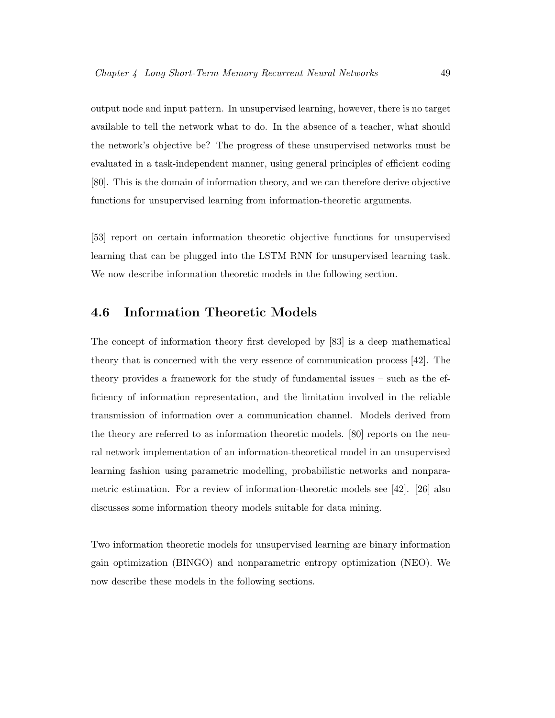output node and input pattern. In unsupervised learning, however, there is no target available to tell the network what to do. In the absence of a teacher, what should the network's objective be? The progress of these unsupervised networks must be evaluated in a task-independent manner, using general principles of efficient coding [80]. This is the domain of information theory, and we can therefore derive objective functions for unsupervised learning from information-theoretic arguments.

[53] report on certain information theoretic objective functions for unsupervised learning that can be plugged into the LSTM RNN for unsupervised learning task. We now describe information theoretic models in the following section.

## 4.6 Information Theoretic Models

The concept of information theory first developed by [83] is a deep mathematical theory that is concerned with the very essence of communication process [42]. The theory provides a framework for the study of fundamental issues – such as the efficiency of information representation, and the limitation involved in the reliable transmission of information over a communication channel. Models derived from the theory are referred to as information theoretic models. [80] reports on the neural network implementation of an information-theoretical model in an unsupervised learning fashion using parametric modelling, probabilistic networks and nonparametric estimation. For a review of information-theoretic models see [42]. [26] also discusses some information theory models suitable for data mining.

Two information theoretic models for unsupervised learning are binary information gain optimization (BINGO) and nonparametric entropy optimization (NEO). We now describe these models in the following sections.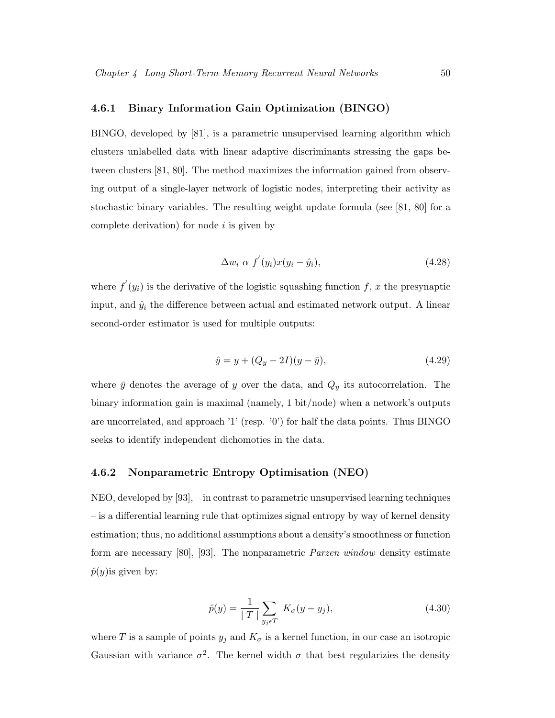#### 4.6.1 Binary Information Gain Optimization (BINGO)

BINGO, developed by [81], is a parametric unsupervised learning algorithm which clusters unlabelled data with linear adaptive discriminants stressing the gaps between clusters [81, 80]. The method maximizes the information gained from observing output of a single-layer network of logistic nodes, interpreting their activity as stochastic binary variables. The resulting weight update formula (see [81, 80] for a complete derivation) for node  $i$  is given by

$$
\Delta w_i \ \alpha \ f'(y_i)x(y_i - \hat{y}_i), \tag{4.28}
$$

where  $f'(y_i)$  is the derivative of the logistic squashing function f, x the presynaptic input, and  $\hat{y}_i$  the difference between actual and estimated network output. A linear second-order estimator is used for multiple outputs:

$$
\hat{y} = y + (Q_y - 2I)(y - \bar{y}),\tag{4.29}
$$

where  $\bar{y}$  denotes the average of y over the data, and  $Q_y$  its autocorrelation. The binary information gain is maximal (namely, 1 bit/node) when a network's outputs are uncorrelated, and approach '1' (resp. '0') for half the data points. Thus BINGO seeks to identify independent dichomoties in the data.

#### 4.6.2 Nonparametric Entropy Optimisation (NEO)

NEO, developed by [93], – in contrast to parametric unsupervised learning techniques – is a differential learning rule that optimizes signal entropy by way of kernel density estimation; thus, no additional assumptions about a density's smoothness or function form are necessary [80], [93]. The nonparametric Parzen window density estimate  $\hat{p}(y)$  is given by:

$$
\hat{p}(y) = \frac{1}{|T|} \sum_{y_j \in T} K_{\sigma}(y - y_j),
$$
\n(4.30)

where T is a sample of points  $y_j$  and  $K_{\sigma}$  is a kernel function, in our case an isotropic Gaussian with variance  $\sigma^2$ . The kernel width  $\sigma$  that best regularizies the density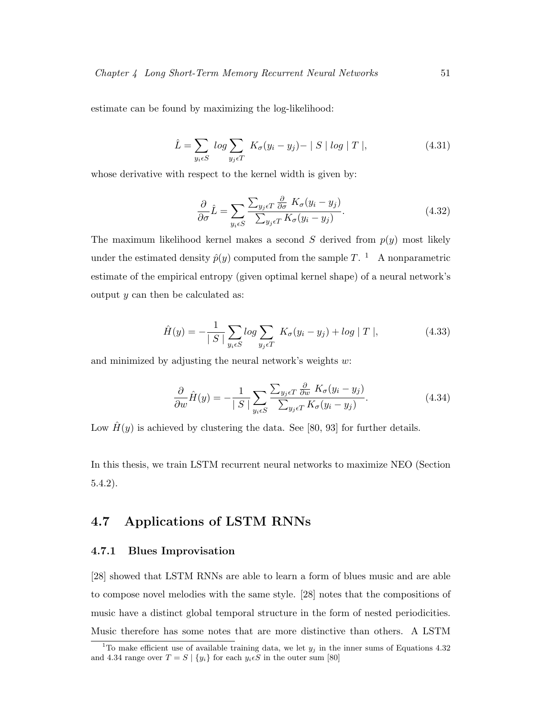estimate can be found by maximizing the log-likelihood:

$$
\hat{L} = \sum_{y_i \in S} \log \sum_{y_j \in T} K_{\sigma}(y_i - y_j) - |S| \log |T|,
$$
\n(4.31)

whose derivative with respect to the kernel width is given by:

$$
\frac{\partial}{\partial \sigma} \hat{L} = \sum_{y_i \in S} \frac{\sum_{y_j \in T} \frac{\partial}{\partial \sigma} K_{\sigma}(y_i - y_j)}{\sum_{y_j \in T} K_{\sigma}(y_i - y_j)}.
$$
(4.32)

The maximum likelihood kernel makes a second S derived from  $p(y)$  most likely under the estimated density  $\hat{p}(y)$  computed from the sample T.<sup>1</sup> A nonparametric estimate of the empirical entropy (given optimal kernel shape) of a neural network's output  $y$  can then be calculated as:

$$
\hat{H}(y) = -\frac{1}{|S|} \sum_{y_i \in S} \log \sum_{y_j \in T} K_{\sigma}(y_i - y_j) + \log |T|,
$$
\n(4.33)

and minimized by adjusting the neural network's weights  $w$ :

$$
\frac{\partial}{\partial w}\hat{H}(y) = -\frac{1}{|S|} \sum_{y_i \in S} \frac{\sum_{y_j \in T} \frac{\partial}{\partial w} K_{\sigma}(y_i - y_j)}{\sum_{y_j \in T} K_{\sigma}(y_i - y_j)}.
$$
(4.34)

Low  $\hat{H}(y)$  is achieved by clustering the data. See [80, 93] for further details.

In this thesis, we train LSTM recurrent neural networks to maximize NEO (Section 5.4.2).

## 4.7 Applications of LSTM RNNs

#### 4.7.1 Blues Improvisation

[28] showed that LSTM RNNs are able to learn a form of blues music and are able to compose novel melodies with the same style. [28] notes that the compositions of music have a distinct global temporal structure in the form of nested periodicities. Music therefore has some notes that are more distinctive than others. A LSTM

<sup>&</sup>lt;sup>1</sup>To make efficient use of available training data, we let  $y_j$  in the inner sums of Equations 4.32 and 4.34 range over  $T = S | \{y_i\}$  for each  $y_i \in S$  in the outer sum [80]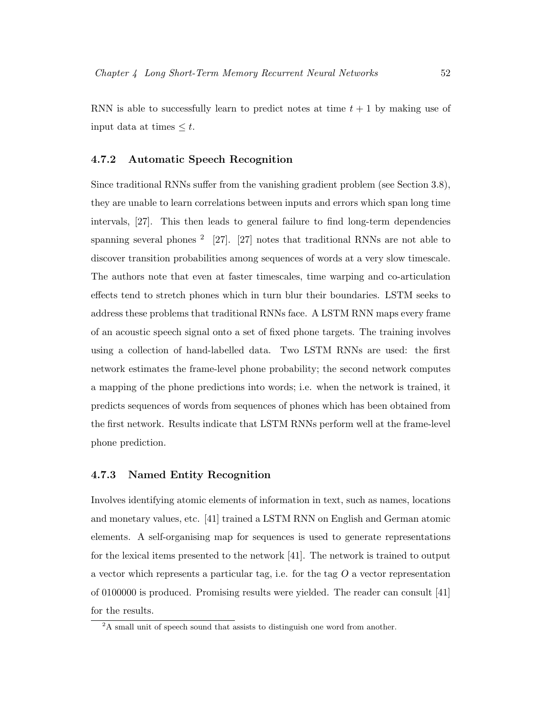RNN is able to successfully learn to predict notes at time  $t + 1$  by making use of input data at times  $\leq t$ .

#### 4.7.2 Automatic Speech Recognition

Since traditional RNNs suffer from the vanishing gradient problem (see Section 3.8), they are unable to learn correlations between inputs and errors which span long time intervals, [27]. This then leads to general failure to find long-term dependencies spanning several phones  $2 \quad \text{[27]}$ .  $\text{[27]}$  notes that traditional RNNs are not able to discover transition probabilities among sequences of words at a very slow timescale. The authors note that even at faster timescales, time warping and co-articulation effects tend to stretch phones which in turn blur their boundaries. LSTM seeks to address these problems that traditional RNNs face. A LSTM RNN maps every frame of an acoustic speech signal onto a set of fixed phone targets. The training involves using a collection of hand-labelled data. Two LSTM RNNs are used: the first network estimates the frame-level phone probability; the second network computes a mapping of the phone predictions into words; i.e. when the network is trained, it predicts sequences of words from sequences of phones which has been obtained from the first network. Results indicate that LSTM RNNs perform well at the frame-level phone prediction.

#### 4.7.3 Named Entity Recognition

Involves identifying atomic elements of information in text, such as names, locations and monetary values, etc. [41] trained a LSTM RNN on English and German atomic elements. A self-organising map for sequences is used to generate representations for the lexical items presented to the network [41]. The network is trained to output a vector which represents a particular tag, i.e. for the tag  $O$  a vector representation of 0100000 is produced. Promising results were yielded. The reader can consult [41] for the results.

<sup>&</sup>lt;sup>2</sup>A small unit of speech sound that assists to distinguish one word from another.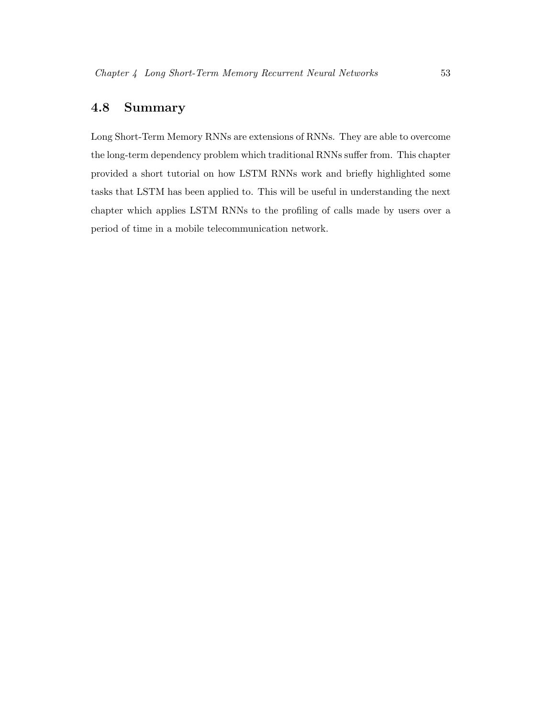## 4.8 Summary

Long Short-Term Memory RNNs are extensions of RNNs. They are able to overcome the long-term dependency problem which traditional RNNs suffer from. This chapter provided a short tutorial on how LSTM RNNs work and briefly highlighted some tasks that LSTM has been applied to. This will be useful in understanding the next chapter which applies LSTM RNNs to the profiling of calls made by users over a period of time in a mobile telecommunication network.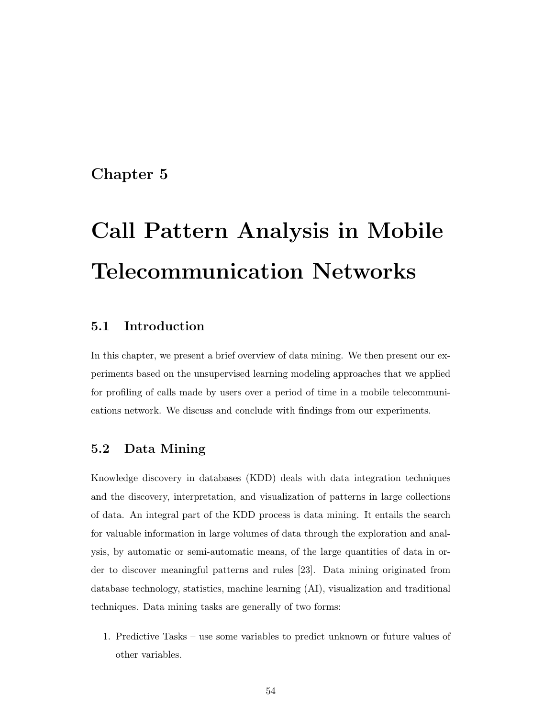## Chapter 5

# Call Pattern Analysis in Mobile Telecommunication Networks

## 5.1 Introduction

In this chapter, we present a brief overview of data mining. We then present our experiments based on the unsupervised learning modeling approaches that we applied for profiling of calls made by users over a period of time in a mobile telecommunications network. We discuss and conclude with findings from our experiments.

## 5.2 Data Mining

Knowledge discovery in databases (KDD) deals with data integration techniques and the discovery, interpretation, and visualization of patterns in large collections of data. An integral part of the KDD process is data mining. It entails the search for valuable information in large volumes of data through the exploration and analysis, by automatic or semi-automatic means, of the large quantities of data in order to discover meaningful patterns and rules [23]. Data mining originated from database technology, statistics, machine learning (AI), visualization and traditional techniques. Data mining tasks are generally of two forms:

1. Predictive Tasks – use some variables to predict unknown or future values of other variables.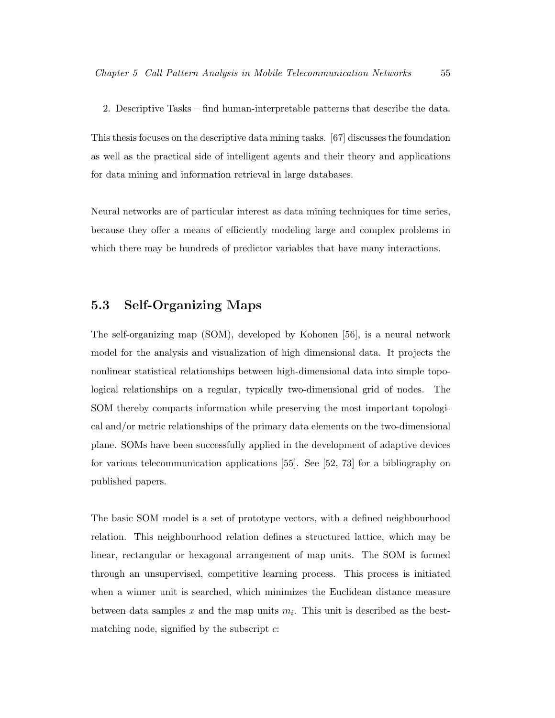2. Descriptive Tasks – find human-interpretable patterns that describe the data.

This thesis focuses on the descriptive data mining tasks. [67] discusses the foundation as well as the practical side of intelligent agents and their theory and applications for data mining and information retrieval in large databases.

Neural networks are of particular interest as data mining techniques for time series, because they offer a means of efficiently modeling large and complex problems in which there may be hundreds of predictor variables that have many interactions.

## 5.3 Self-Organizing Maps

The self-organizing map (SOM), developed by Kohonen [56], is a neural network model for the analysis and visualization of high dimensional data. It projects the nonlinear statistical relationships between high-dimensional data into simple topological relationships on a regular, typically two-dimensional grid of nodes. The SOM thereby compacts information while preserving the most important topological and/or metric relationships of the primary data elements on the two-dimensional plane. SOMs have been successfully applied in the development of adaptive devices for various telecommunication applications [55]. See [52, 73] for a bibliography on published papers.

The basic SOM model is a set of prototype vectors, with a defined neighbourhood relation. This neighbourhood relation defines a structured lattice, which may be linear, rectangular or hexagonal arrangement of map units. The SOM is formed through an unsupervised, competitive learning process. This process is initiated when a winner unit is searched, which minimizes the Euclidean distance measure between data samples x and the map units  $m_i$ . This unit is described as the bestmatching node, signified by the subscript  $c$ :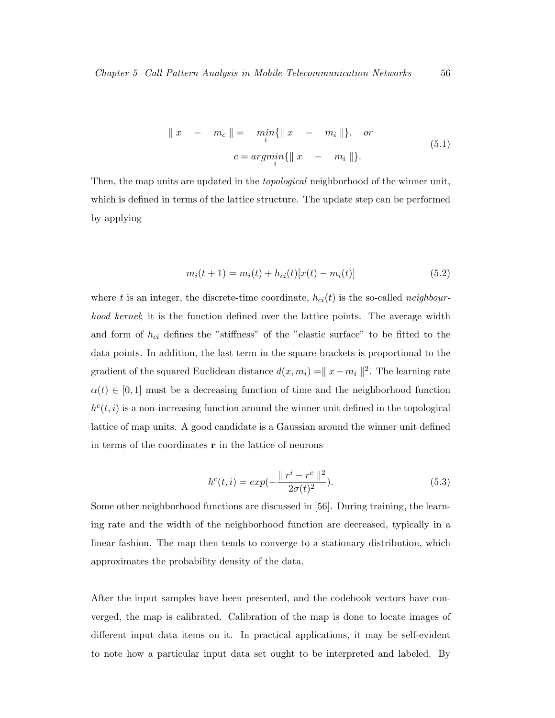$$
\|x - m_c\| = \min_{i} {\|x - m_i\|\}, \text{ or}
$$
  

$$
c = \operatorname{argmin}_{i} {\|x - m_i\|\}.
$$
 (5.1)

Then, the map units are updated in the *topological* neighborhood of the winner unit, which is defined in terms of the lattice structure. The update step can be performed by applying

$$
m_i(t+1) = m_i(t) + h_{ci}(t)[x(t) - m_i(t)]
$$
\n(5.2)

where t is an integer, the discrete-time coordinate,  $h_{ci}(t)$  is the so-called neighbourhood kernel; it is the function defined over the lattice points. The average width and form of  $h_{ci}$  defines the "stiffness" of the "elastic surface" to be fitted to the data points. In addition, the last term in the square brackets is proportional to the gradient of the squared Euclidean distance  $d(x, m_i) = ||x - m_i||^2$ . The learning rate  $\alpha(t) \in [0,1]$  must be a decreasing function of time and the neighborhood function  $h<sup>c</sup>(t, i)$  is a non-increasing function around the winner unit defined in the topological lattice of map units. A good candidate is a Gaussian around the winner unit defined in terms of the coordinates  $\bf{r}$  in the lattice of neurons

$$
h^{c}(t,i) = exp(-\frac{\|r^{i} - r^{c}\|^{2}}{2\sigma(t)^{2}}).
$$
\n(5.3)

Some other neighborhood functions are discussed in [56]. During training, the learning rate and the width of the neighborhood function are decreased, typically in a linear fashion. The map then tends to converge to a stationary distribution, which approximates the probability density of the data.

After the input samples have been presented, and the codebook vectors have converged, the map is calibrated. Calibration of the map is done to locate images of different input data items on it. In practical applications, it may be self-evident to note how a particular input data set ought to be interpreted and labeled. By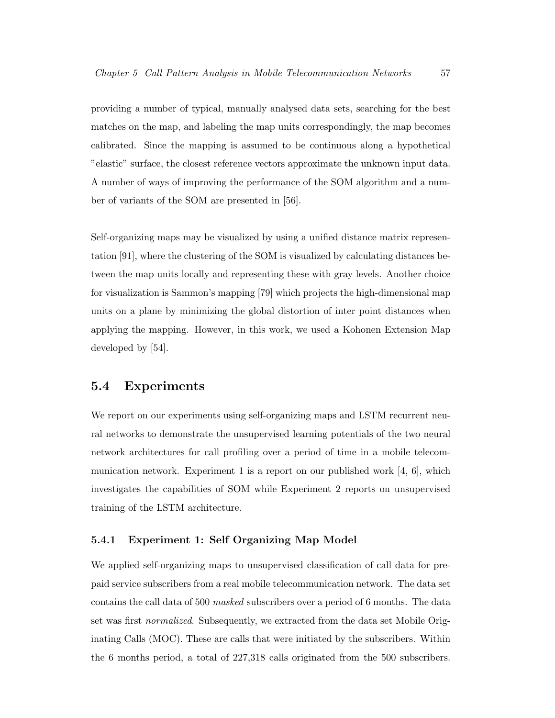providing a number of typical, manually analysed data sets, searching for the best matches on the map, and labeling the map units correspondingly, the map becomes calibrated. Since the mapping is assumed to be continuous along a hypothetical "elastic" surface, the closest reference vectors approximate the unknown input data. A number of ways of improving the performance of the SOM algorithm and a number of variants of the SOM are presented in [56].

Self-organizing maps may be visualized by using a unified distance matrix representation [91], where the clustering of the SOM is visualized by calculating distances between the map units locally and representing these with gray levels. Another choice for visualization is Sammon's mapping [79] which projects the high-dimensional map units on a plane by minimizing the global distortion of inter point distances when applying the mapping. However, in this work, we used a Kohonen Extension Map developed by [54].

#### 5.4 Experiments

We report on our experiments using self-organizing maps and LSTM recurrent neural networks to demonstrate the unsupervised learning potentials of the two neural network architectures for call profiling over a period of time in a mobile telecommunication network. Experiment 1 is a report on our published work [4, 6], which investigates the capabilities of SOM while Experiment 2 reports on unsupervised training of the LSTM architecture.

#### 5.4.1 Experiment 1: Self Organizing Map Model

We applied self-organizing maps to unsupervised classification of call data for prepaid service subscribers from a real mobile telecommunication network. The data set contains the call data of 500 masked subscribers over a period of 6 months. The data set was first normalized. Subsequently, we extracted from the data set Mobile Originating Calls (MOC). These are calls that were initiated by the subscribers. Within the 6 months period, a total of 227,318 calls originated from the 500 subscribers.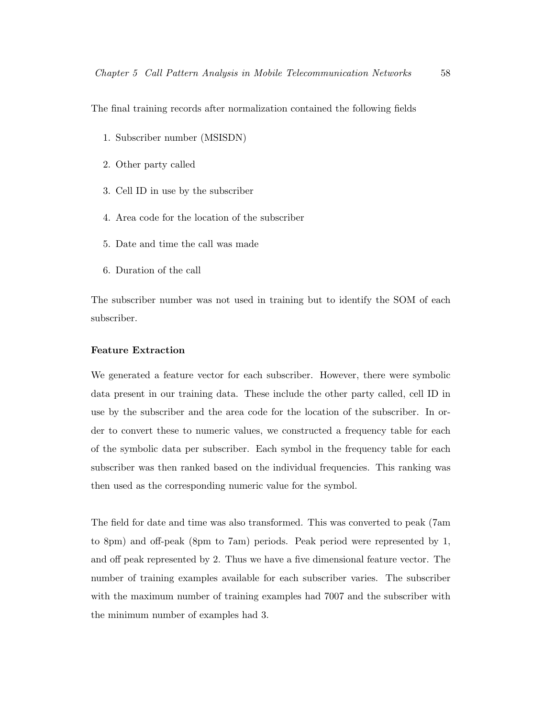The final training records after normalization contained the following fields

- 1. Subscriber number (MSISDN)
- 2. Other party called
- 3. Cell ID in use by the subscriber
- 4. Area code for the location of the subscriber
- 5. Date and time the call was made
- 6. Duration of the call

The subscriber number was not used in training but to identify the SOM of each subscriber.

#### Feature Extraction

We generated a feature vector for each subscriber. However, there were symbolic data present in our training data. These include the other party called, cell ID in use by the subscriber and the area code for the location of the subscriber. In order to convert these to numeric values, we constructed a frequency table for each of the symbolic data per subscriber. Each symbol in the frequency table for each subscriber was then ranked based on the individual frequencies. This ranking was then used as the corresponding numeric value for the symbol.

The field for date and time was also transformed. This was converted to peak (7am to 8pm) and off-peak (8pm to 7am) periods. Peak period were represented by 1, and off peak represented by 2. Thus we have a five dimensional feature vector. The number of training examples available for each subscriber varies. The subscriber with the maximum number of training examples had 7007 and the subscriber with the minimum number of examples had 3.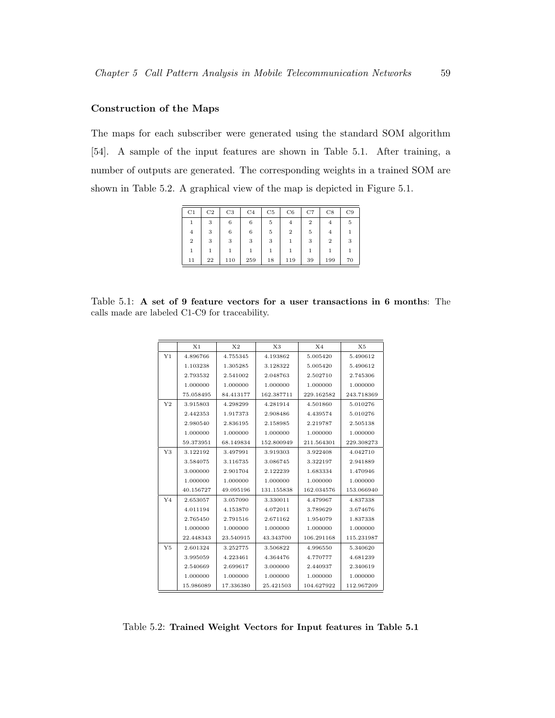### Construction of the Maps

The maps for each subscriber were generated using the standard SOM algorithm [54]. A sample of the input features are shown in Table 5.1. After training, a number of outputs are generated. The corresponding weights in a trained SOM are shown in Table 5.2. A graphical view of the map is depicted in Figure 5.1.

| C <sub>1</sub>   | C <sub>2</sub> | C <sub>3</sub> | C <sub>4</sub> | C5 | C6               | C7             | C8             | C9 |
|------------------|----------------|----------------|----------------|----|------------------|----------------|----------------|----|
| 1                | 3              | 6              | 6              | 5  | $\overline{4}$   | $\overline{2}$ | 4              | 5  |
| $\overline{4}$   | 3              | 6              | 6              | 5  | $\boldsymbol{2}$ | 5              | 4              |    |
| $\boldsymbol{2}$ | 3              | 3              | 3              | 3  |                  | 3              | $\overline{2}$ | 3  |
|                  | 1              |                |                |    |                  |                |                |    |
| 11               | 22             | 110            | 259            | 18 | 119              | 39             | 199            | 70 |

Table 5.1: A set of 9 feature vectors for a user transactions in 6 months: The calls made are labeled C1-C9 for traceability.

|                | X <sub>1</sub> | X <sub>2</sub> | X3         | X <sub>4</sub> | X5         |
|----------------|----------------|----------------|------------|----------------|------------|
| Y <sub>1</sub> | 4.896766       | 4.755345       | 4.193862   | 5.005420       | 5.490612   |
|                | 1.103238       | 1.305285       | 3.128322   | 5.005420       | 5.490612   |
|                | 2.793532       | 2.541002       | 2.048763   | 2.502710       | 2.745306   |
|                | 1.000000       | 1.000000       | 1.000000   | 1.000000       | 1.000000   |
|                | 75.058495      | 84.413177      | 162.387711 | 229.162582     | 243.718369 |
| Y <sub>2</sub> | 3.915803       | 4.298299       | 4.281914   | 4.501860       | 5.010276   |
|                | 2.442353       | 1.917373       | 2.908486   | 4.439574       | 5.010276   |
|                | 2.980540       | 2.836195       | 2.158985   | 2.219787       | 2.505138   |
|                | 1.000000       | 1.000000       | 1.000000   | 1.000000       | 1.000000   |
|                | 59.373951      | 68.149834      | 152.800949 | 211.564301     | 229.308273 |
| Y3             | 3.122192       | 3.497991       | 3.919303   | 3.922408       | 4.042710   |
|                | 3.584075       | 3.116735       | 3.086745   | 3.322197       | 2.941889   |
|                | 3.000000       | 2.901704       | 2.122239   | 1.683334       | 1.470946   |
|                | 1.000000       | 1.000000       | 1.000000   | 1.000000       | 1.000000   |
|                | 40.156727      | 49.095196      | 131.155838 | 162.034576     | 153.066940 |
| Y <sub>4</sub> | 2.653057       | 3.057090       | 3.330011   | 4.479967       | 4.837338   |
|                | 4.011194       | 4.153870       | 4.072011   | 3.789629       | 3.674676   |
|                | 2.765450       | 2.791516       | 2.671162   | 1.954079       | 1.837338   |
|                | 1.000000       | 1.000000       | 1.000000   | 1.000000       | 1.000000   |
|                | 22.448343      | 23.540915      | 43.343700  | 106.291168     | 115.231987 |
| Y <sub>5</sub> | 2.601324       | 3.252775       | 3.506822   | 4.996550       | 5.340620   |
|                | 3.995059       | 4.223461       | 4.364476   | 4.770777       | 4.681239   |
|                | 2.540669       | 2.699617       | 3.000000   | 2.440937       | 2.340619   |
|                | 1.000000       | 1.000000       | 1.000000   | 1.000000       | 1.000000   |
|                | 15.986089      | 17.336380      | 25.421503  | 104.627922     | 112.967209 |

Table 5.2: Trained Weight Vectors for Input features in Table 5.1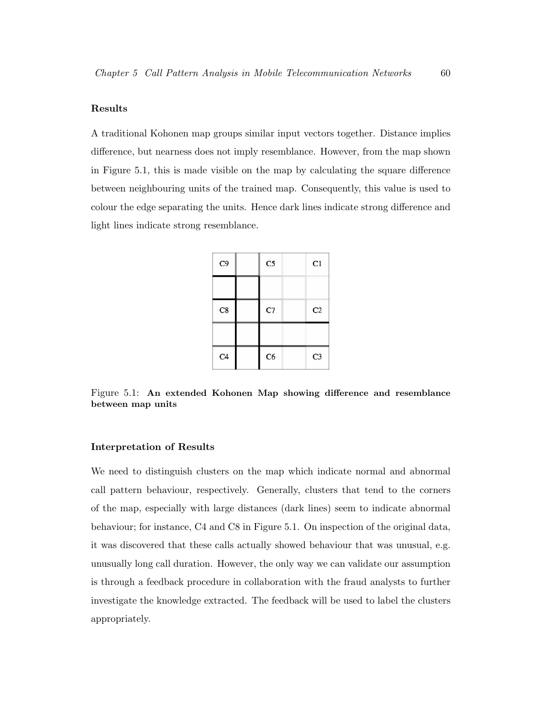### Results

A traditional Kohonen map groups similar input vectors together. Distance implies difference, but nearness does not imply resemblance. However, from the map shown in Figure 5.1, this is made visible on the map by calculating the square difference between neighbouring units of the trained map. Consequently, this value is used to colour the edge separating the units. Hence dark lines indicate strong difference and light lines indicate strong resemblance.

| C9             | C <sub>5</sub> | C1             |
|----------------|----------------|----------------|
|                |                |                |
| C8             | C7             | C <sub>2</sub> |
|                |                |                |
| C <sub>4</sub> | C6             | C <sub>3</sub> |

Figure 5.1: An extended Kohonen Map showing difference and resemblance between map units

#### Interpretation of Results

We need to distinguish clusters on the map which indicate normal and abnormal call pattern behaviour, respectively. Generally, clusters that tend to the corners of the map, especially with large distances (dark lines) seem to indicate abnormal behaviour; for instance, C4 and C8 in Figure 5.1. On inspection of the original data, it was discovered that these calls actually showed behaviour that was unusual, e.g. unusually long call duration. However, the only way we can validate our assumption is through a feedback procedure in collaboration with the fraud analysts to further investigate the knowledge extracted. The feedback will be used to label the clusters appropriately.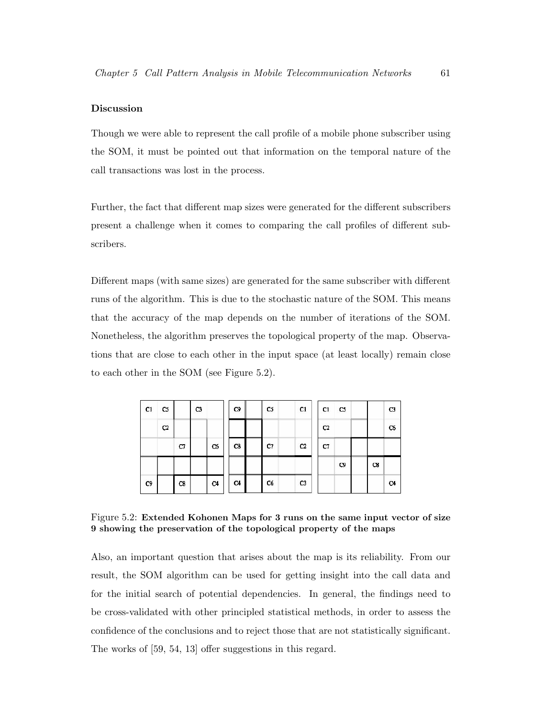### Discussion

Though we were able to represent the call profile of a mobile phone subscriber using the SOM, it must be pointed out that information on the temporal nature of the call transactions was lost in the process.

Further, the fact that different map sizes were generated for the different subscribers present a challenge when it comes to comparing the call profiles of different subscribers.

Different maps (with same sizes) are generated for the same subscriber with different runs of the algorithm. This is due to the stochastic nature of the SOM. This means that the accuracy of the map depends on the number of iterations of the SOM. Nonetheless, the algorithm preserves the topological property of the map. Observations that are close to each other in the input space (at least locally) remain close to each other in the SOM (see Figure 5.2).

| C1 | cs             |    | C3 |                | C9 | C5 | C1             | C1             | CS             |             | C3             |
|----|----------------|----|----|----------------|----|----|----------------|----------------|----------------|-------------|----------------|
|    | $\mathbf{C}^2$ |    |    |                |    |    |                | C <sub>2</sub> |                |             | C6             |
|    |                | C7 |    | C <sub>6</sub> | C8 | C7 | C2             | C7             |                |             |                |
|    |                |    |    |                |    |    |                |                | C <sub>0</sub> | $_{\rm cs}$ |                |
| C9 |                | C8 |    | C <sub>4</sub> | C4 | C6 | C <sub>3</sub> |                |                |             | C <sub>4</sub> |

Figure 5.2: Extended Kohonen Maps for 3 runs on the same input vector of size 9 showing the preservation of the topological property of the maps

Also, an important question that arises about the map is its reliability. From our result, the SOM algorithm can be used for getting insight into the call data and for the initial search of potential dependencies. In general, the findings need to be cross-validated with other principled statistical methods, in order to assess the confidence of the conclusions and to reject those that are not statistically significant. The works of [59, 54, 13] offer suggestions in this regard.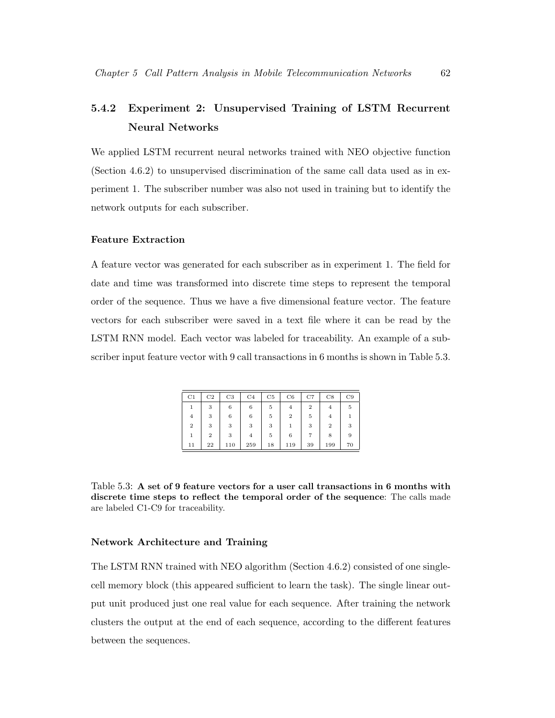# 5.4.2 Experiment 2: Unsupervised Training of LSTM Recurrent Neural Networks

We applied LSTM recurrent neural networks trained with NEO objective function (Section 4.6.2) to unsupervised discrimination of the same call data used as in experiment 1. The subscriber number was also not used in training but to identify the network outputs for each subscriber.

## Feature Extraction

A feature vector was generated for each subscriber as in experiment 1. The field for date and time was transformed into discrete time steps to represent the temporal order of the sequence. Thus we have a five dimensional feature vector. The feature vectors for each subscriber were saved in a text file where it can be read by the LSTM RNN model. Each vector was labeled for traceability. An example of a subscriber input feature vector with 9 call transactions in 6 months is shown in Table 5.3.

| C1             | C <sub>2</sub> | C <sub>3</sub> | C <sub>4</sub> | C5 | C6  | C7             | C8             | C9 |
|----------------|----------------|----------------|----------------|----|-----|----------------|----------------|----|
| 1              | 3              | 6              | 6              | 5  | 4   | $\overline{2}$ | 4              | 5  |
| $\overline{4}$ | 3              | 6              | 6              | 5  | 2   | 5              | 4              |    |
| $\overline{2}$ | 3              | 3              | 3              | 3  |     | 3              | $\overline{2}$ | 3  |
| 1              | $\overline{2}$ | 3              | $\overline{4}$ | 5  | 6   |                | 8              | 9  |
| 11             | 22             | 110            | 259            | 18 | 119 | 39             | 199            | 70 |

Table 5.3: A set of 9 feature vectors for a user call transactions in 6 months with discrete time steps to reflect the temporal order of the sequence: The calls made are labeled C1-C9 for traceability.

#### Network Architecture and Training

The LSTM RNN trained with NEO algorithm (Section 4.6.2) consisted of one singlecell memory block (this appeared sufficient to learn the task). The single linear output unit produced just one real value for each sequence. After training the network clusters the output at the end of each sequence, according to the different features between the sequences.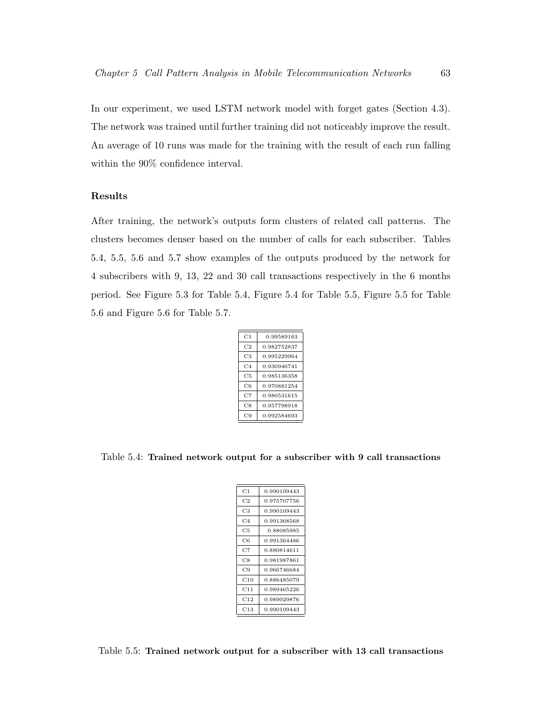In our experiment, we used LSTM network model with forget gates (Section 4.3). The network was trained until further training did not noticeably improve the result. An average of 10 runs was made for the training with the result of each run falling within the 90% confidence interval.

### Results

After training, the network's outputs form clusters of related call patterns. The clusters becomes denser based on the number of calls for each subscriber. Tables 5.4, 5.5, 5.6 and 5.7 show examples of the outputs produced by the network for 4 subscribers with 9, 13, 22 and 30 call transactions respectively in the 6 months period. See Figure 5.3 for Table 5.4, Figure 5.4 for Table 5.5, Figure 5.5 for Table 5.6 and Figure 5.6 for Table 5.7.

| C1             | 0.99589163  |
|----------------|-------------|
| C <sub>2</sub> | 0.982752837 |
| C3             | 0.995229964 |
| C4             | 0.930946741 |
| C5             | 0.985136358 |
| C6             | 0.970881254 |
| C7             | 0.980531615 |
| C8             | 0.957798918 |
| C9             | 0.992584693 |
|                |             |

Table 5.4: Trained network output for a subscriber with 9 call transactions

| C1             | 0.990109443 |
|----------------|-------------|
| C2             | 0.975707756 |
| C3             | 0.990109443 |
| C <sub>4</sub> | 0.991368568 |
| C5             | 0.88085985  |
| C6             | 0.991364486 |
| C7             | 0.880814611 |
| C8             | 0.981987861 |
| C9             | 0.966746684 |
| C10            | 0.886485079 |
| C11            | 0.989465226 |
| C12            | 0.989029876 |
| C13            | 0.990109443 |

Table 5.5: Trained network output for a subscriber with 13 call transactions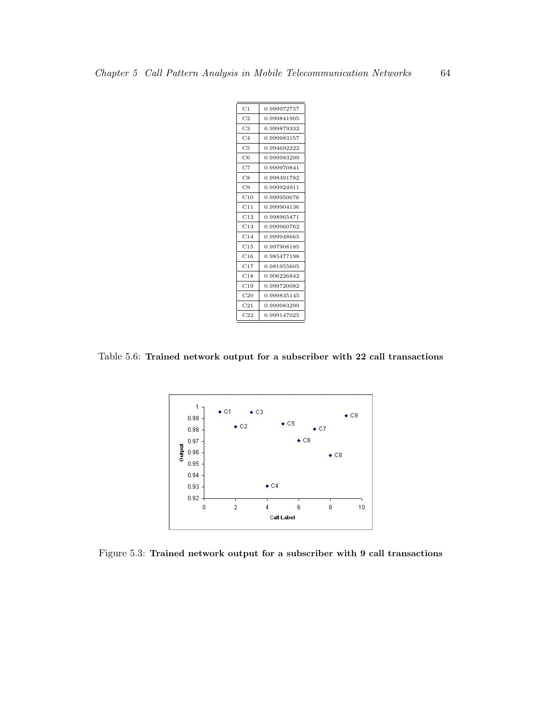| C1              | 0.999972757 |
|-----------------|-------------|
| C <sub>2</sub>  | 0.999841905 |
| C3              | 0.999879332 |
| C4              | 0.999983157 |
| C <sub>5</sub>  | 0.994692222 |
| C6              | 0.999983299 |
| C7              | 0.999970841 |
| C8              | 0.998391782 |
| C9              | 0.999924911 |
| C10             | 0.999950676 |
| C11             | 0.999904136 |
| C12             | 0.998965471 |
| C13             | 0.999960762 |
| C14             | 0.999948665 |
| C15             | 0.997908185 |
| C16             | 0.985477198 |
| C17             | 0.981955605 |
| C18             | 0.906226842 |
| C19             | 0.999720082 |
| C20             | 0.999835145 |
| C21             | 0.999983299 |
| C <sub>22</sub> | 0.999147025 |

Table 5.6: Trained network output for a subscriber with 22 call transactions



Figure 5.3: Trained network output for a subscriber with 9 call transactions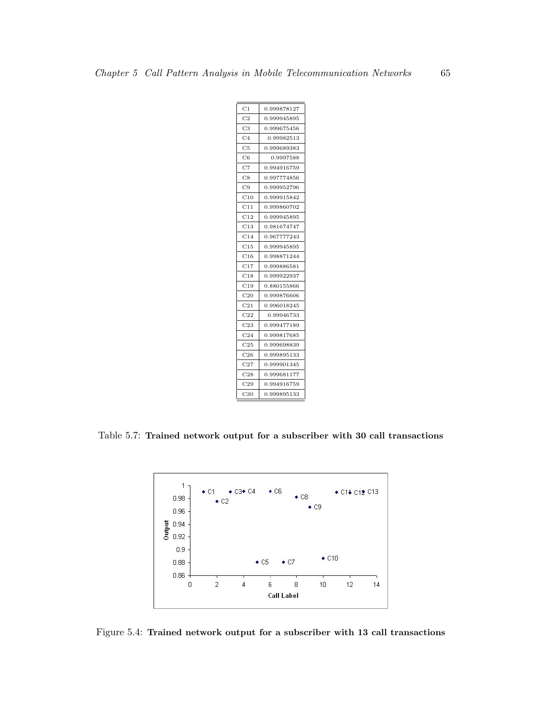| C <sub>1</sub>        | 0.999878127 |
|-----------------------|-------------|
| C <sub>2</sub>        | 0.999945895 |
| C3                    | 0.999675456 |
| C4                    | 0.99982513  |
| C5                    | 0.999689383 |
| C6                    | 0.9997588   |
| $_{\rm C7}$           | 0.994916759 |
| C8                    | 0.997774856 |
| C9                    | 0.999952796 |
| $_{\rm C10}$          | 0.999915842 |
| $^{\rm C11}$          | 0.999860702 |
| $^{\rm C12}$          | 0.999945895 |
| C13                   | 0.981674747 |
| $^{\rm C14}$          | 0.967777243 |
| $\scriptstyle\rm C15$ | 0.999945895 |
| $^{\rm C16}$          | 0.998871244 |
| C17                   | 0.999886581 |
| C18                   | 0.999922937 |
| C19                   | 0.880155866 |
| C20                   | 0.999876606 |
| C21                   | 0.996018245 |
| $^{\rm C22}$          | 0.99946733  |
| $\rm C23$             | 0.999477189 |
| $^{\rm C24}$          | 0.999817685 |
| C <sub>25</sub>       | 0.999698839 |
| C <sub>26</sub>       | 0.999895133 |
| $_{\rm C27}$          | 0.999901345 |
| $^{\rm C28}$          | 0.999681177 |
| C29                   | 0.994916759 |
| C30                   | 0.999895133 |
|                       |             |

Table 5.7: Trained network output for a subscriber with 30 call transactions



Figure 5.4: Trained network output for a subscriber with 13 call transactions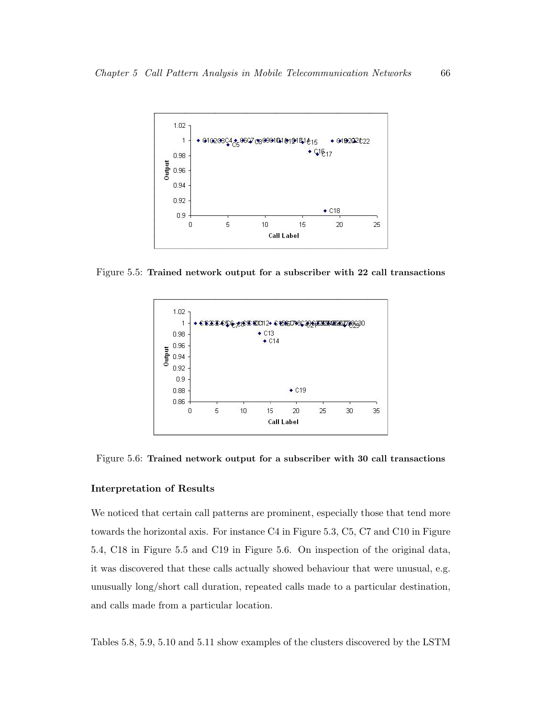

Figure 5.5: Trained network output for a subscriber with 22 call transactions



Figure 5.6: Trained network output for a subscriber with 30 call transactions

### Interpretation of Results

We noticed that certain call patterns are prominent, especially those that tend more towards the horizontal axis. For instance C4 in Figure 5.3, C5, C7 and C10 in Figure 5.4, C18 in Figure 5.5 and C19 in Figure 5.6. On inspection of the original data, it was discovered that these calls actually showed behaviour that were unusual, e.g. unusually long/short call duration, repeated calls made to a particular destination, and calls made from a particular location.

Tables 5.8, 5.9, 5.10 and 5.11 show examples of the clusters discovered by the LSTM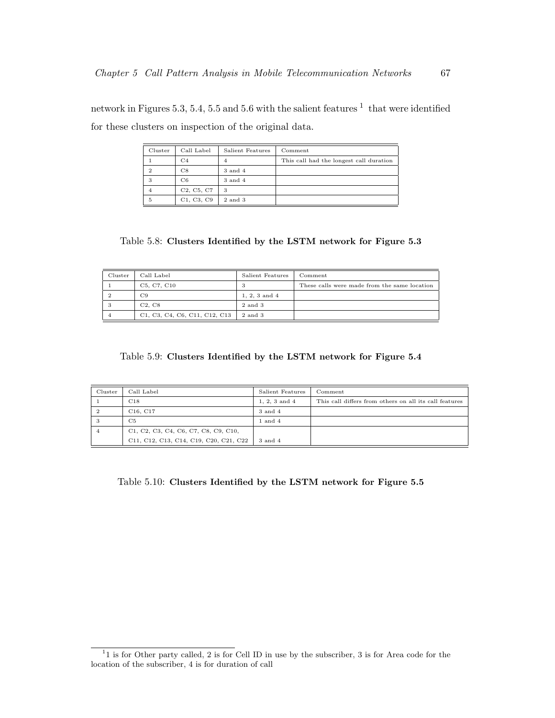network in Figures 5.3, 5.4, 5.5 and 5.6 with the salient features  $^1$  that were identified for these clusters on inspection of the original data.

| Cluster | Call Label                                       | Salient Features | Comment                                 |
|---------|--------------------------------------------------|------------------|-----------------------------------------|
|         | C4                                               | 4                | This call had the longest call duration |
| 2       | C8                                               | 3 and 4          |                                         |
| 3       | C6                                               | 3 and 4          |                                         |
|         | C <sub>2</sub> , C <sub>5</sub> , C <sub>7</sub> | 3                |                                         |
| 5       | C1, C3, C9                                       | 2 and 3          |                                         |

Table 5.8: Clusters Identified by the LSTM network for Figure 5.3

| Cluster | Call Label                    | Salient Features  | Comment                                      |
|---------|-------------------------------|-------------------|----------------------------------------------|
|         | C5, C7, C10                   |                   | These calls were made from the same location |
| ≘       | C9                            | $1, 2, 3$ and $4$ |                                              |
| 3       | C2. C8                        | 2 and 3           |                                              |
|         | C1, C3, C4, C6, C11, C12, C13 | 2 and 3           |                                              |

Table 5.9: Clusters Identified by the LSTM network for Figure 5.4

| Cluster | Call Label                             | Salient Features  | Comment                                                |
|---------|----------------------------------------|-------------------|--------------------------------------------------------|
|         | C18                                    | $1, 2, 3$ and $4$ | This call differs from others on all its call features |
|         | C <sub>16</sub> , C <sub>17</sub>      | 3 and 4           |                                                        |
|         | C5                                     | $1$ and $4$       |                                                        |
|         | C1, C2, C3, C4, C6, C7, C8, C9, C10,   |                   |                                                        |
|         | C11, C12, C13, C14, C19, C20, C21, C22 | 3 and 4           |                                                        |

Table 5.10: Clusters Identified by the LSTM network for Figure 5.5

<sup>&</sup>lt;sup>1</sup>1 is for Other party called, 2 is for Cell ID in use by the subscriber, 3 is for Area code for the location of the subscriber, 4 is for duration of call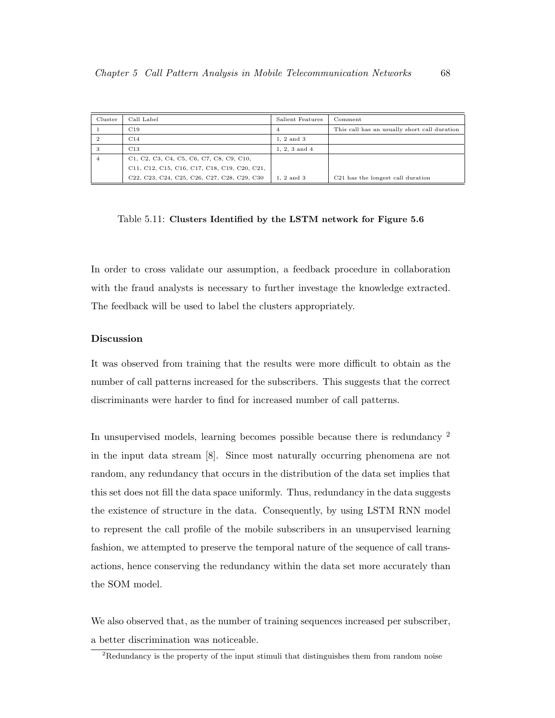| Cluster        | Call Label                                                                                                                                                      | Salient Features  | Comment                                       |
|----------------|-----------------------------------------------------------------------------------------------------------------------------------------------------------------|-------------------|-----------------------------------------------|
|                | C <sub>19</sub>                                                                                                                                                 | 4                 | This call has an usually short call duration  |
| $\overline{2}$ | C14                                                                                                                                                             | $1.2$ and $3$     |                                               |
| 3              | C <sub>13</sub>                                                                                                                                                 | $1, 2, 3$ and $4$ |                                               |
| 4              | C1, C2, C3, C4, C5, C6, C7, C8, C9, C10,                                                                                                                        |                   |                                               |
|                | C11, C12, C15, C16, C17, C18, C19, C20, C21,                                                                                                                    |                   |                                               |
|                | C <sub>22</sub> , C <sub>23</sub> , C <sub>24</sub> , C <sub>25</sub> , C <sub>26</sub> , C <sub>27</sub> , C <sub>28</sub> , C <sub>29</sub> , C <sub>30</sub> | 1. 2 and 3        | C <sub>21</sub> has the longest call duration |

Table 5.11: Clusters Identified by the LSTM network for Figure 5.6

In order to cross validate our assumption, a feedback procedure in collaboration with the fraud analysts is necessary to further investage the knowledge extracted. The feedback will be used to label the clusters appropriately.

# Discussion

It was observed from training that the results were more difficult to obtain as the number of call patterns increased for the subscribers. This suggests that the correct discriminants were harder to find for increased number of call patterns.

In unsupervised models, learning becomes possible because there is redundancy <sup>2</sup> in the input data stream [8]. Since most naturally occurring phenomena are not random, any redundancy that occurs in the distribution of the data set implies that this set does not fill the data space uniformly. Thus, redundancy in the data suggests the existence of structure in the data. Consequently, by using LSTM RNN model to represent the call profile of the mobile subscribers in an unsupervised learning fashion, we attempted to preserve the temporal nature of the sequence of call transactions, hence conserving the redundancy within the data set more accurately than the SOM model.

We also observed that, as the number of training sequences increased per subscriber, a better discrimination was noticeable.

 ${}^{2}$ Redundancy is the property of the input stimuli that distinguishes them from random noise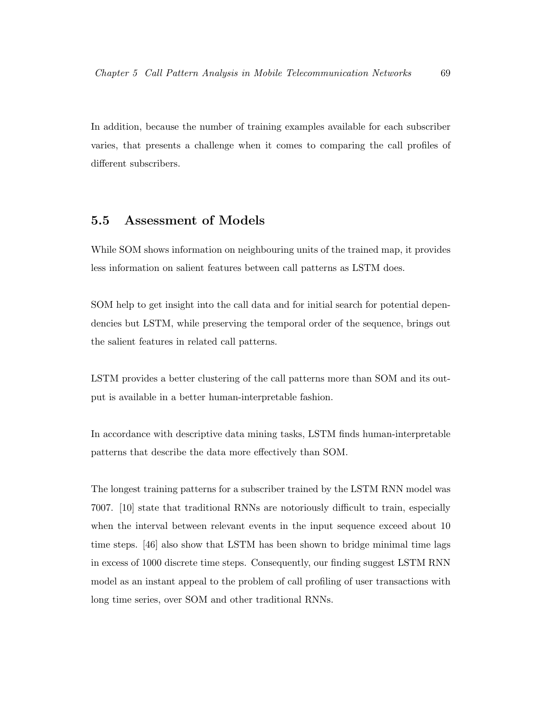In addition, because the number of training examples available for each subscriber varies, that presents a challenge when it comes to comparing the call profiles of different subscribers.

# 5.5 Assessment of Models

While SOM shows information on neighbouring units of the trained map, it provides less information on salient features between call patterns as LSTM does.

SOM help to get insight into the call data and for initial search for potential dependencies but LSTM, while preserving the temporal order of the sequence, brings out the salient features in related call patterns.

LSTM provides a better clustering of the call patterns more than SOM and its output is available in a better human-interpretable fashion.

In accordance with descriptive data mining tasks, LSTM finds human-interpretable patterns that describe the data more effectively than SOM.

The longest training patterns for a subscriber trained by the LSTM RNN model was 7007. [10] state that traditional RNNs are notoriously difficult to train, especially when the interval between relevant events in the input sequence exceed about 10 time steps. [46] also show that LSTM has been shown to bridge minimal time lags in excess of 1000 discrete time steps. Consequently, our finding suggest LSTM RNN model as an instant appeal to the problem of call profiling of user transactions with long time series, over SOM and other traditional RNNs.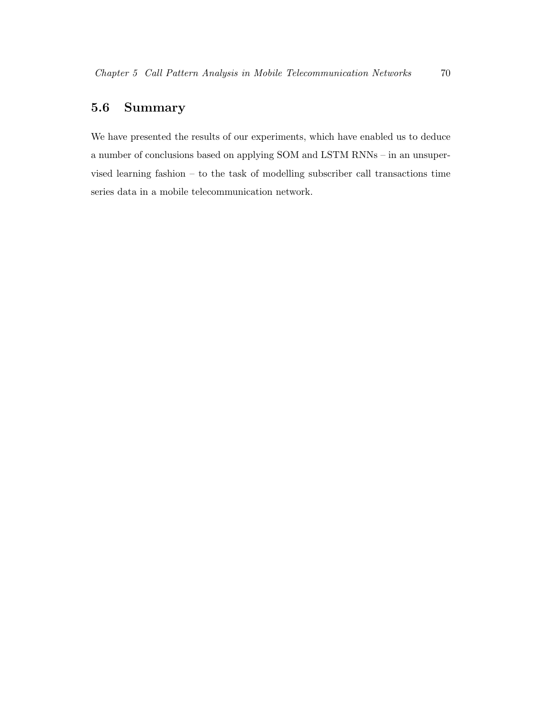# 5.6 Summary

We have presented the results of our experiments, which have enabled us to deduce a number of conclusions based on applying SOM and LSTM RNNs – in an unsupervised learning fashion – to the task of modelling subscriber call transactions time series data in a mobile telecommunication network.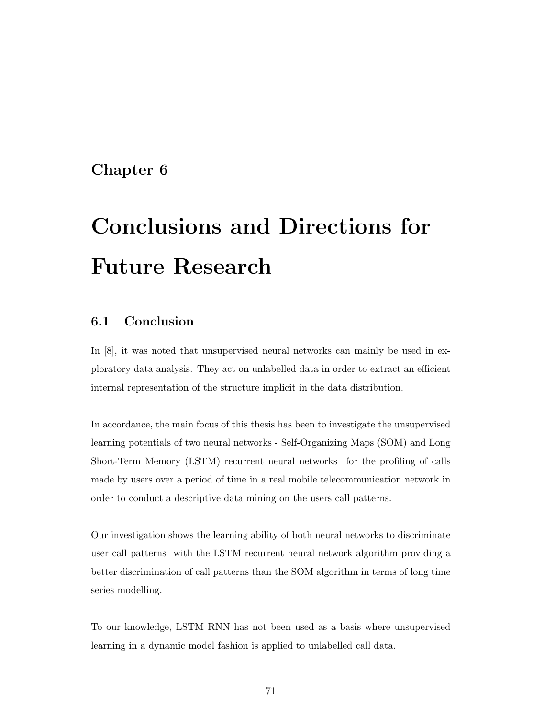# Chapter 6

# Conclusions and Directions for Future Research

# 6.1 Conclusion

In [8], it was noted that unsupervised neural networks can mainly be used in exploratory data analysis. They act on unlabelled data in order to extract an efficient internal representation of the structure implicit in the data distribution.

In accordance, the main focus of this thesis has been to investigate the unsupervised learning potentials of two neural networks - Self-Organizing Maps (SOM) and Long Short-Term Memory (LSTM) recurrent neural networks for the profiling of calls made by users over a period of time in a real mobile telecommunication network in order to conduct a descriptive data mining on the users call patterns.

Our investigation shows the learning ability of both neural networks to discriminate user call patterns with the LSTM recurrent neural network algorithm providing a better discrimination of call patterns than the SOM algorithm in terms of long time series modelling.

To our knowledge, LSTM RNN has not been used as a basis where unsupervised learning in a dynamic model fashion is applied to unlabelled call data.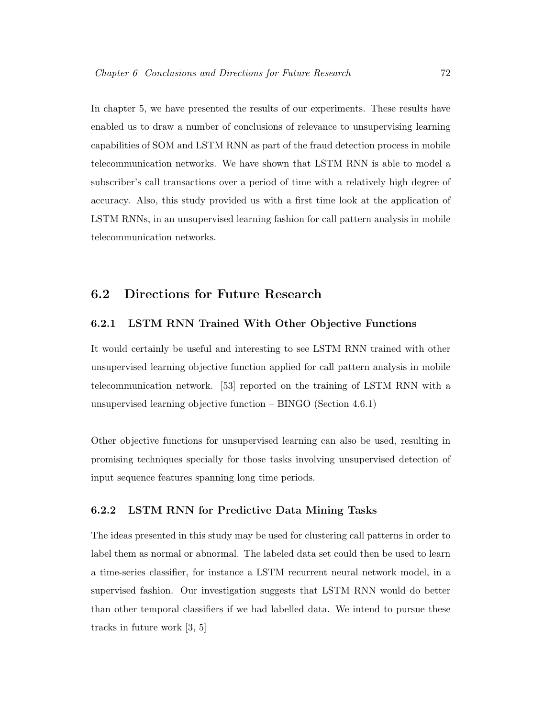In chapter 5, we have presented the results of our experiments. These results have enabled us to draw a number of conclusions of relevance to unsupervising learning capabilities of SOM and LSTM RNN as part of the fraud detection process in mobile telecommunication networks. We have shown that LSTM RNN is able to model a subscriber's call transactions over a period of time with a relatively high degree of accuracy. Also, this study provided us with a first time look at the application of LSTM RNNs, in an unsupervised learning fashion for call pattern analysis in mobile telecommunication networks.

# 6.2 Directions for Future Research

# 6.2.1 LSTM RNN Trained With Other Objective Functions

It would certainly be useful and interesting to see LSTM RNN trained with other unsupervised learning objective function applied for call pattern analysis in mobile telecommunication network. [53] reported on the training of LSTM RNN with a unsupervised learning objective function – BINGO (Section 4.6.1)

Other objective functions for unsupervised learning can also be used, resulting in promising techniques specially for those tasks involving unsupervised detection of input sequence features spanning long time periods.

# 6.2.2 LSTM RNN for Predictive Data Mining Tasks

The ideas presented in this study may be used for clustering call patterns in order to label them as normal or abnormal. The labeled data set could then be used to learn a time-series classifier, for instance a LSTM recurrent neural network model, in a supervised fashion. Our investigation suggests that LSTM RNN would do better than other temporal classifiers if we had labelled data. We intend to pursue these tracks in future work [3, 5]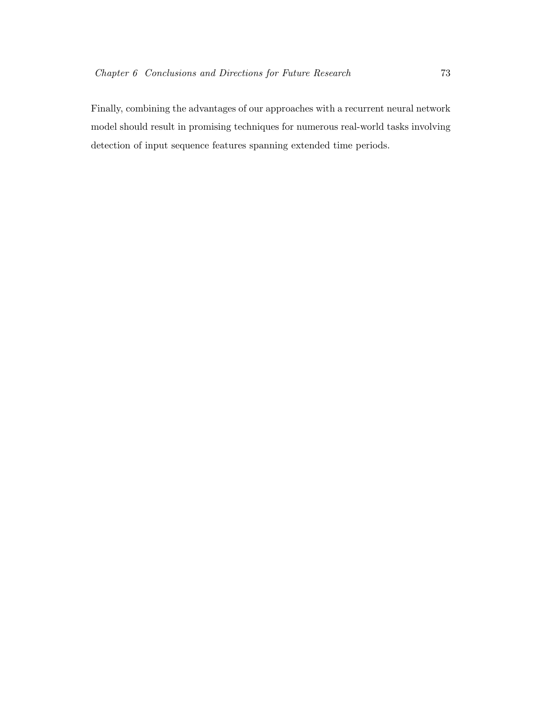Finally, combining the advantages of our approaches with a recurrent neural network model should result in promising techniques for numerous real-world tasks involving detection of input sequence features spanning extended time periods.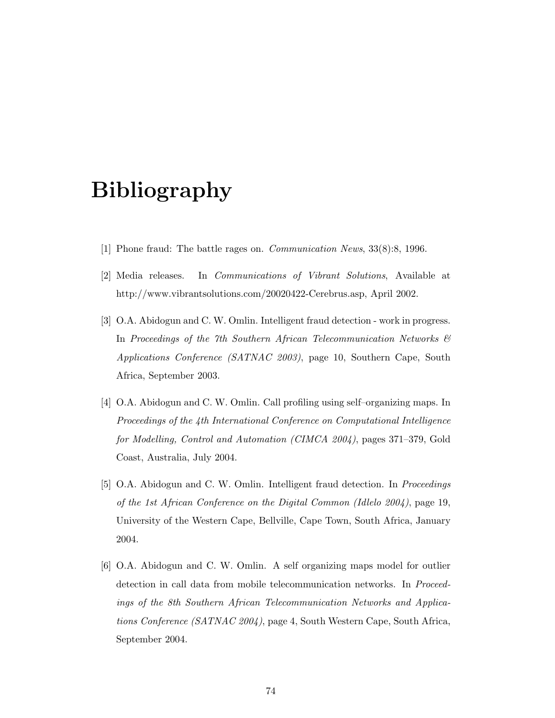# Bibliography

- [1] Phone fraud: The battle rages on. Communication News, 33(8):8, 1996.
- [2] Media releases. In Communications of Vibrant Solutions, Available at http://www.vibrantsolutions.com/20020422-Cerebrus.asp, April 2002.
- [3] O.A. Abidogun and C. W. Omlin. Intelligent fraud detection work in progress. In Proceedings of the 7th Southern African Telecommunication Networks & Applications Conference (SATNAC 2003), page 10, Southern Cape, South Africa, September 2003.
- [4] O.A. Abidogun and C. W. Omlin. Call profiling using self–organizing maps. In Proceedings of the 4th International Conference on Computational Intelligence for Modelling, Control and Automation (CIMCA 2004), pages 371–379, Gold Coast, Australia, July 2004.
- [5] O.A. Abidogun and C. W. Omlin. Intelligent fraud detection. In Proceedings of the 1st African Conference on the Digital Common (Idlelo 2004), page 19, University of the Western Cape, Bellville, Cape Town, South Africa, January 2004.
- [6] O.A. Abidogun and C. W. Omlin. A self organizing maps model for outlier detection in call data from mobile telecommunication networks. In Proceedings of the 8th Southern African Telecommunication Networks and Applications Conference (SATNAC 2004), page 4, South Western Cape, South Africa, September 2004.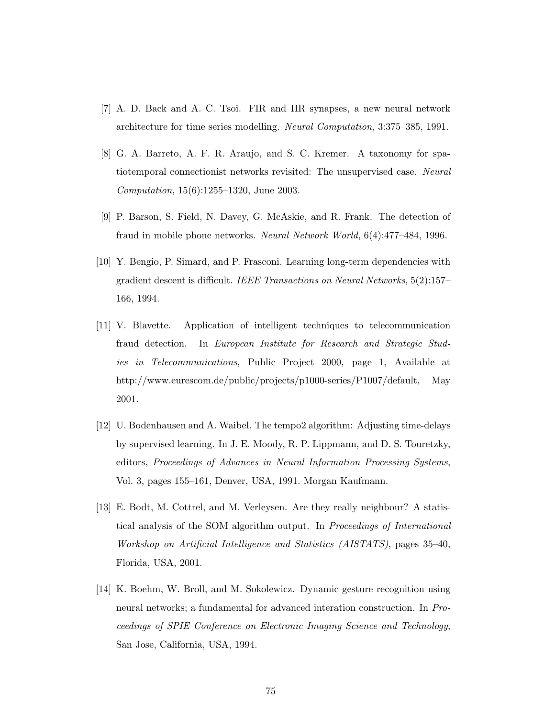- [7] A. D. Back and A. C. Tsoi. FIR and IIR synapses, a new neural network architecture for time series modelling. Neural Computation, 3:375–385, 1991.
- [8] G. A. Barreto, A. F. R. Araujo, and S. C. Kremer. A taxonomy for spatiotemporal connectionist networks revisited: The unsupervised case. Neural Computation, 15(6):1255–1320, June 2003.
- [9] P. Barson, S. Field, N. Davey, G. McAskie, and R. Frank. The detection of fraud in mobile phone networks. Neural Network World, 6(4):477–484, 1996.
- [10] Y. Bengio, P. Simard, and P. Frasconi. Learning long-term dependencies with gradient descent is difficult. IEEE Transactions on Neural Networks, 5(2):157– 166, 1994.
- [11] V. Blavette. Application of intelligent techniques to telecommunication fraud detection. In European Institute for Research and Strategic Studies in Telecommunications, Public Project 2000, page 1, Available at http://www.eurescom.de/public/projects/p1000-series/P1007/default, May 2001.
- [12] U. Bodenhausen and A. Waibel. The tempo2 algorithm: Adjusting time-delays by supervised learning. In J. E. Moody, R. P. Lippmann, and D. S. Touretzky, editors, Proceedings of Advances in Neural Information Processing Systems, Vol. 3, pages 155–161, Denver, USA, 1991. Morgan Kaufmann.
- [13] E. Bodt, M. Cottrel, and M. Verleysen. Are they really neighbour? A statistical analysis of the SOM algorithm output. In Proceedings of International Workshop on Artificial Intelligence and Statistics (AISTATS), pages 35–40, Florida, USA, 2001.
- [14] K. Boehm, W. Broll, and M. Sokolewicz. Dynamic gesture recognition using neural networks; a fundamental for advanced interation construction. In Proceedings of SPIE Conference on Electronic Imaging Science and Technology, San Jose, California, USA, 1994.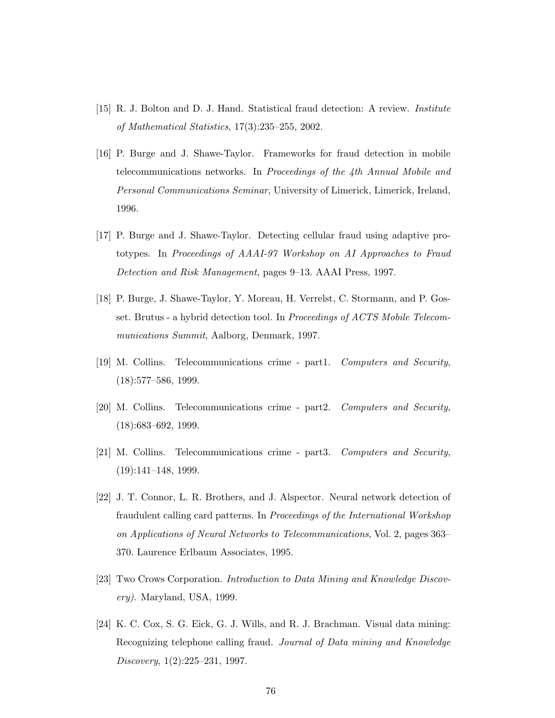- [15] R. J. Bolton and D. J. Hand. Statistical fraud detection: A review. Institute of Mathematical Statistics, 17(3):235–255, 2002.
- [16] P. Burge and J. Shawe-Taylor. Frameworks for fraud detection in mobile telecommunications networks. In Proceedings of the 4th Annual Mobile and Personal Communications Seminar, University of Limerick, Limerick, Ireland, 1996.
- [17] P. Burge and J. Shawe-Taylor. Detecting cellular fraud using adaptive prototypes. In Proceedings of AAAI-97 Workshop on AI Approaches to Fraud Detection and Risk Management, pages 9–13. AAAI Press, 1997.
- [18] P. Burge, J. Shawe-Taylor, Y. Moreau, H. Verrelst, C. Stormann, and P. Gosset. Brutus - a hybrid detection tool. In Proceedings of ACTS Mobile Telecommunications Summit, Aalborg, Denmark, 1997.
- [19] M. Collins. Telecommunications crime part1. Computers and Security, (18):577–586, 1999.
- [20] M. Collins. Telecommunications crime part2. Computers and Security, (18):683–692, 1999.
- [21] M. Collins. Telecommunications crime part3. Computers and Security,  $(19):141-148, 1999.$
- [22] J. T. Connor, L. R. Brothers, and J. Alspector. Neural network detection of fraudulent calling card patterns. In Proceedings of the International Workshop on Applications of Neural Networks to Telecommunications, Vol. 2, pages 363– 370. Laurence Erlbaum Associates, 1995.
- [23] Two Crows Corporation. Introduction to Data Mining and Knowledge Discovery). Maryland, USA, 1999.
- [24] K. C. Cox, S. G. Eick, G. J. Wills, and R. J. Brachman. Visual data mining: Recognizing telephone calling fraud. Journal of Data mining and Knowledge Discovery, 1(2):225–231, 1997.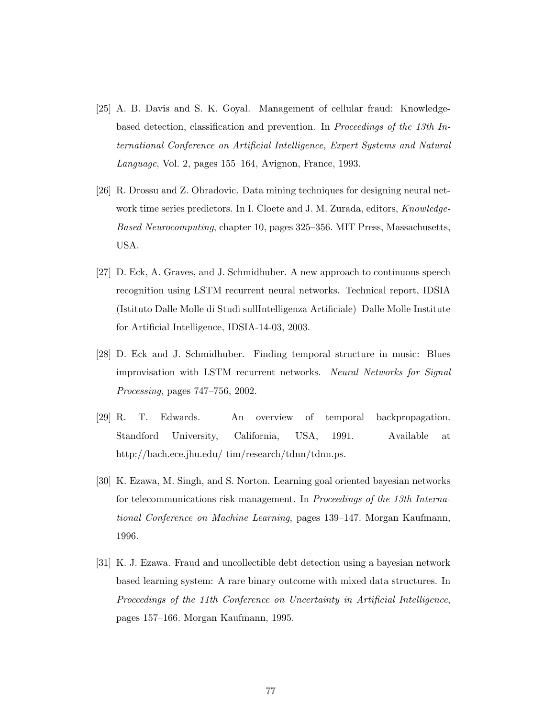- [25] A. B. Davis and S. K. Goyal. Management of cellular fraud: Knowledgebased detection, classification and prevention. In Proceedings of the 13th International Conference on Artificial Intelligence, Expert Systems and Natural Language, Vol. 2, pages 155–164, Avignon, France, 1993.
- [26] R. Drossu and Z. Obradovic. Data mining techniques for designing neural network time series predictors. In I. Cloete and J. M. Zurada, editors, Knowledge-Based Neurocomputing, chapter 10, pages 325–356. MIT Press, Massachusetts, USA.
- [27] D. Eck, A. Graves, and J. Schmidhuber. A new approach to continuous speech recognition using LSTM recurrent neural networks. Technical report, IDSIA (Istituto Dalle Molle di Studi sullIntelligenza Artificiale) Dalle Molle Institute for Artificial Intelligence, IDSIA-14-03, 2003.
- [28] D. Eck and J. Schmidhuber. Finding temporal structure in music: Blues improvisation with LSTM recurrent networks. Neural Networks for Signal Processing, pages 747–756, 2002.
- [29] R. T. Edwards. An overview of temporal backpropagation. Standford University, California, USA, 1991. Available at http://bach.ece.jhu.edu/ tim/research/tdnn/tdnn.ps.
- [30] K. Ezawa, M. Singh, and S. Norton. Learning goal oriented bayesian networks for telecommunications risk management. In Proceedings of the 13th International Conference on Machine Learning, pages 139–147. Morgan Kaufmann, 1996.
- [31] K. J. Ezawa. Fraud and uncollectible debt detection using a bayesian network based learning system: A rare binary outcome with mixed data structures. In Proceedings of the 11th Conference on Uncertainty in Artificial Intelligence, pages 157–166. Morgan Kaufmann, 1995.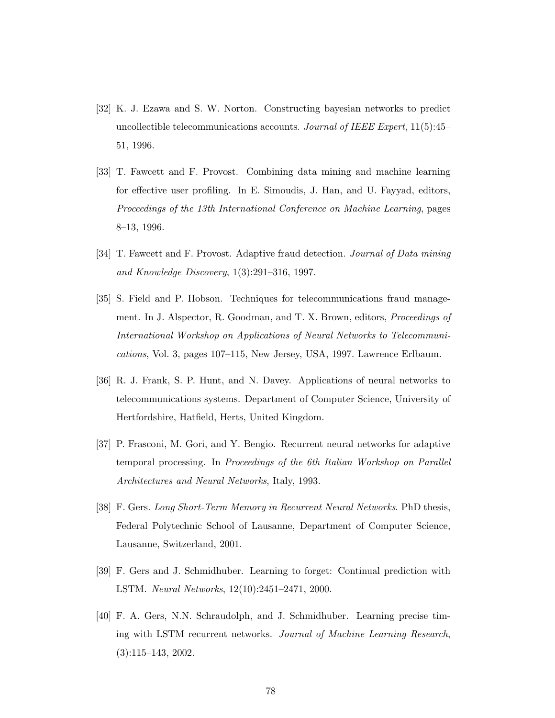- [32] K. J. Ezawa and S. W. Norton. Constructing bayesian networks to predict uncollectible telecommunications accounts. Journal of IEEE Expert,  $11(5):45-$ 51, 1996.
- [33] T. Fawcett and F. Provost. Combining data mining and machine learning for effective user profiling. In E. Simoudis, J. Han, and U. Fayyad, editors, Proceedings of the 13th International Conference on Machine Learning, pages 8–13, 1996.
- [34] T. Fawcett and F. Provost. Adaptive fraud detection. *Journal of Data mining* and Knowledge Discovery, 1(3):291–316, 1997.
- [35] S. Field and P. Hobson. Techniques for telecommunications fraud management. In J. Alspector, R. Goodman, and T. X. Brown, editors, *Proceedings of* International Workshop on Applications of Neural Networks to Telecommunications, Vol. 3, pages 107–115, New Jersey, USA, 1997. Lawrence Erlbaum.
- [36] R. J. Frank, S. P. Hunt, and N. Davey. Applications of neural networks to telecommunications systems. Department of Computer Science, University of Hertfordshire, Hatfield, Herts, United Kingdom.
- [37] P. Frasconi, M. Gori, and Y. Bengio. Recurrent neural networks for adaptive temporal processing. In Proceedings of the 6th Italian Workshop on Parallel Architectures and Neural Networks, Italy, 1993.
- [38] F. Gers. Long Short-Term Memory in Recurrent Neural Networks. PhD thesis, Federal Polytechnic School of Lausanne, Department of Computer Science, Lausanne, Switzerland, 2001.
- [39] F. Gers and J. Schmidhuber. Learning to forget: Continual prediction with LSTM. Neural Networks, 12(10):2451–2471, 2000.
- [40] F. A. Gers, N.N. Schraudolph, and J. Schmidhuber. Learning precise timing with LSTM recurrent networks. Journal of Machine Learning Research, (3):115–143, 2002.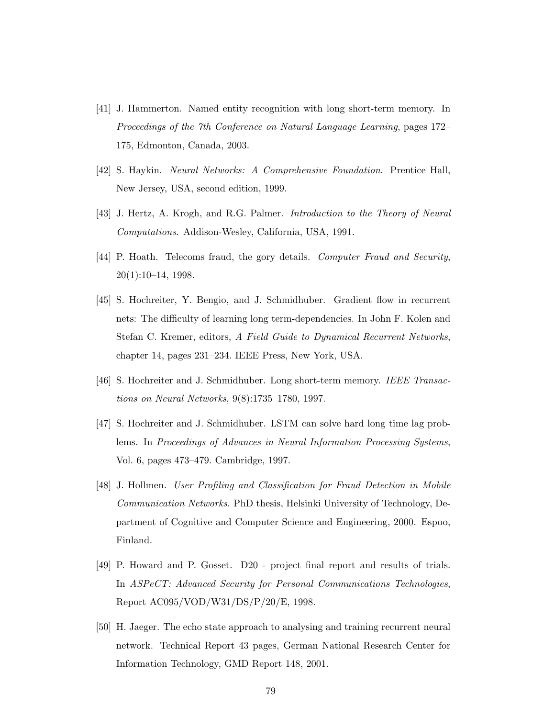- [41] J. Hammerton. Named entity recognition with long short-term memory. In Proceedings of the 7th Conference on Natural Language Learning, pages 172– 175, Edmonton, Canada, 2003.
- [42] S. Haykin. Neural Networks: A Comprehensive Foundation. Prentice Hall, New Jersey, USA, second edition, 1999.
- [43] J. Hertz, A. Krogh, and R.G. Palmer. Introduction to the Theory of Neural Computations. Addison-Wesley, California, USA, 1991.
- [44] P. Hoath. Telecoms fraud, the gory details. Computer Fraud and Security, 20(1):10–14, 1998.
- [45] S. Hochreiter, Y. Bengio, and J. Schmidhuber. Gradient flow in recurrent nets: The difficulty of learning long term-dependencies. In John F. Kolen and Stefan C. Kremer, editors, A Field Guide to Dynamical Recurrent Networks, chapter 14, pages 231–234. IEEE Press, New York, USA.
- [46] S. Hochreiter and J. Schmidhuber. Long short-term memory. IEEE Transactions on Neural Networks, 9(8):1735–1780, 1997.
- [47] S. Hochreiter and J. Schmidhuber. LSTM can solve hard long time lag problems. In Proceedings of Advances in Neural Information Processing Systems, Vol. 6, pages 473–479. Cambridge, 1997.
- [48] J. Hollmen. User Profiling and Classification for Fraud Detection in Mobile Communication Networks. PhD thesis, Helsinki University of Technology, Department of Cognitive and Computer Science and Engineering, 2000. Espoo, Finland.
- [49] P. Howard and P. Gosset. D20 project final report and results of trials. In ASPeCT: Advanced Security for Personal Communications Technologies, Report AC095/VOD/W31/DS/P/20/E, 1998.
- [50] H. Jaeger. The echo state approach to analysing and training recurrent neural network. Technical Report 43 pages, German National Research Center for Information Technology, GMD Report 148, 2001.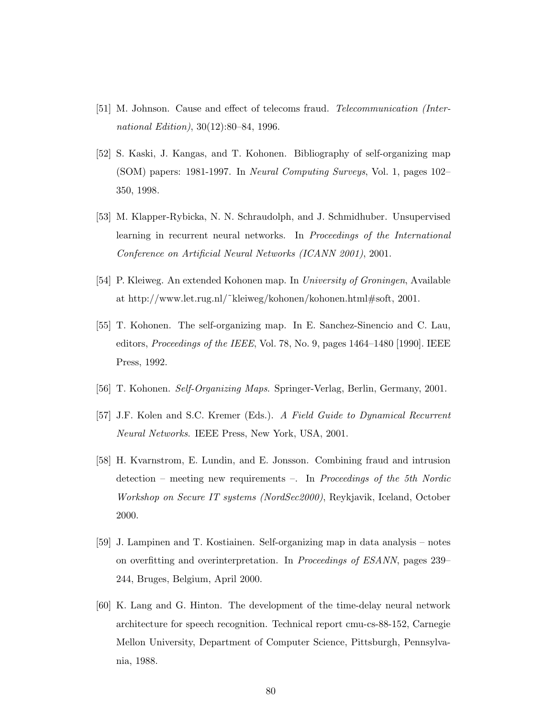- [51] M. Johnson. Cause and effect of telecoms fraud. Telecommunication (International Edition), 30(12):80–84, 1996.
- [52] S. Kaski, J. Kangas, and T. Kohonen. Bibliography of self-organizing map (SOM) papers: 1981-1997. In Neural Computing Surveys, Vol. 1, pages 102– 350, 1998.
- [53] M. Klapper-Rybicka, N. N. Schraudolph, and J. Schmidhuber. Unsupervised learning in recurrent neural networks. In Proceedings of the International Conference on Artificial Neural Networks (ICANN 2001), 2001.
- [54] P. Kleiweg. An extended Kohonen map. In University of Groningen, Available at http://www.let.rug.nl/˜kleiweg/kohonen/kohonen.html#soft, 2001.
- [55] T. Kohonen. The self-organizing map. In E. Sanchez-Sinencio and C. Lau, editors, Proceedings of the IEEE, Vol. 78, No. 9, pages 1464–1480 [1990]. IEEE Press, 1992.
- [56] T. Kohonen. Self-Organizing Maps. Springer-Verlag, Berlin, Germany, 2001.
- [57] J.F. Kolen and S.C. Kremer (Eds.). A Field Guide to Dynamical Recurrent Neural Networks. IEEE Press, New York, USA, 2001.
- [58] H. Kvarnstrom, E. Lundin, and E. Jonsson. Combining fraud and intrusion detection – meeting new requirements –. In Proceedings of the 5th Nordic Workshop on Secure IT systems (NordSec2000), Reykjavik, Iceland, October 2000.
- [59] J. Lampinen and T. Kostiainen. Self-organizing map in data analysis notes on overfitting and overinterpretation. In Proceedings of ESANN, pages 239– 244, Bruges, Belgium, April 2000.
- [60] K. Lang and G. Hinton. The development of the time-delay neural network architecture for speech recognition. Technical report cmu-cs-88-152, Carnegie Mellon University, Department of Computer Science, Pittsburgh, Pennsylvania, 1988.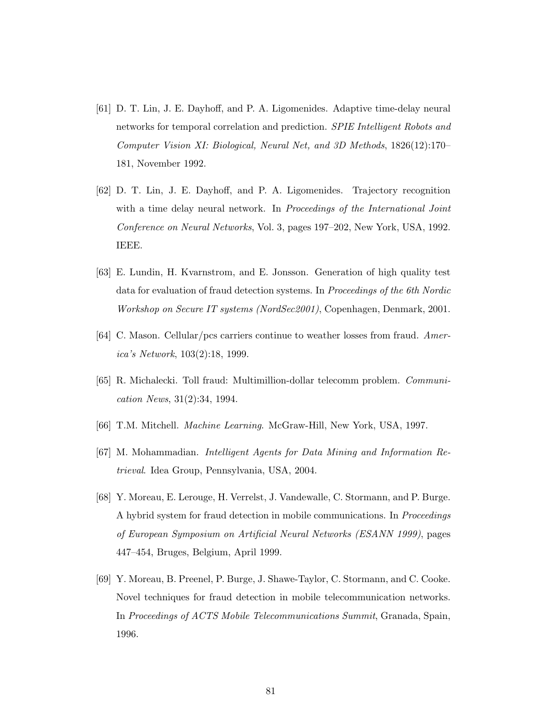- [61] D. T. Lin, J. E. Dayhoff, and P. A. Ligomenides. Adaptive time-delay neural networks for temporal correlation and prediction. *SPIE Intelligent Robots and* Computer Vision XI: Biological, Neural Net, and 3D Methods, 1826(12):170– 181, November 1992.
- [62] D. T. Lin, J. E. Dayhoff, and P. A. Ligomenides. Trajectory recognition with a time delay neural network. In Proceedings of the International Joint Conference on Neural Networks, Vol. 3, pages 197–202, New York, USA, 1992. IEEE.
- [63] E. Lundin, H. Kvarnstrom, and E. Jonsson. Generation of high quality test data for evaluation of fraud detection systems. In Proceedings of the 6th Nordic Workshop on Secure IT systems (NordSec2001), Copenhagen, Denmark, 2001.
- [64] C. Mason. Cellular/pcs carriers continue to weather losses from fraud. America's Network, 103(2):18, 1999.
- [65] R. Michalecki. Toll fraud: Multimillion-dollar telecomm problem. Communication News, 31(2):34, 1994.
- [66] T.M. Mitchell. Machine Learning. McGraw-Hill, New York, USA, 1997.
- [67] M. Mohammadian. Intelligent Agents for Data Mining and Information Retrieval. Idea Group, Pennsylvania, USA, 2004.
- [68] Y. Moreau, E. Lerouge, H. Verrelst, J. Vandewalle, C. Stormann, and P. Burge. A hybrid system for fraud detection in mobile communications. In Proceedings of European Symposium on Artificial Neural Networks (ESANN 1999), pages 447–454, Bruges, Belgium, April 1999.
- [69] Y. Moreau, B. Preenel, P. Burge, J. Shawe-Taylor, C. Stormann, and C. Cooke. Novel techniques for fraud detection in mobile telecommunication networks. In Proceedings of ACTS Mobile Telecommunications Summit, Granada, Spain, 1996.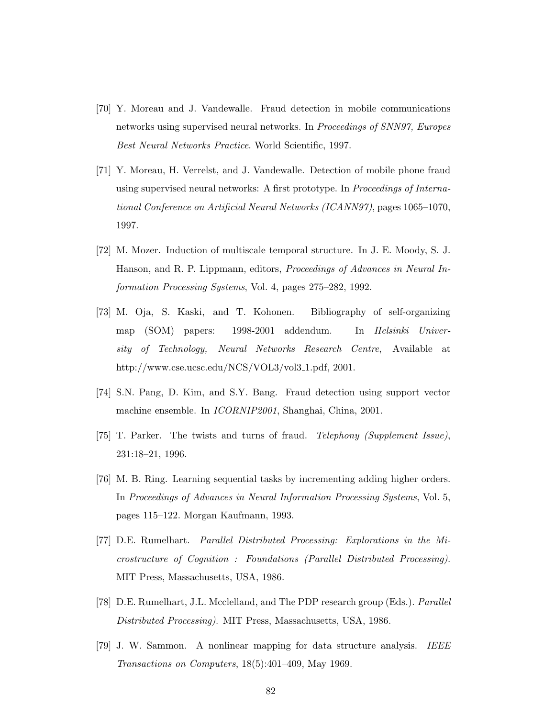- [70] Y. Moreau and J. Vandewalle. Fraud detection in mobile communications networks using supervised neural networks. In *Proceedings of SNN97*, *Europes* Best Neural Networks Practice. World Scientific, 1997.
- [71] Y. Moreau, H. Verrelst, and J. Vandewalle. Detection of mobile phone fraud using supervised neural networks: A first prototype. In Proceedings of International Conference on Artificial Neural Networks (ICANN97), pages 1065–1070, 1997.
- [72] M. Mozer. Induction of multiscale temporal structure. In J. E. Moody, S. J. Hanson, and R. P. Lippmann, editors, Proceedings of Advances in Neural Information Processing Systems, Vol. 4, pages 275–282, 1992.
- [73] M. Oja, S. Kaski, and T. Kohonen. Bibliography of self-organizing map (SOM) papers: 1998-2001 addendum. In Helsinki University of Technology, Neural Networks Research Centre, Available at http://www.cse.ucsc.edu/NCS/VOL3/vol3\_1.pdf, 2001.
- [74] S.N. Pang, D. Kim, and S.Y. Bang. Fraud detection using support vector machine ensemble. In ICORNIP2001, Shanghai, China, 2001.
- [75] T. Parker. The twists and turns of fraud. Telephony (Supplement Issue), 231:18–21, 1996.
- [76] M. B. Ring. Learning sequential tasks by incrementing adding higher orders. In Proceedings of Advances in Neural Information Processing Systems, Vol. 5, pages 115–122. Morgan Kaufmann, 1993.
- [77] D.E. Rumelhart. Parallel Distributed Processing: Explorations in the Microstructure of Cognition : Foundations (Parallel Distributed Processing). MIT Press, Massachusetts, USA, 1986.
- [78] D.E. Rumelhart, J.L. Mcclelland, and The PDP research group (Eds.). Parallel Distributed Processing). MIT Press, Massachusetts, USA, 1986.
- [79] J. W. Sammon. A nonlinear mapping for data structure analysis. IEEE Transactions on Computers, 18(5):401–409, May 1969.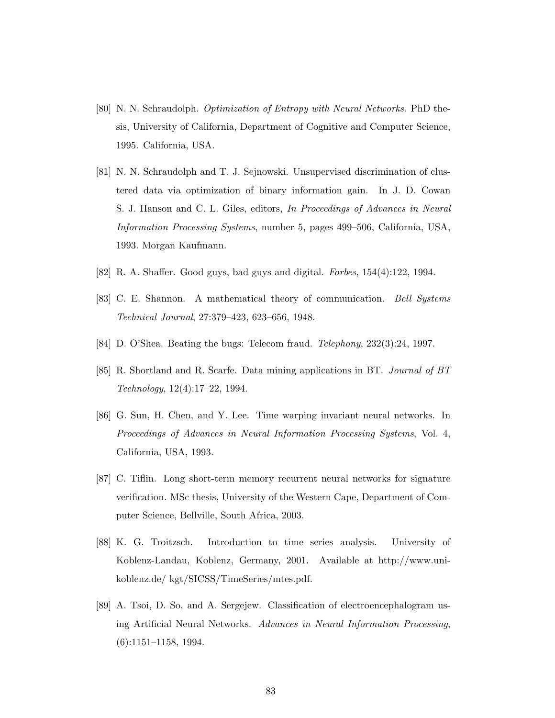- [80] N. N. Schraudolph. Optimization of Entropy with Neural Networks. PhD thesis, University of California, Department of Cognitive and Computer Science, 1995. California, USA.
- [81] N. N. Schraudolph and T. J. Sejnowski. Unsupervised discrimination of clustered data via optimization of binary information gain. In J. D. Cowan S. J. Hanson and C. L. Giles, editors, In Proceedings of Advances in Neural Information Processing Systems, number 5, pages 499–506, California, USA, 1993. Morgan Kaufmann.
- [82] R. A. Shaffer. Good guys, bad guys and digital. Forbes, 154(4):122, 1994.
- [83] C. E. Shannon. A mathematical theory of communication. Bell Systems Technical Journal, 27:379–423, 623–656, 1948.
- [84] D. O'Shea. Beating the bugs: Telecom fraud. Telephony, 232(3):24, 1997.
- [85] R. Shortland and R. Scarfe. Data mining applications in BT. Journal of BT Technology, 12(4):17–22, 1994.
- [86] G. Sun, H. Chen, and Y. Lee. Time warping invariant neural networks. In Proceedings of Advances in Neural Information Processing Systems, Vol. 4, California, USA, 1993.
- [87] C. Tiflin. Long short-term memory recurrent neural networks for signature verification. MSc thesis, University of the Western Cape, Department of Computer Science, Bellville, South Africa, 2003.
- [88] K. G. Troitzsch. Introduction to time series analysis. University of Koblenz-Landau, Koblenz, Germany, 2001. Available at http://www.unikoblenz.de/ kgt/SICSS/TimeSeries/mtes.pdf.
- [89] A. Tsoi, D. So, and A. Sergejew. Classification of electroencephalogram using Artificial Neural Networks. Advances in Neural Information Processing, (6):1151–1158, 1994.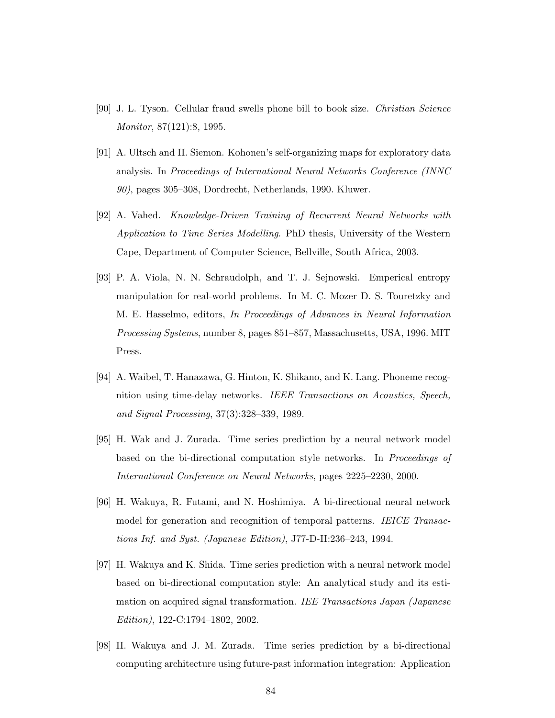- [90] J. L. Tyson. Cellular fraud swells phone bill to book size. Christian Science Monitor, 87(121):8, 1995.
- [91] A. Ultsch and H. Siemon. Kohonen's self-organizing maps for exploratory data analysis. In Proceedings of International Neural Networks Conference (INNC 90), pages 305–308, Dordrecht, Netherlands, 1990. Kluwer.
- [92] A. Vahed. Knowledge-Driven Training of Recurrent Neural Networks with Application to Time Series Modelling. PhD thesis, University of the Western Cape, Department of Computer Science, Bellville, South Africa, 2003.
- [93] P. A. Viola, N. N. Schraudolph, and T. J. Sejnowski. Emperical entropy manipulation for real-world problems. In M. C. Mozer D. S. Touretzky and M. E. Hasselmo, editors, In Proceedings of Advances in Neural Information Processing Systems, number 8, pages 851–857, Massachusetts, USA, 1996. MIT Press.
- [94] A. Waibel, T. Hanazawa, G. Hinton, K. Shikano, and K. Lang. Phoneme recognition using time-delay networks. IEEE Transactions on Acoustics, Speech, and Signal Processing, 37(3):328–339, 1989.
- [95] H. Wak and J. Zurada. Time series prediction by a neural network model based on the bi-directional computation style networks. In Proceedings of International Conference on Neural Networks, pages 2225–2230, 2000.
- [96] H. Wakuya, R. Futami, and N. Hoshimiya. A bi-directional neural network model for generation and recognition of temporal patterns. IEICE Transactions Inf. and Syst. (Japanese Edition), J77-D-II:236–243, 1994.
- [97] H. Wakuya and K. Shida. Time series prediction with a neural network model based on bi-directional computation style: An analytical study and its estimation on acquired signal transformation. IEE Transactions Japan (Japanese Edition), 122-C:1794–1802, 2002.
- [98] H. Wakuya and J. M. Zurada. Time series prediction by a bi-directional computing architecture using future-past information integration: Application